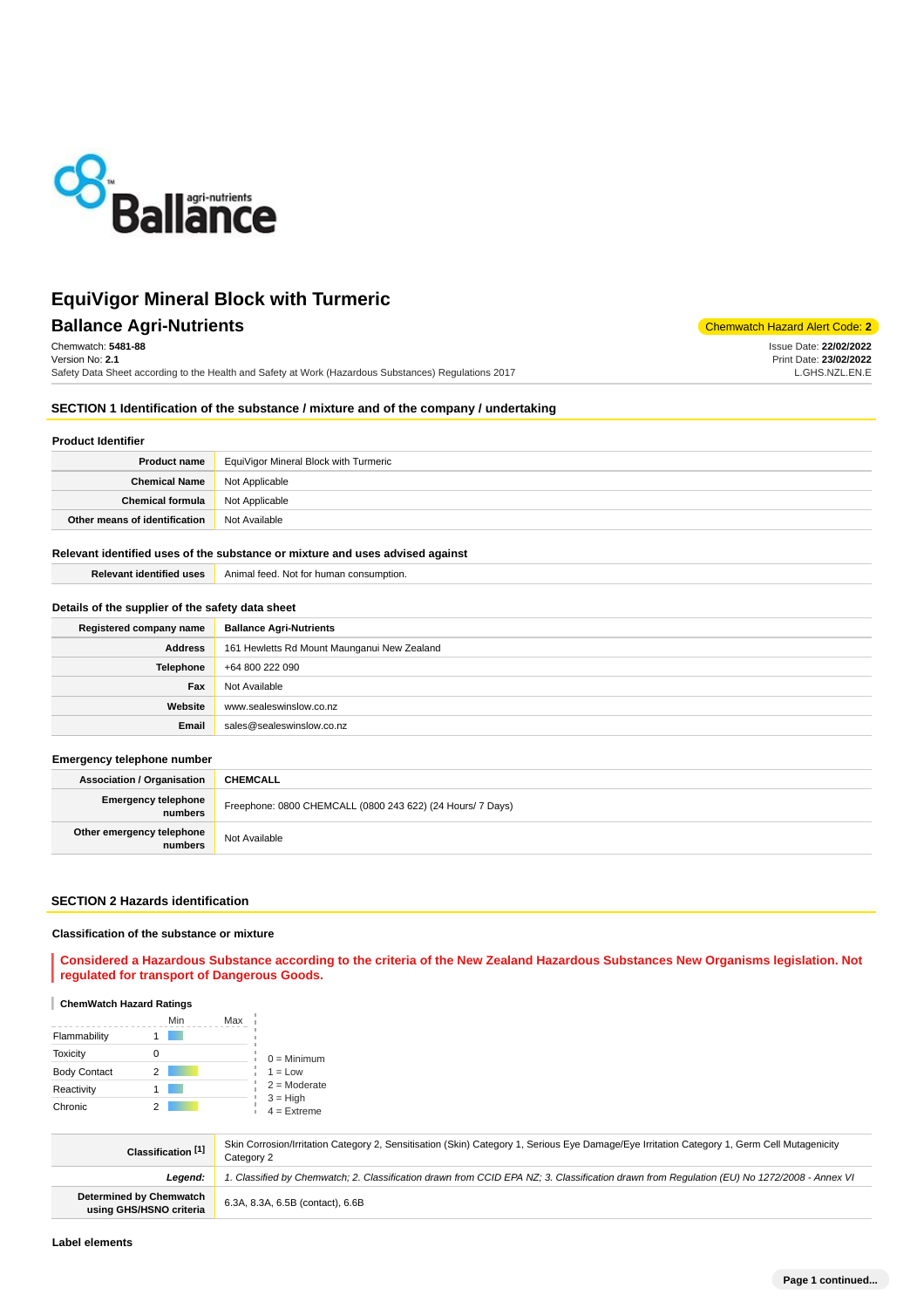

**Ballance Agri-Nutrients** Chemwatch Hazard Alert Code: 2 Chemwatch: **5481-88** Version No: **2.1** Safety Data Sheet according to the Health and Safety at Work (Hazardous Substances) Regulations 2017 Issue Date: **22/02/2022** Print Date: **23/02/2022** L.GHS.NZL.EN.E

## **SECTION 1 Identification of the substance / mixture and of the company / undertaking**

#### **Product Identifier**

| <b>Product name</b>                    | EquiVigor Mineral Block with Turmeric |
|----------------------------------------|---------------------------------------|
| <b>Chemical Name</b> Not Applicable    |                                       |
| <b>Chemical formula</b> Not Applicable |                                       |
| Other means of identification          | Not Available                         |

### **Relevant identified uses of the substance or mixture and uses advised against**

| <b>Relevant identified uses</b> | Animal feed. Not for human consumption. |
|---------------------------------|-----------------------------------------|

### **Details of the supplier of the safety data sheet**

| Registered company name | <b>Ballance Agri-Nutrients</b>              |
|-------------------------|---------------------------------------------|
| <b>Address</b>          | 161 Hewletts Rd Mount Maunganui New Zealand |
| <b>Telephone</b>        | +64 800 222 090                             |
| Fax                     | Not Available                               |
| Website                 | www.sealeswinslow.co.nz                     |
| Email                   | sales@sealeswinslow.co.nz                   |

### **Emergency telephone number**

| <b>Association / Organisation</b>     | <b>CHEMCALL</b>                                            |
|---------------------------------------|------------------------------------------------------------|
| <b>Emergency telephone</b><br>numbers | Freephone: 0800 CHEMCALL (0800 243 622) (24 Hours/ 7 Days) |
| Other emergency telephone<br>numbers  | Not Available                                              |

#### **SECTION 2 Hazards identification**

#### **Classification of the substance or mixture**

**Considered a Hazardous Substance according to the criteria of the New Zealand Hazardous Substances New Organisms legislation. Not regulated for transport of Dangerous Goods.**

### **ChemWatch Hazard Ratings**

|                     |   | Min | Max |                             |
|---------------------|---|-----|-----|-----------------------------|
| Flammability        |   |     |     |                             |
| Toxicity            |   |     |     | $0 =$ Minimum               |
| <b>Body Contact</b> | 2 |     |     | $1 = Low$                   |
| Reactivity          |   |     |     | $2 =$ Moderate              |
| Chronic             |   |     |     | $3 = High$<br>$4 =$ Extreme |

| Classification [1]                                        | Skin Corrosion/Irritation Category 2, Sensitisation (Skin) Category 1, Serious Eye Damage/Eye Irritation Category 1, Germ Cell Mutagenicity<br>Category 2 |
|-----------------------------------------------------------|-----------------------------------------------------------------------------------------------------------------------------------------------------------|
| Leaend:                                                   | . Classified by Chemwatch; 2. Classification drawn from CCID EPA NZ; 3. Classification drawn from Requlation (EU) No 1272/2008 - Annex VI                 |
| <b>Determined by Chemwatch</b><br>using GHS/HSNO criteria | 6.3A, 8.3A, 6.5B (contact), 6.6B                                                                                                                          |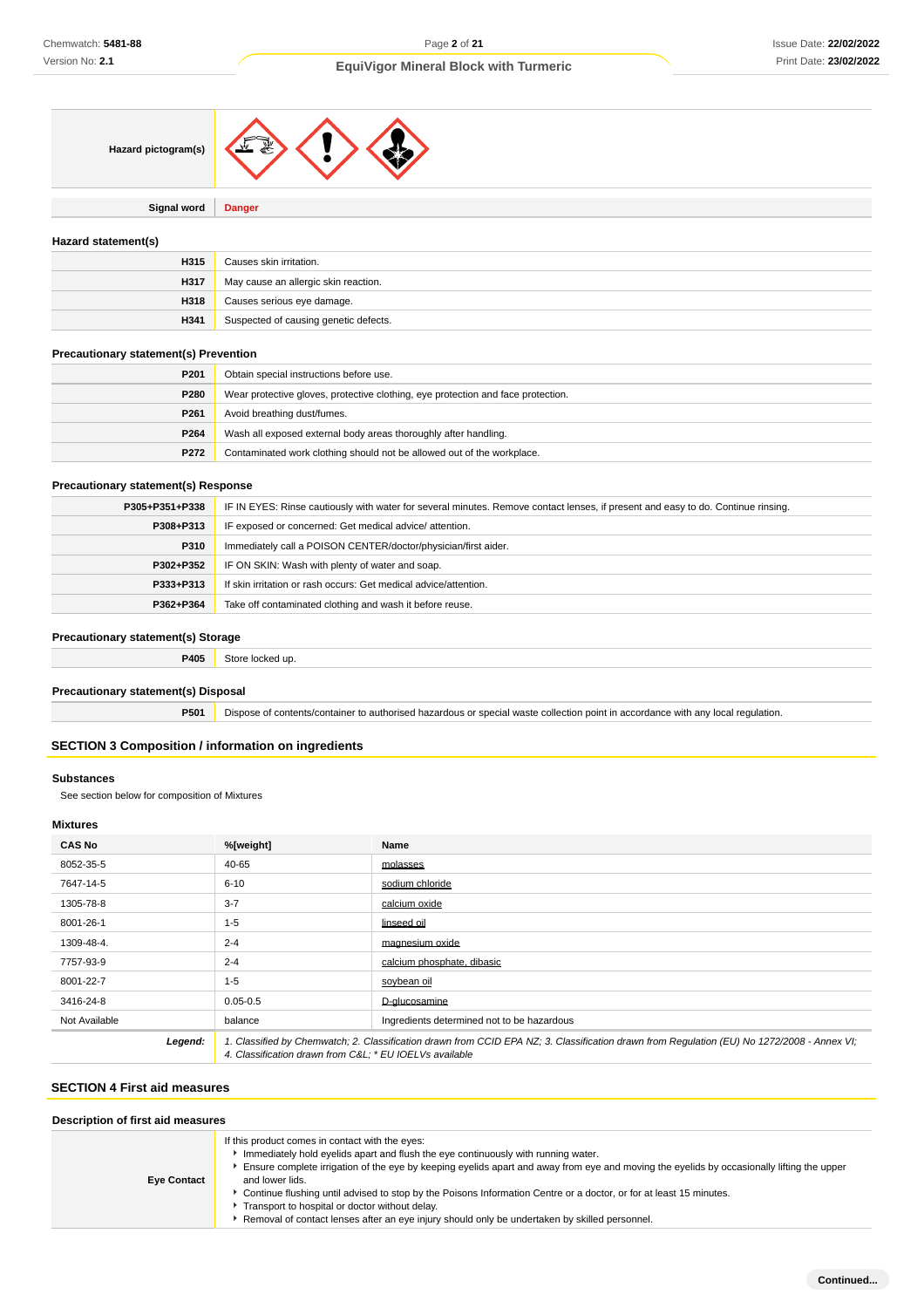

**Signal word Danger**

### **Hazard statement(s)**

| H315 | Causes skin irritation.               |
|------|---------------------------------------|
| H317 | May cause an allergic skin reaction.  |
| H318 | Causes serious eye damage.            |
| H341 | Suspected of causing genetic defects. |

#### **Precautionary statement(s) Prevention**

| P <sub>201</sub> | Obtain special instructions before use.                                          |
|------------------|----------------------------------------------------------------------------------|
| P280             | Wear protective gloves, protective clothing, eye protection and face protection. |
| P <sub>261</sub> | Avoid breathing dust/fumes.                                                      |
| P264             | Wash all exposed external body areas thoroughly after handling.                  |
| P272             | Contaminated work clothing should not be allowed out of the workplace.           |

#### **Precautionary statement(s) Response**

| P305+P351+P338 | IF IN EYES: Rinse cautiously with water for several minutes. Remove contact lenses, if present and easy to do. Continue rinsing. |
|----------------|----------------------------------------------------------------------------------------------------------------------------------|
| P308+P313      | IF exposed or concerned: Get medical advice/attention.                                                                           |
| P310           | Immediately call a POISON CENTER/doctor/physician/first aider.                                                                   |
| P302+P352      | IF ON SKIN: Wash with plenty of water and soap.                                                                                  |
| P333+P313      | If skin irritation or rash occurs: Get medical advice/attention.                                                                 |
| P362+P364      | Take off contaminated clothing and wash it before reuse.                                                                         |

## **Precautionary statement(s) Storage**

**P405** Store locked up.

#### **Precautionary statement(s) Disposal**

**P501** Dispose of contents/container to authorised hazardous or special waste collection point in accordance with any local regulation.

### **SECTION 3 Composition / information on ingredients**

#### **Substances**

See section below for composition of Mixtures

## **Mixtures**

| <b>CAS No</b> | %[weight]                                                                                                                                                                                              | Name                                       |
|---------------|--------------------------------------------------------------------------------------------------------------------------------------------------------------------------------------------------------|--------------------------------------------|
| 8052-35-5     | 40-65                                                                                                                                                                                                  | molasses                                   |
| 7647-14-5     | $6 - 10$                                                                                                                                                                                               | sodium chloride                            |
| 1305-78-8     | $3 - 7$                                                                                                                                                                                                | calcium oxide                              |
| 8001-26-1     | $1 - 5$                                                                                                                                                                                                | linseed oil                                |
| 1309-48-4.    | $2 - 4$                                                                                                                                                                                                | magnesium oxide                            |
| 7757-93-9     | $2 - 4$                                                                                                                                                                                                | calcium phosphate, dibasic                 |
| 8001-22-7     | $1 - 5$                                                                                                                                                                                                | soybean oil                                |
| 3416-24-8     | $0.05 - 0.5$                                                                                                                                                                                           | D-glucosamine                              |
| Not Available | balance                                                                                                                                                                                                | Ingredients determined not to be hazardous |
| Legend:       | 1. Classified by Chemwatch; 2. Classification drawn from CCID EPA NZ; 3. Classification drawn from Requlation (EU) No 1272/2008 - Annex VI;<br>4. Classification drawn from C&L * EU IOEL Vs available |                                            |

## **SECTION 4 First aid measures**

| Description of first aid measures |                                                                                                                                                                                                                                                                                                                                                                                                                                                                                                                                                                                 |  |
|-----------------------------------|---------------------------------------------------------------------------------------------------------------------------------------------------------------------------------------------------------------------------------------------------------------------------------------------------------------------------------------------------------------------------------------------------------------------------------------------------------------------------------------------------------------------------------------------------------------------------------|--|
| <b>Eye Contact</b>                | If this product comes in contact with the eyes:<br>Immediately hold eyelids apart and flush the eye continuously with running water.<br>Ensure complete irrigation of the eye by keeping eyelids apart and away from eye and moving the eyelids by occasionally lifting the upper<br>and lower lids.<br>▶ Continue flushing until advised to stop by the Poisons Information Centre or a doctor, or for at least 15 minutes.<br>Transport to hospital or doctor without delay.<br>Removal of contact lenses after an eye injury should only be undertaken by skilled personnel. |  |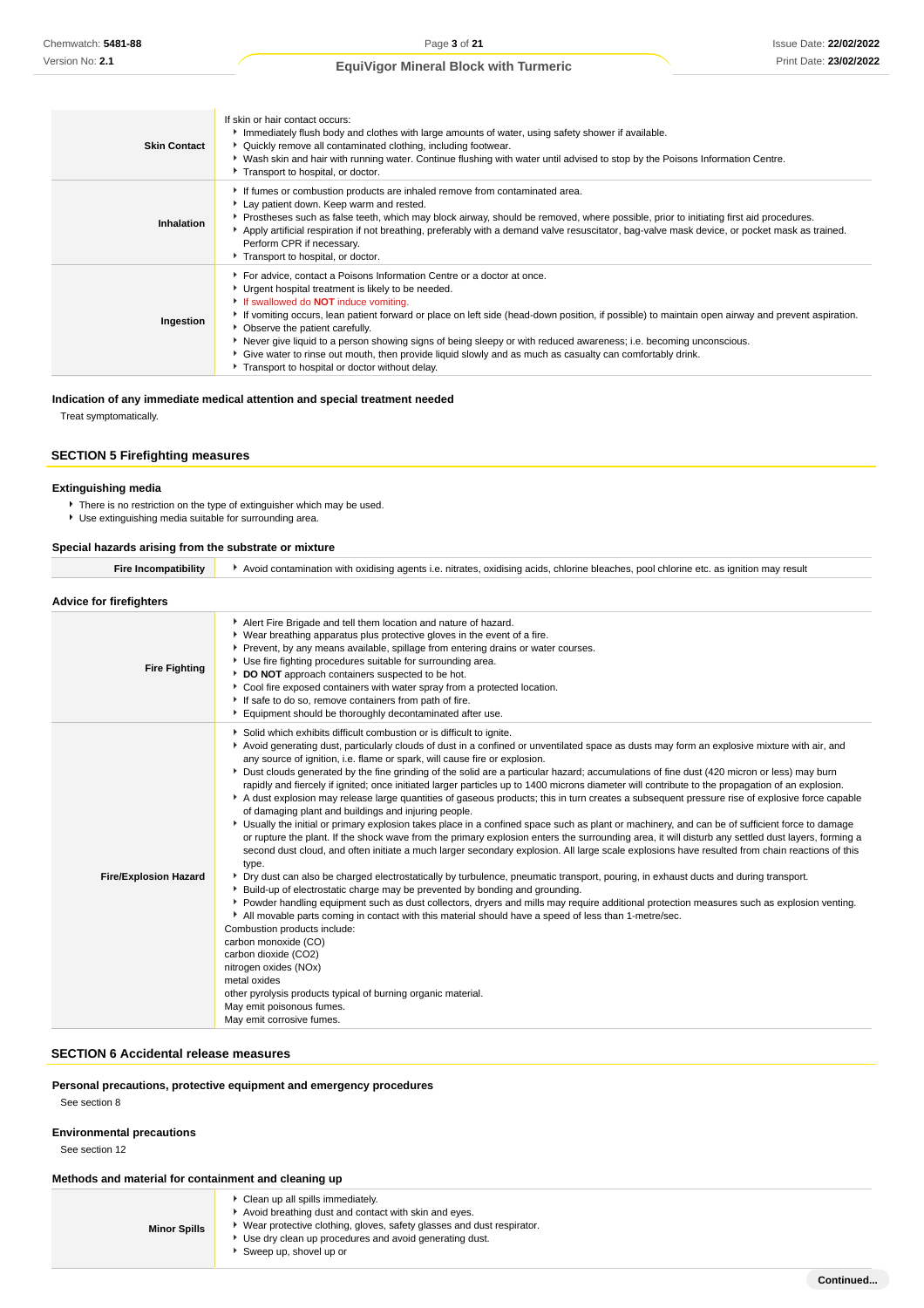Issue Date: **22/02/2022** Print Date: **23/02/2022**

## **EquiVigor Mineral Block with Turmeric**

| <b>Skin Contact</b> | If skin or hair contact occurs:<br>Immediately flush body and clothes with large amounts of water, using safety shower if available.<br>▶ Quickly remove all contaminated clothing, including footwear.<br>▶ Wash skin and hair with running water. Continue flushing with water until advised to stop by the Poisons Information Centre.<br>Transport to hospital, or doctor.                                                                                                                                                                                                                                                                         |
|---------------------|--------------------------------------------------------------------------------------------------------------------------------------------------------------------------------------------------------------------------------------------------------------------------------------------------------------------------------------------------------------------------------------------------------------------------------------------------------------------------------------------------------------------------------------------------------------------------------------------------------------------------------------------------------|
| Inhalation          | If fumes or combustion products are inhaled remove from contaminated area.<br>Lay patient down. Keep warm and rested.<br>▶ Prostheses such as false teeth, which may block airway, should be removed, where possible, prior to initiating first aid procedures.<br>Apply artificial respiration if not breathing, preferably with a demand valve resuscitator, bag-valve mask device, or pocket mask as trained.<br>Perform CPR if necessary.<br>Transport to hospital, or doctor.                                                                                                                                                                     |
| Ingestion           | For advice, contact a Poisons Information Centre or a doctor at once.<br>Urgent hospital treatment is likely to be needed.<br>If swallowed do <b>NOT</b> induce vomiting.<br>If vomiting occurs, lean patient forward or place on left side (head-down position, if possible) to maintain open airway and prevent aspiration.<br>• Observe the patient carefully.<br>▶ Never give liquid to a person showing signs of being sleepy or with reduced awareness; i.e. becoming unconscious.<br>Give water to rinse out mouth, then provide liquid slowly and as much as casualty can comfortably drink.<br>Transport to hospital or doctor without delay. |

## **Indication of any immediate medical attention and special treatment needed**

Treat symptomatically.

## **SECTION 5 Firefighting measures**

### **Extinguishing media**

There is no restriction on the type of extinguisher which may be used. Use extinguishing media suitable for surrounding area.

#### **Special hazards arising from the substrate or mixture**

| <b>Fire Incompatibility</b> | Avoid contamination with oxidising agents i.e. nitrates, oxidising acids, chlorine bleaches, pool chlorine etc. as ignition may result |
|-----------------------------|----------------------------------------------------------------------------------------------------------------------------------------|
|                             |                                                                                                                                        |

| <b>Advice for firefighters</b> |                                                                                                                                                                                                                                                                                                                                                                                                                                                                                                                                                                                                                                                                                                                                                                                                                                                                                                                                                                                                                                                                                                                                                                                                                                                                                                                                                                                                                                                                                                                                                                                                                                                                                                                                                                                                                                                                                                                                                                                                                     |
|--------------------------------|---------------------------------------------------------------------------------------------------------------------------------------------------------------------------------------------------------------------------------------------------------------------------------------------------------------------------------------------------------------------------------------------------------------------------------------------------------------------------------------------------------------------------------------------------------------------------------------------------------------------------------------------------------------------------------------------------------------------------------------------------------------------------------------------------------------------------------------------------------------------------------------------------------------------------------------------------------------------------------------------------------------------------------------------------------------------------------------------------------------------------------------------------------------------------------------------------------------------------------------------------------------------------------------------------------------------------------------------------------------------------------------------------------------------------------------------------------------------------------------------------------------------------------------------------------------------------------------------------------------------------------------------------------------------------------------------------------------------------------------------------------------------------------------------------------------------------------------------------------------------------------------------------------------------------------------------------------------------------------------------------------------------|
| <b>Fire Fighting</b>           | Alert Fire Brigade and tell them location and nature of hazard.<br>▶ Wear breathing apparatus plus protective gloves in the event of a fire.<br>Prevent, by any means available, spillage from entering drains or water courses.<br>Use fire fighting procedures suitable for surrounding area.<br>DO NOT approach containers suspected to be hot.<br>Cool fire exposed containers with water spray from a protected location.<br>If safe to do so, remove containers from path of fire.<br>Equipment should be thoroughly decontaminated after use.                                                                                                                                                                                                                                                                                                                                                                                                                                                                                                                                                                                                                                                                                                                                                                                                                                                                                                                                                                                                                                                                                                                                                                                                                                                                                                                                                                                                                                                                |
| <b>Fire/Explosion Hazard</b>   | Solid which exhibits difficult combustion or is difficult to ignite.<br>Avoid generating dust, particularly clouds of dust in a confined or unventilated space as dusts may form an explosive mixture with air, and<br>any source of ignition, i.e. flame or spark, will cause fire or explosion.<br>▶ Dust clouds generated by the fine grinding of the solid are a particular hazard; accumulations of fine dust (420 micron or less) may burn<br>rapidly and fiercely if ignited; once initiated larger particles up to 1400 microns diameter will contribute to the propagation of an explosion.<br>A dust explosion may release large quantities of gaseous products; this in turn creates a subsequent pressure rise of explosive force capable<br>of damaging plant and buildings and injuring people.<br>▶ Usually the initial or primary explosion takes place in a confined space such as plant or machinery, and can be of sufficient force to damage<br>or rupture the plant. If the shock wave from the primary explosion enters the surrounding area, it will disturb any settled dust layers, forming a<br>second dust cloud, and often initiate a much larger secondary explosion. All large scale explosions have resulted from chain reactions of this<br>type.<br>▶ Dry dust can also be charged electrostatically by turbulence, pneumatic transport, pouring, in exhaust ducts and during transport.<br>Build-up of electrostatic charge may be prevented by bonding and grounding.<br>▶ Powder handling equipment such as dust collectors, dryers and mills may require additional protection measures such as explosion venting.<br>All movable parts coming in contact with this material should have a speed of less than 1-metre/sec.<br>Combustion products include:<br>carbon monoxide (CO)<br>carbon dioxide (CO2)<br>nitrogen oxides (NOx)<br>metal oxides<br>other pyrolysis products typical of burning organic material.<br>May emit poisonous fumes.<br>May emit corrosive fumes. |

## **SECTION 6 Accidental release measures**

## **Personal precautions, protective equipment and emergency procedures**

See section 8

#### **Environmental precautions**

See section 12

## **Methods and material for containment and cleaning up**

| <b>Minor Spills</b> | Clean up all spills immediately.<br>Avoid breathing dust and contact with skin and eyes.<br>Wear protective clothing, gloves, safety glasses and dust respirator.<br>▶ Use dry clean up procedures and avoid generating dust.<br>Sweep up, shovel up or |
|---------------------|---------------------------------------------------------------------------------------------------------------------------------------------------------------------------------------------------------------------------------------------------------|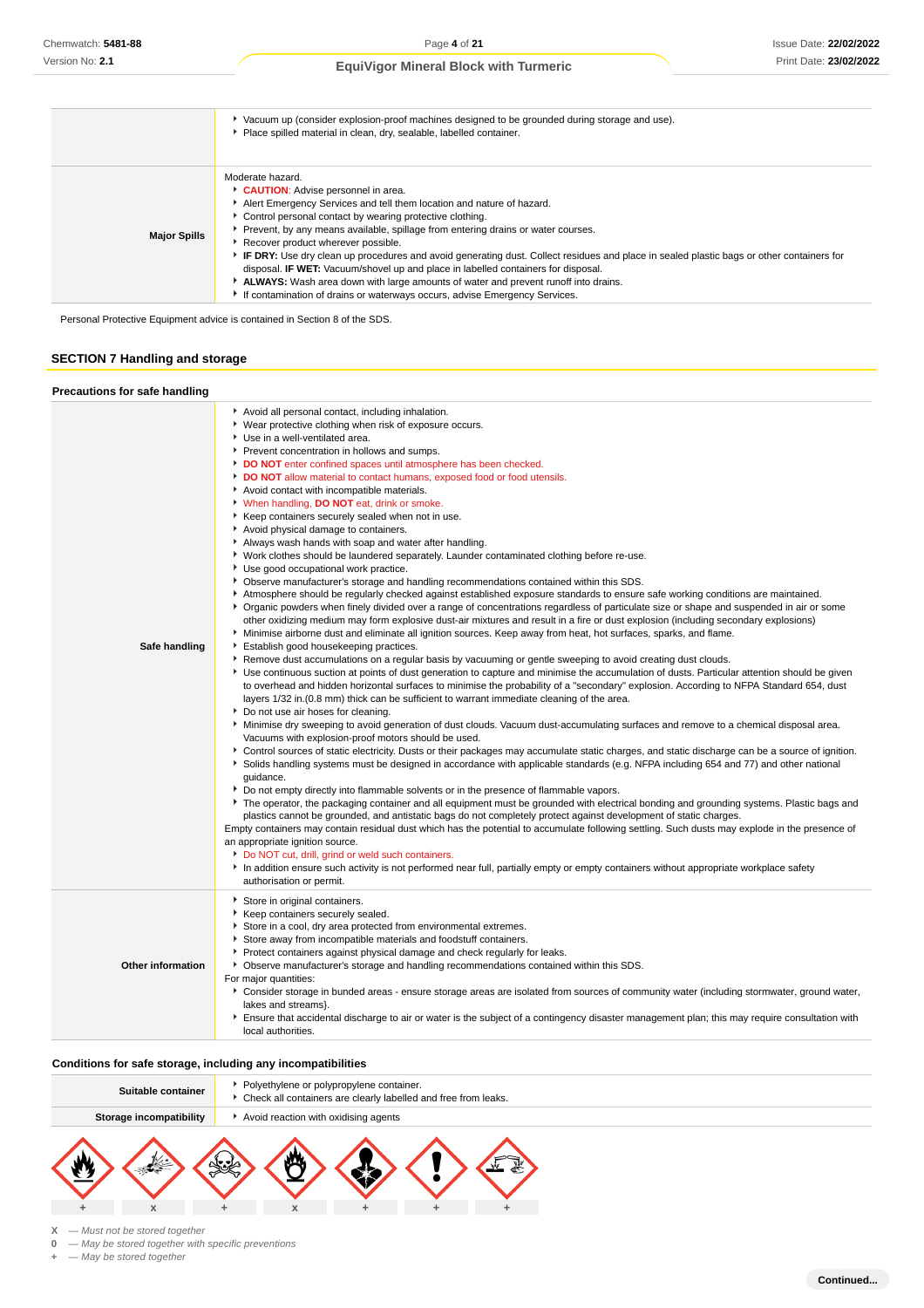|                     | ▶ Vacuum up (consider explosion-proof machines designed to be grounded during storage and use).<br>Place spilled material in clean, dry, sealable, labelled container.                                                                                                                                                                                                                                                                                                                                                                                                                                                                                                                                                                 |
|---------------------|----------------------------------------------------------------------------------------------------------------------------------------------------------------------------------------------------------------------------------------------------------------------------------------------------------------------------------------------------------------------------------------------------------------------------------------------------------------------------------------------------------------------------------------------------------------------------------------------------------------------------------------------------------------------------------------------------------------------------------------|
| <b>Major Spills</b> | Moderate hazard.<br>CAUTION: Advise personnel in area.<br>Alert Emergency Services and tell them location and nature of hazard.<br>• Control personal contact by wearing protective clothing.<br>▶ Prevent, by any means available, spillage from entering drains or water courses.<br>Recover product wherever possible.<br>FIF DRY: Use dry clean up procedures and avoid generating dust. Collect residues and place in sealed plastic bags or other containers for<br>disposal. <b>IF WET:</b> Vacuum/shovel up and place in labelled containers for disposal.<br>ALWAYS: Wash area down with large amounts of water and prevent runoff into drains.<br>If contamination of drains or waterways occurs, advise Emergency Services. |

Personal Protective Equipment advice is contained in Section 8 of the SDS.

## **SECTION 7 Handling and storage**

## **Precautions for safe handling**

| ▶ Wear protective clothing when risk of exposure occurs.<br>Use in a well-ventilated area.<br>Prevent concentration in hollows and sumps.<br>DO NOT enter confined spaces until atmosphere has been checked.<br>DO NOT allow material to contact humans, exposed food or food utensils.<br>Avoid contact with incompatible materials.<br>When handling, DO NOT eat, drink or smoke.<br>Keep containers securely sealed when not in use.<br>Avoid physical damage to containers.<br>Always wash hands with soap and water after handling.<br>• Work clothes should be laundered separately. Launder contaminated clothing before re-use.<br>Use good occupational work practice.<br>▶ Observe manufacturer's storage and handling recommendations contained within this SDS.<br>Atmosphere should be regularly checked against established exposure standards to ensure safe working conditions are maintained.<br>▶ Organic powders when finely divided over a range of concentrations regardless of particulate size or shape and suspended in air or some<br>other oxidizing medium may form explosive dust-air mixtures and result in a fire or dust explosion (including secondary explosions)<br>Minimise airborne dust and eliminate all ignition sources. Keep away from heat, hot surfaces, sparks, and flame.<br>Safe handling<br>Establish good housekeeping practices.<br>▶ Remove dust accumulations on a regular basis by vacuuming or gentle sweeping to avoid creating dust clouds.<br>▶ Use continuous suction at points of dust generation to capture and minimise the accumulation of dusts. Particular attention should be given<br>to overhead and hidden horizontal surfaces to minimise the probability of a "secondary" explosion. According to NFPA Standard 654, dust<br>layers 1/32 in. (0.8 mm) thick can be sufficient to warrant immediate cleaning of the area.<br>▶ Do not use air hoses for cleaning.<br>Minimise dry sweeping to avoid generation of dust clouds. Vacuum dust-accumulating surfaces and remove to a chemical disposal area.<br>Vacuums with explosion-proof motors should be used. |
|-------------------------------------------------------------------------------------------------------------------------------------------------------------------------------------------------------------------------------------------------------------------------------------------------------------------------------------------------------------------------------------------------------------------------------------------------------------------------------------------------------------------------------------------------------------------------------------------------------------------------------------------------------------------------------------------------------------------------------------------------------------------------------------------------------------------------------------------------------------------------------------------------------------------------------------------------------------------------------------------------------------------------------------------------------------------------------------------------------------------------------------------------------------------------------------------------------------------------------------------------------------------------------------------------------------------------------------------------------------------------------------------------------------------------------------------------------------------------------------------------------------------------------------------------------------------------------------------------------------------------------------------------------------------------------------------------------------------------------------------------------------------------------------------------------------------------------------------------------------------------------------------------------------------------------------------------------------------------------------------------------------------------------------------------------------------------------------------------------------------------------------|
|                                                                                                                                                                                                                                                                                                                                                                                                                                                                                                                                                                                                                                                                                                                                                                                                                                                                                                                                                                                                                                                                                                                                                                                                                                                                                                                                                                                                                                                                                                                                                                                                                                                                                                                                                                                                                                                                                                                                                                                                                                                                                                                                     |
|                                                                                                                                                                                                                                                                                                                                                                                                                                                                                                                                                                                                                                                                                                                                                                                                                                                                                                                                                                                                                                                                                                                                                                                                                                                                                                                                                                                                                                                                                                                                                                                                                                                                                                                                                                                                                                                                                                                                                                                                                                                                                                                                     |
|                                                                                                                                                                                                                                                                                                                                                                                                                                                                                                                                                                                                                                                                                                                                                                                                                                                                                                                                                                                                                                                                                                                                                                                                                                                                                                                                                                                                                                                                                                                                                                                                                                                                                                                                                                                                                                                                                                                                                                                                                                                                                                                                     |
|                                                                                                                                                                                                                                                                                                                                                                                                                                                                                                                                                                                                                                                                                                                                                                                                                                                                                                                                                                                                                                                                                                                                                                                                                                                                                                                                                                                                                                                                                                                                                                                                                                                                                                                                                                                                                                                                                                                                                                                                                                                                                                                                     |
|                                                                                                                                                                                                                                                                                                                                                                                                                                                                                                                                                                                                                                                                                                                                                                                                                                                                                                                                                                                                                                                                                                                                                                                                                                                                                                                                                                                                                                                                                                                                                                                                                                                                                                                                                                                                                                                                                                                                                                                                                                                                                                                                     |
|                                                                                                                                                                                                                                                                                                                                                                                                                                                                                                                                                                                                                                                                                                                                                                                                                                                                                                                                                                                                                                                                                                                                                                                                                                                                                                                                                                                                                                                                                                                                                                                                                                                                                                                                                                                                                                                                                                                                                                                                                                                                                                                                     |
|                                                                                                                                                                                                                                                                                                                                                                                                                                                                                                                                                                                                                                                                                                                                                                                                                                                                                                                                                                                                                                                                                                                                                                                                                                                                                                                                                                                                                                                                                                                                                                                                                                                                                                                                                                                                                                                                                                                                                                                                                                                                                                                                     |
|                                                                                                                                                                                                                                                                                                                                                                                                                                                                                                                                                                                                                                                                                                                                                                                                                                                                                                                                                                                                                                                                                                                                                                                                                                                                                                                                                                                                                                                                                                                                                                                                                                                                                                                                                                                                                                                                                                                                                                                                                                                                                                                                     |
|                                                                                                                                                                                                                                                                                                                                                                                                                                                                                                                                                                                                                                                                                                                                                                                                                                                                                                                                                                                                                                                                                                                                                                                                                                                                                                                                                                                                                                                                                                                                                                                                                                                                                                                                                                                                                                                                                                                                                                                                                                                                                                                                     |
|                                                                                                                                                                                                                                                                                                                                                                                                                                                                                                                                                                                                                                                                                                                                                                                                                                                                                                                                                                                                                                                                                                                                                                                                                                                                                                                                                                                                                                                                                                                                                                                                                                                                                                                                                                                                                                                                                                                                                                                                                                                                                                                                     |
|                                                                                                                                                                                                                                                                                                                                                                                                                                                                                                                                                                                                                                                                                                                                                                                                                                                                                                                                                                                                                                                                                                                                                                                                                                                                                                                                                                                                                                                                                                                                                                                                                                                                                                                                                                                                                                                                                                                                                                                                                                                                                                                                     |
|                                                                                                                                                                                                                                                                                                                                                                                                                                                                                                                                                                                                                                                                                                                                                                                                                                                                                                                                                                                                                                                                                                                                                                                                                                                                                                                                                                                                                                                                                                                                                                                                                                                                                                                                                                                                                                                                                                                                                                                                                                                                                                                                     |
|                                                                                                                                                                                                                                                                                                                                                                                                                                                                                                                                                                                                                                                                                                                                                                                                                                                                                                                                                                                                                                                                                                                                                                                                                                                                                                                                                                                                                                                                                                                                                                                                                                                                                                                                                                                                                                                                                                                                                                                                                                                                                                                                     |
|                                                                                                                                                                                                                                                                                                                                                                                                                                                                                                                                                                                                                                                                                                                                                                                                                                                                                                                                                                                                                                                                                                                                                                                                                                                                                                                                                                                                                                                                                                                                                                                                                                                                                                                                                                                                                                                                                                                                                                                                                                                                                                                                     |
|                                                                                                                                                                                                                                                                                                                                                                                                                                                                                                                                                                                                                                                                                                                                                                                                                                                                                                                                                                                                                                                                                                                                                                                                                                                                                                                                                                                                                                                                                                                                                                                                                                                                                                                                                                                                                                                                                                                                                                                                                                                                                                                                     |
|                                                                                                                                                                                                                                                                                                                                                                                                                                                                                                                                                                                                                                                                                                                                                                                                                                                                                                                                                                                                                                                                                                                                                                                                                                                                                                                                                                                                                                                                                                                                                                                                                                                                                                                                                                                                                                                                                                                                                                                                                                                                                                                                     |
|                                                                                                                                                                                                                                                                                                                                                                                                                                                                                                                                                                                                                                                                                                                                                                                                                                                                                                                                                                                                                                                                                                                                                                                                                                                                                                                                                                                                                                                                                                                                                                                                                                                                                                                                                                                                                                                                                                                                                                                                                                                                                                                                     |
|                                                                                                                                                                                                                                                                                                                                                                                                                                                                                                                                                                                                                                                                                                                                                                                                                                                                                                                                                                                                                                                                                                                                                                                                                                                                                                                                                                                                                                                                                                                                                                                                                                                                                                                                                                                                                                                                                                                                                                                                                                                                                                                                     |
|                                                                                                                                                                                                                                                                                                                                                                                                                                                                                                                                                                                                                                                                                                                                                                                                                                                                                                                                                                                                                                                                                                                                                                                                                                                                                                                                                                                                                                                                                                                                                                                                                                                                                                                                                                                                                                                                                                                                                                                                                                                                                                                                     |
|                                                                                                                                                                                                                                                                                                                                                                                                                                                                                                                                                                                                                                                                                                                                                                                                                                                                                                                                                                                                                                                                                                                                                                                                                                                                                                                                                                                                                                                                                                                                                                                                                                                                                                                                                                                                                                                                                                                                                                                                                                                                                                                                     |
|                                                                                                                                                                                                                                                                                                                                                                                                                                                                                                                                                                                                                                                                                                                                                                                                                                                                                                                                                                                                                                                                                                                                                                                                                                                                                                                                                                                                                                                                                                                                                                                                                                                                                                                                                                                                                                                                                                                                                                                                                                                                                                                                     |
|                                                                                                                                                                                                                                                                                                                                                                                                                                                                                                                                                                                                                                                                                                                                                                                                                                                                                                                                                                                                                                                                                                                                                                                                                                                                                                                                                                                                                                                                                                                                                                                                                                                                                                                                                                                                                                                                                                                                                                                                                                                                                                                                     |
|                                                                                                                                                                                                                                                                                                                                                                                                                                                                                                                                                                                                                                                                                                                                                                                                                                                                                                                                                                                                                                                                                                                                                                                                                                                                                                                                                                                                                                                                                                                                                                                                                                                                                                                                                                                                                                                                                                                                                                                                                                                                                                                                     |
|                                                                                                                                                                                                                                                                                                                                                                                                                                                                                                                                                                                                                                                                                                                                                                                                                                                                                                                                                                                                                                                                                                                                                                                                                                                                                                                                                                                                                                                                                                                                                                                                                                                                                                                                                                                                                                                                                                                                                                                                                                                                                                                                     |
|                                                                                                                                                                                                                                                                                                                                                                                                                                                                                                                                                                                                                                                                                                                                                                                                                                                                                                                                                                                                                                                                                                                                                                                                                                                                                                                                                                                                                                                                                                                                                                                                                                                                                                                                                                                                                                                                                                                                                                                                                                                                                                                                     |
| ▶ Control sources of static electricity. Dusts or their packages may accumulate static charges, and static discharge can be a source of ignition.                                                                                                                                                                                                                                                                                                                                                                                                                                                                                                                                                                                                                                                                                                                                                                                                                                                                                                                                                                                                                                                                                                                                                                                                                                                                                                                                                                                                                                                                                                                                                                                                                                                                                                                                                                                                                                                                                                                                                                                   |
| Solids handling systems must be designed in accordance with applicable standards (e.g. NFPA including 654 and 77) and other national                                                                                                                                                                                                                                                                                                                                                                                                                                                                                                                                                                                                                                                                                                                                                                                                                                                                                                                                                                                                                                                                                                                                                                                                                                                                                                                                                                                                                                                                                                                                                                                                                                                                                                                                                                                                                                                                                                                                                                                                |
| quidance.                                                                                                                                                                                                                                                                                                                                                                                                                                                                                                                                                                                                                                                                                                                                                                                                                                                                                                                                                                                                                                                                                                                                                                                                                                                                                                                                                                                                                                                                                                                                                                                                                                                                                                                                                                                                                                                                                                                                                                                                                                                                                                                           |
| ▶ Do not empty directly into flammable solvents or in the presence of flammable vapors.                                                                                                                                                                                                                                                                                                                                                                                                                                                                                                                                                                                                                                                                                                                                                                                                                                                                                                                                                                                                                                                                                                                                                                                                                                                                                                                                                                                                                                                                                                                                                                                                                                                                                                                                                                                                                                                                                                                                                                                                                                             |
| The operator, the packaging container and all equipment must be grounded with electrical bonding and grounding systems. Plastic bags and                                                                                                                                                                                                                                                                                                                                                                                                                                                                                                                                                                                                                                                                                                                                                                                                                                                                                                                                                                                                                                                                                                                                                                                                                                                                                                                                                                                                                                                                                                                                                                                                                                                                                                                                                                                                                                                                                                                                                                                            |
| plastics cannot be grounded, and antistatic bags do not completely protect against development of static charges.                                                                                                                                                                                                                                                                                                                                                                                                                                                                                                                                                                                                                                                                                                                                                                                                                                                                                                                                                                                                                                                                                                                                                                                                                                                                                                                                                                                                                                                                                                                                                                                                                                                                                                                                                                                                                                                                                                                                                                                                                   |
| Empty containers may contain residual dust which has the potential to accumulate following settling. Such dusts may explode in the presence of                                                                                                                                                                                                                                                                                                                                                                                                                                                                                                                                                                                                                                                                                                                                                                                                                                                                                                                                                                                                                                                                                                                                                                                                                                                                                                                                                                                                                                                                                                                                                                                                                                                                                                                                                                                                                                                                                                                                                                                      |
| an appropriate ignition source.                                                                                                                                                                                                                                                                                                                                                                                                                                                                                                                                                                                                                                                                                                                                                                                                                                                                                                                                                                                                                                                                                                                                                                                                                                                                                                                                                                                                                                                                                                                                                                                                                                                                                                                                                                                                                                                                                                                                                                                                                                                                                                     |
| Do NOT cut, drill, grind or weld such containers.                                                                                                                                                                                                                                                                                                                                                                                                                                                                                                                                                                                                                                                                                                                                                                                                                                                                                                                                                                                                                                                                                                                                                                                                                                                                                                                                                                                                                                                                                                                                                                                                                                                                                                                                                                                                                                                                                                                                                                                                                                                                                   |
| In addition ensure such activity is not performed near full, partially empty or empty containers without appropriate workplace safety                                                                                                                                                                                                                                                                                                                                                                                                                                                                                                                                                                                                                                                                                                                                                                                                                                                                                                                                                                                                                                                                                                                                                                                                                                                                                                                                                                                                                                                                                                                                                                                                                                                                                                                                                                                                                                                                                                                                                                                               |
| authorisation or permit.                                                                                                                                                                                                                                                                                                                                                                                                                                                                                                                                                                                                                                                                                                                                                                                                                                                                                                                                                                                                                                                                                                                                                                                                                                                                                                                                                                                                                                                                                                                                                                                                                                                                                                                                                                                                                                                                                                                                                                                                                                                                                                            |
| Store in original containers.                                                                                                                                                                                                                                                                                                                                                                                                                                                                                                                                                                                                                                                                                                                                                                                                                                                                                                                                                                                                                                                                                                                                                                                                                                                                                                                                                                                                                                                                                                                                                                                                                                                                                                                                                                                                                                                                                                                                                                                                                                                                                                       |
| Keep containers securely sealed.                                                                                                                                                                                                                                                                                                                                                                                                                                                                                                                                                                                                                                                                                                                                                                                                                                                                                                                                                                                                                                                                                                                                                                                                                                                                                                                                                                                                                                                                                                                                                                                                                                                                                                                                                                                                                                                                                                                                                                                                                                                                                                    |
| Store in a cool, dry area protected from environmental extremes.                                                                                                                                                                                                                                                                                                                                                                                                                                                                                                                                                                                                                                                                                                                                                                                                                                                                                                                                                                                                                                                                                                                                                                                                                                                                                                                                                                                                                                                                                                                                                                                                                                                                                                                                                                                                                                                                                                                                                                                                                                                                    |
| Store away from incompatible materials and foodstuff containers.                                                                                                                                                                                                                                                                                                                                                                                                                                                                                                                                                                                                                                                                                                                                                                                                                                                                                                                                                                                                                                                                                                                                                                                                                                                                                                                                                                                                                                                                                                                                                                                                                                                                                                                                                                                                                                                                                                                                                                                                                                                                    |
| ▶ Protect containers against physical damage and check regularly for leaks.                                                                                                                                                                                                                                                                                                                                                                                                                                                                                                                                                                                                                                                                                                                                                                                                                                                                                                                                                                                                                                                                                                                                                                                                                                                                                                                                                                                                                                                                                                                                                                                                                                                                                                                                                                                                                                                                                                                                                                                                                                                         |
| <b>Other information</b><br>▶ Observe manufacturer's storage and handling recommendations contained within this SDS.                                                                                                                                                                                                                                                                                                                                                                                                                                                                                                                                                                                                                                                                                                                                                                                                                                                                                                                                                                                                                                                                                                                                                                                                                                                                                                                                                                                                                                                                                                                                                                                                                                                                                                                                                                                                                                                                                                                                                                                                                |
| For major quantities:                                                                                                                                                                                                                                                                                                                                                                                                                                                                                                                                                                                                                                                                                                                                                                                                                                                                                                                                                                                                                                                                                                                                                                                                                                                                                                                                                                                                                                                                                                                                                                                                                                                                                                                                                                                                                                                                                                                                                                                                                                                                                                               |
| ▶ Consider storage in bunded areas - ensure storage areas are isolated from sources of community water (including stormwater, ground water,                                                                                                                                                                                                                                                                                                                                                                                                                                                                                                                                                                                                                                                                                                                                                                                                                                                                                                                                                                                                                                                                                                                                                                                                                                                                                                                                                                                                                                                                                                                                                                                                                                                                                                                                                                                                                                                                                                                                                                                         |
| lakes and streams}.                                                                                                                                                                                                                                                                                                                                                                                                                                                                                                                                                                                                                                                                                                                                                                                                                                                                                                                                                                                                                                                                                                                                                                                                                                                                                                                                                                                                                                                                                                                                                                                                                                                                                                                                                                                                                                                                                                                                                                                                                                                                                                                 |
| Ensure that accidental discharge to air or water is the subject of a contingency disaster management plan; this may require consultation with                                                                                                                                                                                                                                                                                                                                                                                                                                                                                                                                                                                                                                                                                                                                                                                                                                                                                                                                                                                                                                                                                                                                                                                                                                                                                                                                                                                                                                                                                                                                                                                                                                                                                                                                                                                                                                                                                                                                                                                       |
| local authorities.                                                                                                                                                                                                                                                                                                                                                                                                                                                                                                                                                                                                                                                                                                                                                                                                                                                                                                                                                                                                                                                                                                                                                                                                                                                                                                                                                                                                                                                                                                                                                                                                                                                                                                                                                                                                                                                                                                                                                                                                                                                                                                                  |

#### **Conditions for safe storage, including any incompatibilities**

| Suitable container             |    | Polyethylene or polypropylene container.<br>Check all containers are clearly labelled and free from leaks. |  |  |  |  |
|--------------------------------|----|------------------------------------------------------------------------------------------------------------|--|--|--|--|
| <b>Storage incompatibility</b> |    | Avoid reaction with oxidising agents                                                                       |  |  |  |  |
| X                              | №ೊ | - 22<br>X                                                                                                  |  |  |  |  |

**X** — Must not be stored together

**0** — May be stored together with specific preventions

**+** — May be stored together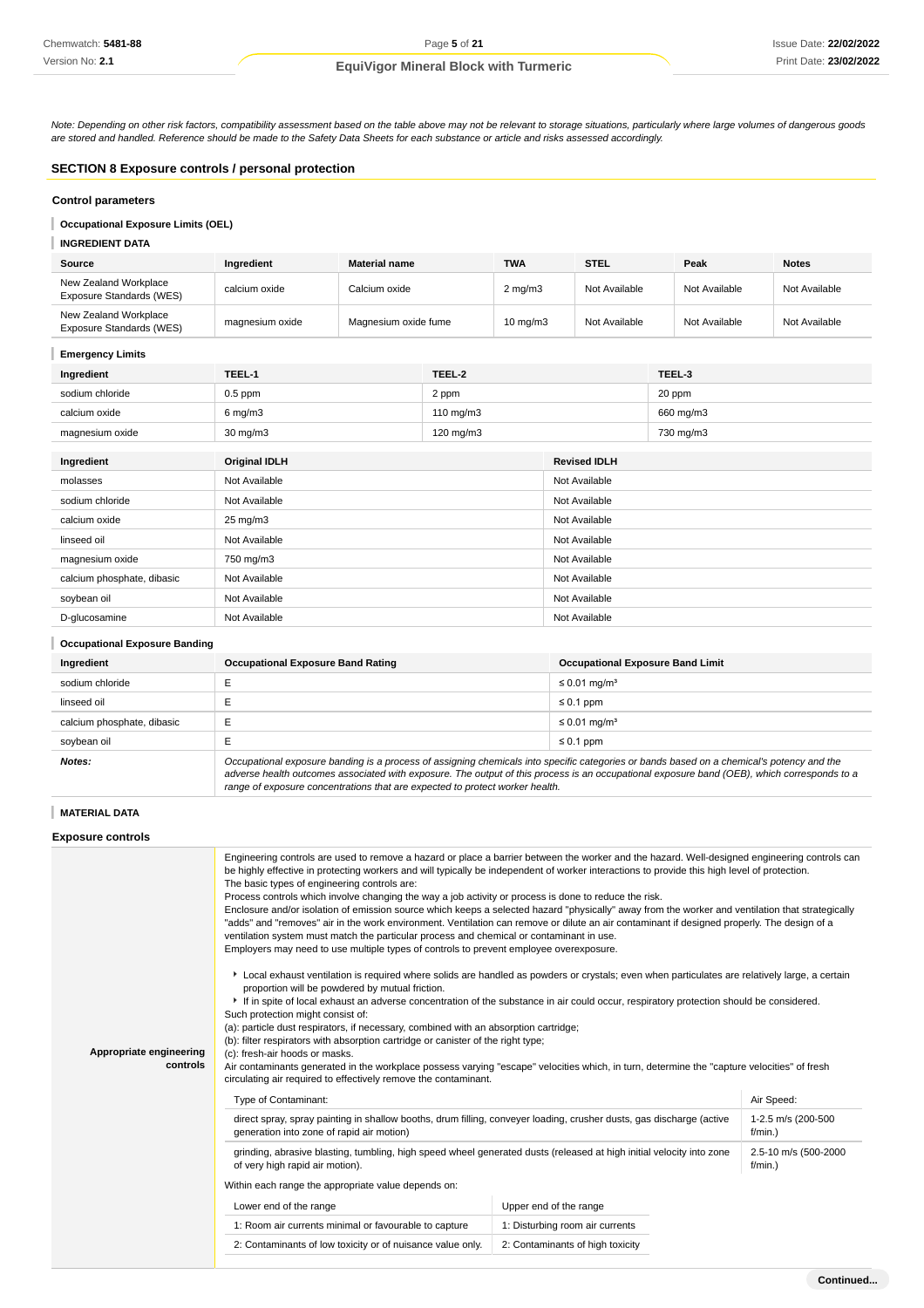Note: Depending on other risk factors, compatibility assessment based on the table above may not be relevant to storage situations, particularly where large volumes of dangerous goods are stored and handled. Reference should be made to the Safety Data Sheets for each substance or article and risks assessed accordingly.

## **SECTION 8 Exposure controls / personal protection**

#### **Control parameters**

## **Occupational Exposure Limits (OEL)**

#### **INGREDIENT DATA**

| Source                                            | Ingredient      | <b>Material name</b> | <b>TWA</b>          | <b>STEL</b>   | Peak          | <b>Notes</b>  |
|---------------------------------------------------|-----------------|----------------------|---------------------|---------------|---------------|---------------|
| New Zealand Workplace<br>Exposure Standards (WES) | calcium oxide   | Calcium oxide l      | $2 \text{ mg/m}$    | Not Available | Not Available | Not Available |
| New Zealand Workplace<br>Exposure Standards (WES) | magnesium oxide | Magnesium oxide fume | $10 \text{ mg/m}$ 3 | Not Available | Not Available | Not Available |

### **Emergency Limits**

| Ingredient      | TEEL-1             | TEEL-2               | TEEL-3    |
|-----------------|--------------------|----------------------|-----------|
| sodium chloride | $0.5$ ppm          | 2 ppm                | 20 ppm    |
| calcium oxide   | $6 \text{ mg/m}$ 3 | $110 \text{ ma/m}$ 3 | 660 mg/m3 |
| magnesium oxide | $30 \text{ mg/m}$  | $120 \text{ mg/m}$   | 730 mg/m3 |

| Ingredient                 | <b>Original IDLH</b> | <b>Revised IDLH</b> |
|----------------------------|----------------------|---------------------|
| molasses                   | Not Available        | Not Available       |
| sodium chloride            | Not Available        | Not Available       |
| calcium oxide              | $25 \text{ mg/m}$ 3  | Not Available       |
| linseed oil                | Not Available        | Not Available       |
| magnesium oxide            | 750 mg/m3            | Not Available       |
| calcium phosphate, dibasic | Not Available        | Not Available       |
| soybean oil                | Not Available        | Not Available       |
| D-glucosamine              | Not Available        | Not Available       |

#### **Occupational Exposure Banding**

| Ingredient                 | <b>Occupational Exposure Band Rating</b>                                                                                                  | <b>Occupational Exposure Band Limit</b> |  |  |
|----------------------------|-------------------------------------------------------------------------------------------------------------------------------------------|-----------------------------------------|--|--|
| sodium chloride            |                                                                                                                                           | $\leq 0.01$ mg/m <sup>3</sup>           |  |  |
| linseed oil                |                                                                                                                                           | $\leq 0.1$ ppm                          |  |  |
| calcium phosphate, dibasic | ►                                                                                                                                         | $\leq$ 0.01 mg/m <sup>3</sup>           |  |  |
| soybean oil                |                                                                                                                                           | $\leq 0.1$ ppm                          |  |  |
| Notes:                     | Occupational exposure banding is a process of assigning chemicals into specific categories or bands based on a chemical's potency and the |                                         |  |  |

adverse health outcomes associated with exposure. The output of this process is an occupational exposure band (OEB), which corresponds to a range of exposure concentrations that are expected to protect worker health.

## **MATERIAL DATA**

#### **Exposure controls**

| Appropriate engineering<br>controls                 | Engineering controls are used to remove a hazard or place a barrier between the worker and the hazard. Well-designed engineering controls can<br>be highly effective in protecting workers and will typically be independent of worker interactions to provide this high level of protection.<br>The basic types of engineering controls are:<br>Process controls which involve changing the way a job activity or process is done to reduce the risk.<br>Enclosure and/or isolation of emission source which keeps a selected hazard "physically" away from the worker and ventilation that strategically<br>"adds" and "removes" air in the work environment. Ventilation can remove or dilute an air contaminant if designed properly. The design of a<br>ventilation system must match the particular process and chemical or contaminant in use.<br>Employers may need to use multiple types of controls to prevent employee overexposure.<br>▶ Local exhaust ventilation is required where solids are handled as powders or crystals; even when particulates are relatively large, a certain<br>proportion will be powdered by mutual friction.<br>If in spite of local exhaust an adverse concentration of the substance in air could occur, respiratory protection should be considered.<br>Such protection might consist of:<br>(a): particle dust respirators, if necessary, combined with an absorption cartridge;<br>(b): filter respirators with absorption cartridge or canister of the right type;<br>(c): fresh-air hoods or masks. |                                  |  |  |  |
|-----------------------------------------------------|-----------------------------------------------------------------------------------------------------------------------------------------------------------------------------------------------------------------------------------------------------------------------------------------------------------------------------------------------------------------------------------------------------------------------------------------------------------------------------------------------------------------------------------------------------------------------------------------------------------------------------------------------------------------------------------------------------------------------------------------------------------------------------------------------------------------------------------------------------------------------------------------------------------------------------------------------------------------------------------------------------------------------------------------------------------------------------------------------------------------------------------------------------------------------------------------------------------------------------------------------------------------------------------------------------------------------------------------------------------------------------------------------------------------------------------------------------------------------------------------------------------------------------------------------------|----------------------------------|--|--|--|
|                                                     | Air contaminants generated in the workplace possess varying "escape" velocities which, in turn, determine the "capture velocities" of fresh<br>circulating air required to effectively remove the contaminant.                                                                                                                                                                                                                                                                                                                                                                                                                                                                                                                                                                                                                                                                                                                                                                                                                                                                                                                                                                                                                                                                                                                                                                                                                                                                                                                                      |                                  |  |  |  |
|                                                     | Type of Contaminant:                                                                                                                                                                                                                                                                                                                                                                                                                                                                                                                                                                                                                                                                                                                                                                                                                                                                                                                                                                                                                                                                                                                                                                                                                                                                                                                                                                                                                                                                                                                                | Air Speed:                       |  |  |  |
|                                                     | direct spray, spray painting in shallow booths, drum filling, conveyer loading, crusher dusts, gas discharge (active<br>generation into zone of rapid air motion)                                                                                                                                                                                                                                                                                                                                                                                                                                                                                                                                                                                                                                                                                                                                                                                                                                                                                                                                                                                                                                                                                                                                                                                                                                                                                                                                                                                   | 1-2.5 m/s (200-500<br>f/min.     |  |  |  |
|                                                     | grinding, abrasive blasting, tumbling, high speed wheel generated dusts (released at high initial velocity into zone<br>2.5-10 m/s (500-2000<br>of very high rapid air motion).<br>f/min.                                                                                                                                                                                                                                                                                                                                                                                                                                                                                                                                                                                                                                                                                                                                                                                                                                                                                                                                                                                                                                                                                                                                                                                                                                                                                                                                                           |                                  |  |  |  |
| Within each range the appropriate value depends on: |                                                                                                                                                                                                                                                                                                                                                                                                                                                                                                                                                                                                                                                                                                                                                                                                                                                                                                                                                                                                                                                                                                                                                                                                                                                                                                                                                                                                                                                                                                                                                     |                                  |  |  |  |
|                                                     | Lower end of the range                                                                                                                                                                                                                                                                                                                                                                                                                                                                                                                                                                                                                                                                                                                                                                                                                                                                                                                                                                                                                                                                                                                                                                                                                                                                                                                                                                                                                                                                                                                              | Upper end of the range           |  |  |  |
|                                                     | 1: Room air currents minimal or favourable to capture                                                                                                                                                                                                                                                                                                                                                                                                                                                                                                                                                                                                                                                                                                                                                                                                                                                                                                                                                                                                                                                                                                                                                                                                                                                                                                                                                                                                                                                                                               | 1: Disturbing room air currents  |  |  |  |
|                                                     | 2: Contaminants of low toxicity or of nuisance value only.                                                                                                                                                                                                                                                                                                                                                                                                                                                                                                                                                                                                                                                                                                                                                                                                                                                                                                                                                                                                                                                                                                                                                                                                                                                                                                                                                                                                                                                                                          | 2: Contaminants of high toxicity |  |  |  |
|                                                     |                                                                                                                                                                                                                                                                                                                                                                                                                                                                                                                                                                                                                                                                                                                                                                                                                                                                                                                                                                                                                                                                                                                                                                                                                                                                                                                                                                                                                                                                                                                                                     |                                  |  |  |  |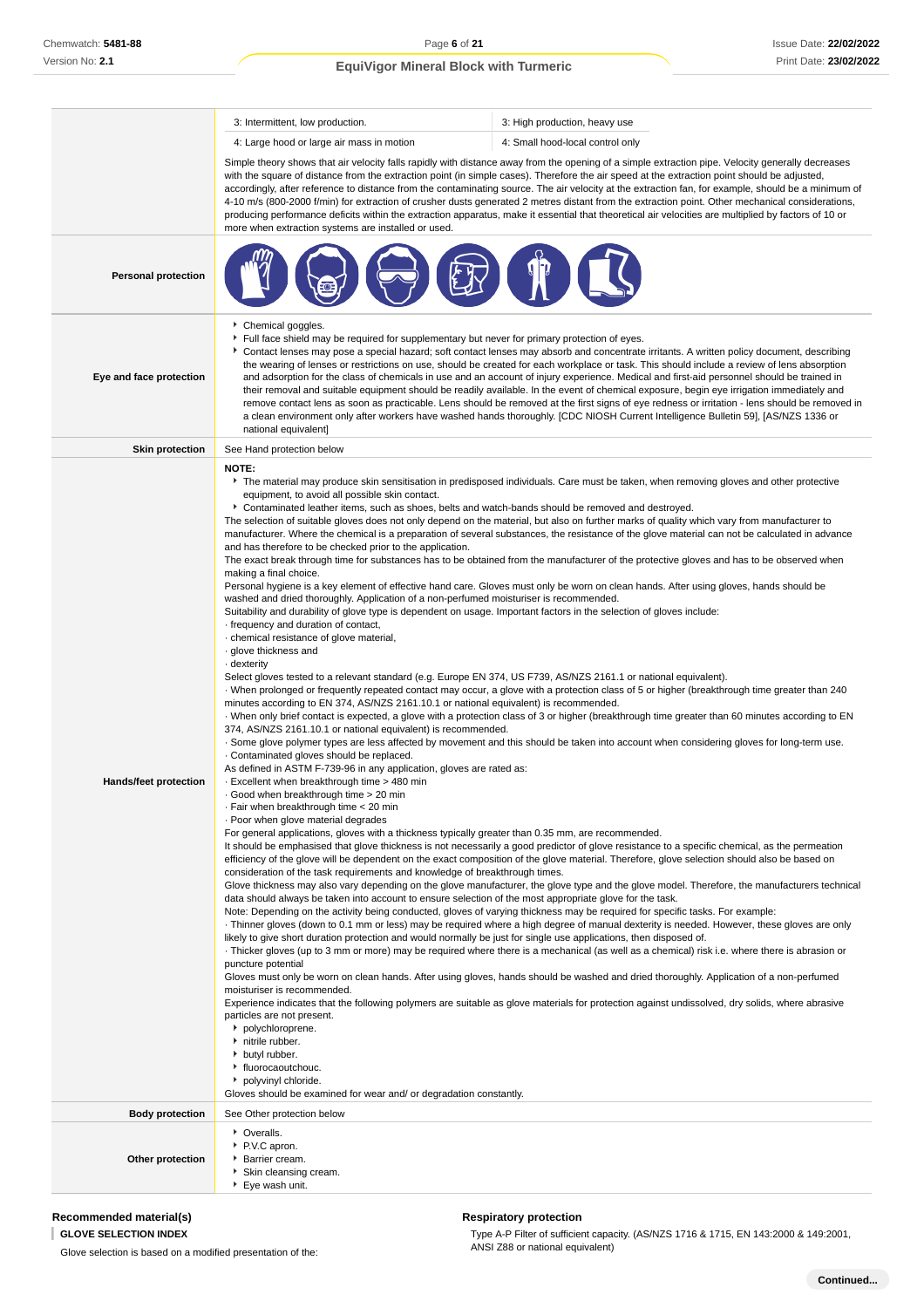|                            | 3: Intermittent, low production.                                                                                                                                                                                                                                                                                                                                                                                                                                                                                                                                                                                                                                                                                                                                                                                                                                                                                                                                                                                                                                                                                                                                                                                                                                                                                                                                                                                                                                                                                                                                                                                                                                                                                                                                                                                                                                     | 3: High production, heavy use                                                                                                                                                                                                                                                                                                                                                                                                                                                                                                                                                                                                                                                                                                                                                                                                                                                                                                                                                                                                                                                                                                                                                                                                                                                                                                                                                                                                                                                                                                                                                                                                                                                                                                                                                                                                                                                                                                                                                                                                                                                                                                                                                                                                                                                                                                                                |  |  |  |
|----------------------------|----------------------------------------------------------------------------------------------------------------------------------------------------------------------------------------------------------------------------------------------------------------------------------------------------------------------------------------------------------------------------------------------------------------------------------------------------------------------------------------------------------------------------------------------------------------------------------------------------------------------------------------------------------------------------------------------------------------------------------------------------------------------------------------------------------------------------------------------------------------------------------------------------------------------------------------------------------------------------------------------------------------------------------------------------------------------------------------------------------------------------------------------------------------------------------------------------------------------------------------------------------------------------------------------------------------------------------------------------------------------------------------------------------------------------------------------------------------------------------------------------------------------------------------------------------------------------------------------------------------------------------------------------------------------------------------------------------------------------------------------------------------------------------------------------------------------------------------------------------------------|--------------------------------------------------------------------------------------------------------------------------------------------------------------------------------------------------------------------------------------------------------------------------------------------------------------------------------------------------------------------------------------------------------------------------------------------------------------------------------------------------------------------------------------------------------------------------------------------------------------------------------------------------------------------------------------------------------------------------------------------------------------------------------------------------------------------------------------------------------------------------------------------------------------------------------------------------------------------------------------------------------------------------------------------------------------------------------------------------------------------------------------------------------------------------------------------------------------------------------------------------------------------------------------------------------------------------------------------------------------------------------------------------------------------------------------------------------------------------------------------------------------------------------------------------------------------------------------------------------------------------------------------------------------------------------------------------------------------------------------------------------------------------------------------------------------------------------------------------------------------------------------------------------------------------------------------------------------------------------------------------------------------------------------------------------------------------------------------------------------------------------------------------------------------------------------------------------------------------------------------------------------------------------------------------------------------------------------------------------------|--|--|--|
|                            | 4: Large hood or large air mass in motion                                                                                                                                                                                                                                                                                                                                                                                                                                                                                                                                                                                                                                                                                                                                                                                                                                                                                                                                                                                                                                                                                                                                                                                                                                                                                                                                                                                                                                                                                                                                                                                                                                                                                                                                                                                                                            | 4: Small hood-local control only                                                                                                                                                                                                                                                                                                                                                                                                                                                                                                                                                                                                                                                                                                                                                                                                                                                                                                                                                                                                                                                                                                                                                                                                                                                                                                                                                                                                                                                                                                                                                                                                                                                                                                                                                                                                                                                                                                                                                                                                                                                                                                                                                                                                                                                                                                                             |  |  |  |
|                            | more when extraction systems are installed or used.                                                                                                                                                                                                                                                                                                                                                                                                                                                                                                                                                                                                                                                                                                                                                                                                                                                                                                                                                                                                                                                                                                                                                                                                                                                                                                                                                                                                                                                                                                                                                                                                                                                                                                                                                                                                                  | Simple theory shows that air velocity falls rapidly with distance away from the opening of a simple extraction pipe. Velocity generally decreases<br>with the square of distance from the extraction point (in simple cases). Therefore the air speed at the extraction point should be adjusted,<br>accordingly, after reference to distance from the contaminating source. The air velocity at the extraction fan, for example, should be a minimum of<br>4-10 m/s (800-2000 f/min) for extraction of crusher dusts generated 2 metres distant from the extraction point. Other mechanical considerations,<br>producing performance deficits within the extraction apparatus, make it essential that theoretical air velocities are multiplied by factors of 10 or                                                                                                                                                                                                                                                                                                                                                                                                                                                                                                                                                                                                                                                                                                                                                                                                                                                                                                                                                                                                                                                                                                                                                                                                                                                                                                                                                                                                                                                                                                                                                                                         |  |  |  |
| <b>Personal protection</b> |                                                                                                                                                                                                                                                                                                                                                                                                                                                                                                                                                                                                                                                                                                                                                                                                                                                                                                                                                                                                                                                                                                                                                                                                                                                                                                                                                                                                                                                                                                                                                                                                                                                                                                                                                                                                                                                                      |                                                                                                                                                                                                                                                                                                                                                                                                                                                                                                                                                                                                                                                                                                                                                                                                                                                                                                                                                                                                                                                                                                                                                                                                                                                                                                                                                                                                                                                                                                                                                                                                                                                                                                                                                                                                                                                                                                                                                                                                                                                                                                                                                                                                                                                                                                                                                              |  |  |  |
| Eye and face protection    | Chemical goggles.<br>Full face shield may be required for supplementary but never for primary protection of eyes.<br>Contact lenses may pose a special hazard; soft contact lenses may absorb and concentrate irritants. A written policy document, describing<br>the wearing of lenses or restrictions on use, should be created for each workplace or task. This should include a review of lens absorption<br>and adsorption for the class of chemicals in use and an account of injury experience. Medical and first-aid personnel should be trained in<br>their removal and suitable equipment should be readily available. In the event of chemical exposure, begin eye irrigation immediately and<br>remove contact lens as soon as practicable. Lens should be removed at the first signs of eye redness or irritation - lens should be removed in<br>a clean environment only after workers have washed hands thoroughly. [CDC NIOSH Current Intelligence Bulletin 59], [AS/NZS 1336 or<br>national equivalent]                                                                                                                                                                                                                                                                                                                                                                                                                                                                                                                                                                                                                                                                                                                                                                                                                                             |                                                                                                                                                                                                                                                                                                                                                                                                                                                                                                                                                                                                                                                                                                                                                                                                                                                                                                                                                                                                                                                                                                                                                                                                                                                                                                                                                                                                                                                                                                                                                                                                                                                                                                                                                                                                                                                                                                                                                                                                                                                                                                                                                                                                                                                                                                                                                              |  |  |  |
| <b>Skin protection</b>     | See Hand protection below                                                                                                                                                                                                                                                                                                                                                                                                                                                                                                                                                                                                                                                                                                                                                                                                                                                                                                                                                                                                                                                                                                                                                                                                                                                                                                                                                                                                                                                                                                                                                                                                                                                                                                                                                                                                                                            |                                                                                                                                                                                                                                                                                                                                                                                                                                                                                                                                                                                                                                                                                                                                                                                                                                                                                                                                                                                                                                                                                                                                                                                                                                                                                                                                                                                                                                                                                                                                                                                                                                                                                                                                                                                                                                                                                                                                                                                                                                                                                                                                                                                                                                                                                                                                                              |  |  |  |
| Hands/feet protection      | <b>NOTE:</b><br>equipment, to avoid all possible skin contact.<br>Contaminated leather items, such as shoes, belts and watch-bands should be removed and destroyed.<br>and has therefore to be checked prior to the application.<br>making a final choice.<br>washed and dried thoroughly. Application of a non-perfumed moisturiser is recommended.<br>Suitability and durability of glove type is dependent on usage. Important factors in the selection of gloves include:<br>frequency and duration of contact,<br>· chemical resistance of glove material,<br>glove thickness and<br>- dexterity<br>Select gloves tested to a relevant standard (e.g. Europe EN 374, US F739, AS/NZS 2161.1 or national equivalent).<br>minutes according to EN 374, AS/NZS 2161.10.1 or national equivalent) is recommended.<br>374, AS/NZS 2161.10.1 or national equivalent) is recommended.<br>. Contaminated gloves should be replaced.<br>As defined in ASTM F-739-96 in any application, gloves are rated as:<br>. Excellent when breakthrough time > 480 min<br>Good when breakthrough time > 20 min<br>Fair when breakthrough time < 20 min<br>· Poor when glove material degrades<br>For general applications, gloves with a thickness typically greater than 0.35 mm, are recommended.<br>consideration of the task requirements and knowledge of breakthrough times.<br>data should always be taken into account to ensure selection of the most appropriate glove for the task.<br>likely to give short duration protection and would normally be just for single use applications, then disposed of.<br>puncture potential<br>moisturiser is recommended.<br>particles are not present.<br>polychloroprene.<br>initrile rubber.<br>butyl rubber.<br>fluorocaoutchouc.<br>polyvinyl chloride.<br>Gloves should be examined for wear and/ or degradation constantly. | The material may produce skin sensitisation in predisposed individuals. Care must be taken, when removing gloves and other protective<br>The selection of suitable gloves does not only depend on the material, but also on further marks of quality which vary from manufacturer to<br>manufacturer. Where the chemical is a preparation of several substances, the resistance of the glove material can not be calculated in advance<br>The exact break through time for substances has to be obtained from the manufacturer of the protective gloves and has to be observed when<br>Personal hygiene is a key element of effective hand care. Gloves must only be worn on clean hands. After using gloves, hands should be<br>When prolonged or frequently repeated contact may occur, a glove with a protection class of 5 or higher (breakthrough time greater than 240<br>· When only brief contact is expected, a glove with a protection class of 3 or higher (breakthrough time greater than 60 minutes according to EN<br>. Some glove polymer types are less affected by movement and this should be taken into account when considering gloves for long-term use.<br>It should be emphasised that glove thickness is not necessarily a good predictor of glove resistance to a specific chemical, as the permeation<br>efficiency of the glove will be dependent on the exact composition of the glove material. Therefore, glove selection should also be based on<br>Glove thickness may also vary depending on the glove manufacturer, the glove type and the glove model. Therefore, the manufacturers technical<br>Note: Depending on the activity being conducted, gloves of varying thickness may be required for specific tasks. For example:<br>Thinner gloves (down to 0.1 mm or less) may be required where a high degree of manual dexterity is needed. However, these gloves are only<br>Thicker gloves (up to 3 mm or more) may be required where there is a mechanical (as well as a chemical) risk i.e. where there is abrasion or<br>Gloves must only be worn on clean hands. After using gloves, hands should be washed and dried thoroughly. Application of a non-perfumed<br>Experience indicates that the following polymers are suitable as glove materials for protection against undissolved, dry solids, where abrasive |  |  |  |
| <b>Body protection</b>     | See Other protection below                                                                                                                                                                                                                                                                                                                                                                                                                                                                                                                                                                                                                                                                                                                                                                                                                                                                                                                                                                                                                                                                                                                                                                                                                                                                                                                                                                                                                                                                                                                                                                                                                                                                                                                                                                                                                                           |                                                                                                                                                                                                                                                                                                                                                                                                                                                                                                                                                                                                                                                                                                                                                                                                                                                                                                                                                                                                                                                                                                                                                                                                                                                                                                                                                                                                                                                                                                                                                                                                                                                                                                                                                                                                                                                                                                                                                                                                                                                                                                                                                                                                                                                                                                                                                              |  |  |  |
| Other protection           | • Overalls.<br>▶ P.V.C apron.<br>▶ Barrier cream.<br>Skin cleansing cream.<br>▶ Eye wash unit.                                                                                                                                                                                                                                                                                                                                                                                                                                                                                                                                                                                                                                                                                                                                                                                                                                                                                                                                                                                                                                                                                                                                                                                                                                                                                                                                                                                                                                                                                                                                                                                                                                                                                                                                                                       |                                                                                                                                                                                                                                                                                                                                                                                                                                                                                                                                                                                                                                                                                                                                                                                                                                                                                                                                                                                                                                                                                                                                                                                                                                                                                                                                                                                                                                                                                                                                                                                                                                                                                                                                                                                                                                                                                                                                                                                                                                                                                                                                                                                                                                                                                                                                                              |  |  |  |

## **Recommended material(s)**

**GLOVE SELECTION INDEX**

Glove selection is based on a modified presentation of the:

## **Respiratory protection**

Type A-P Filter of sufficient capacity. (AS/NZS 1716 & 1715, EN 143:2000 & 149:2001, ANSI Z88 or national equivalent)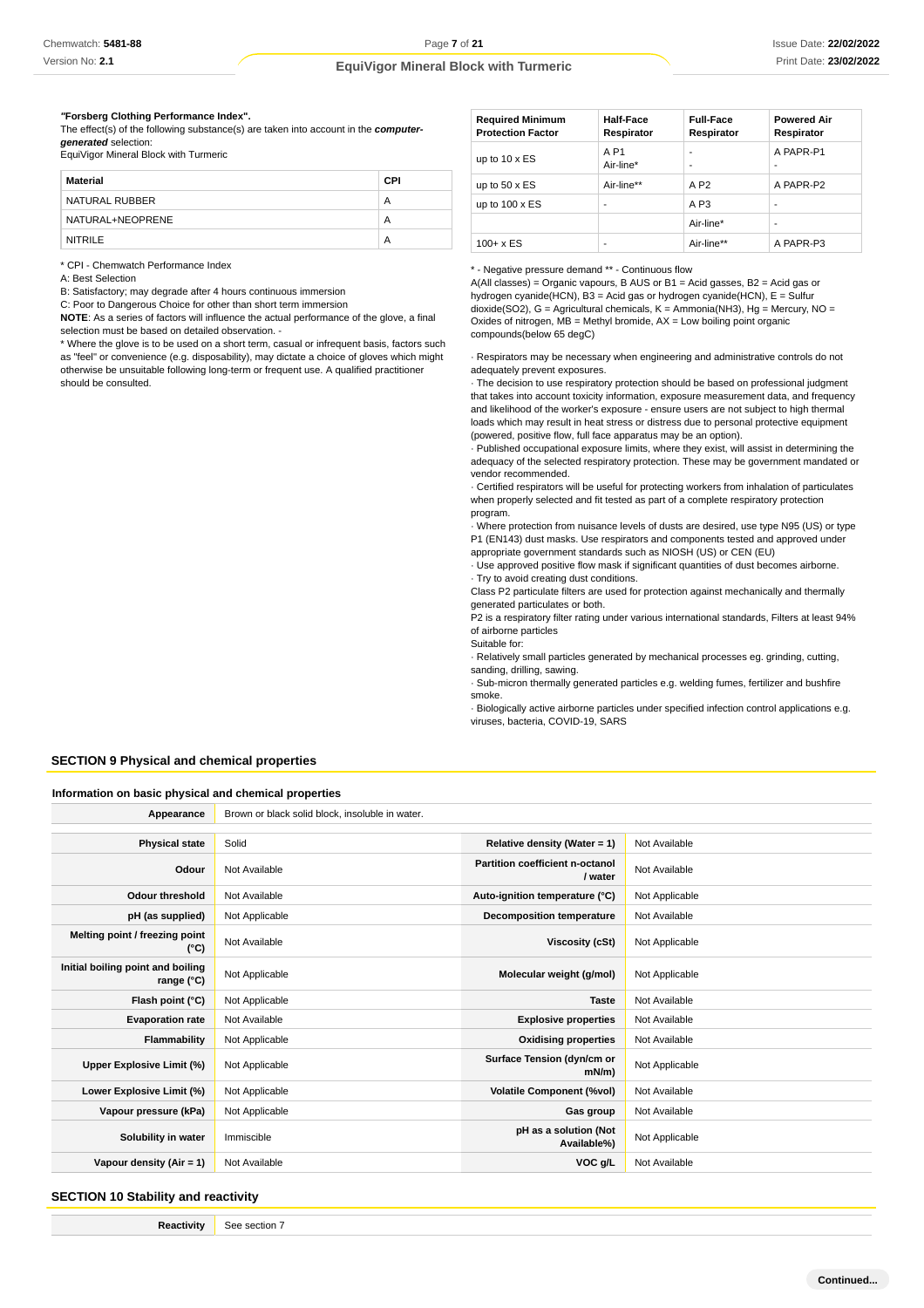Version No: **2.1**

## **EquiVigor Mineral Block with Turmeric**

#### **"Forsberg Clothing Performance Index".**

The effect(s) of the following substance(s) are taken into account in the **computergenerated** selection: EquiVigor Mineral Block with Turmeric

| Material         | CPI |
|------------------|-----|
| NATURAL RUBBER   | Α   |
| NATURAL+NEOPRENE | Α   |
| <b>NITRILE</b>   | А   |

\* CPI - Chemwatch Performance Index

A: Best Selection

B: Satisfactory; may degrade after 4 hours continuous immersion

C: Poor to Dangerous Choice for other than short term immersion

**NOTE**: As a series of factors will influence the actual performance of the glove, a final selection must be based on detailed observation. -

\* Where the glove is to be used on a short term, casual or infrequent basis, factors such as "feel" or convenience (e.g. disposability), may dictate a choice of gloves which might otherwise be unsuitable following long-term or frequent use. A qualified practitioner should be consulted.

| <b>Required Minimum</b><br><b>Protection Factor</b> | <b>Half-Face</b><br>Respirator | <b>Full-Face</b><br>Respirator | <b>Powered Air</b><br>Respirator |
|-----------------------------------------------------|--------------------------------|--------------------------------|----------------------------------|
| up to $10 \times ES$                                | A P <sub>1</sub><br>Air-line*  | -                              | A PAPR-P1                        |
| up to $50 \times ES$                                | Air-line**                     | A P <sub>2</sub>               | A PAPR-P2                        |
| up to $100 \times ES$                               | -                              | A <sub>P3</sub>                | ۰                                |
|                                                     |                                | Air-line*                      |                                  |
| $100 + x ES$                                        |                                | Air-line**                     | A PAPR-P3                        |

#### \* - Negative pressure demand \*\* - Continuous flow

A(All classes) = Organic vapours, B AUS or B1 = Acid gasses, B2 = Acid gas or hydrogen cyanide(HCN), B3 = Acid gas or hydrogen cyanide(HCN), E = Sulfur dioxide(SO2), G = Agricultural chemicals, K = Ammonia(NH3), Hg = Mercury, NO = Oxides of nitrogen,  $MB =$  Methyl bromide,  $AX =$  Low boiling point organic compounds(below 65 degC)

· Respirators may be necessary when engineering and administrative controls do not adequately prevent exposures.

· The decision to use respiratory protection should be based on professional judgment that takes into account toxicity information, exposure measurement data, and frequency and likelihood of the worker's exposure - ensure users are not subject to high thermal loads which may result in heat stress or distress due to personal protective equipment (powered, positive flow, full face apparatus may be an option).

· Published occupational exposure limits, where they exist, will assist in determining the adequacy of the selected respiratory protection. These may be government mandated or vendor recommended.

· Certified respirators will be useful for protecting workers from inhalation of particulates when properly selected and fit tested as part of a complete respiratory protection program.

· Where protection from nuisance levels of dusts are desired, use type N95 (US) or type P1 (EN143) dust masks. Use respirators and components tested and approved under appropriate government standards such as NIOSH (US) or CEN (EU)

· Use approved positive flow mask if significant quantities of dust becomes airborne. · Try to avoid creating dust conditions.

Class P2 particulate filters are used for protection against mechanically and thermally generated particulates or both.

P2 is a respiratory filter rating under various international standards, Filters at least 94% of airborne particles

Suitable for:

· Relatively small particles generated by mechanical processes eg. grinding, cutting, sanding, drilling, sawing.

· Sub-micron thermally generated particles e.g. welding fumes, fertilizer and bushfire smoke.

· Biologically active airborne particles under specified infection control applications e.g. viruses, bacteria, COVID-19, SARS

#### **SECTION 9 Physical and chemical properties**

#### **Information on basic physical and chemical properties**

| Appearance                                      | Brown or black solid block, insoluble in water. |                                            |                |
|-------------------------------------------------|-------------------------------------------------|--------------------------------------------|----------------|
|                                                 |                                                 |                                            |                |
| <b>Physical state</b>                           | Solid                                           | Relative density (Water = 1)               | Not Available  |
| Odour                                           | Not Available                                   | Partition coefficient n-octanol<br>/ water | Not Available  |
| <b>Odour threshold</b>                          | Not Available                                   | Auto-ignition temperature (°C)             | Not Applicable |
| pH (as supplied)                                | Not Applicable                                  | <b>Decomposition temperature</b>           | Not Available  |
| Melting point / freezing point<br>(°C)          | Not Available                                   | Viscosity (cSt)                            | Not Applicable |
| Initial boiling point and boiling<br>range (°C) | Not Applicable                                  | Molecular weight (g/mol)                   | Not Applicable |
| Flash point (°C)                                | Not Applicable                                  | <b>Taste</b>                               | Not Available  |
| <b>Evaporation rate</b>                         | Not Available                                   | <b>Explosive properties</b>                | Not Available  |
| Flammability                                    | Not Applicable                                  | <b>Oxidising properties</b>                | Not Available  |
| Upper Explosive Limit (%)                       | Not Applicable                                  | Surface Tension (dyn/cm or<br>mN/m         | Not Applicable |
| Lower Explosive Limit (%)                       | Not Applicable                                  | <b>Volatile Component (%vol)</b>           | Not Available  |
| Vapour pressure (kPa)                           | Not Applicable                                  | Gas group                                  | Not Available  |
| Solubility in water                             | Immiscible                                      | pH as a solution (Not<br>Available%)       | Not Applicable |
| Vapour density $(Air = 1)$                      | Not Available                                   | VOC g/L                                    | Not Available  |

**SECTION 10 Stability and reactivity**

**Reactivity** See section 7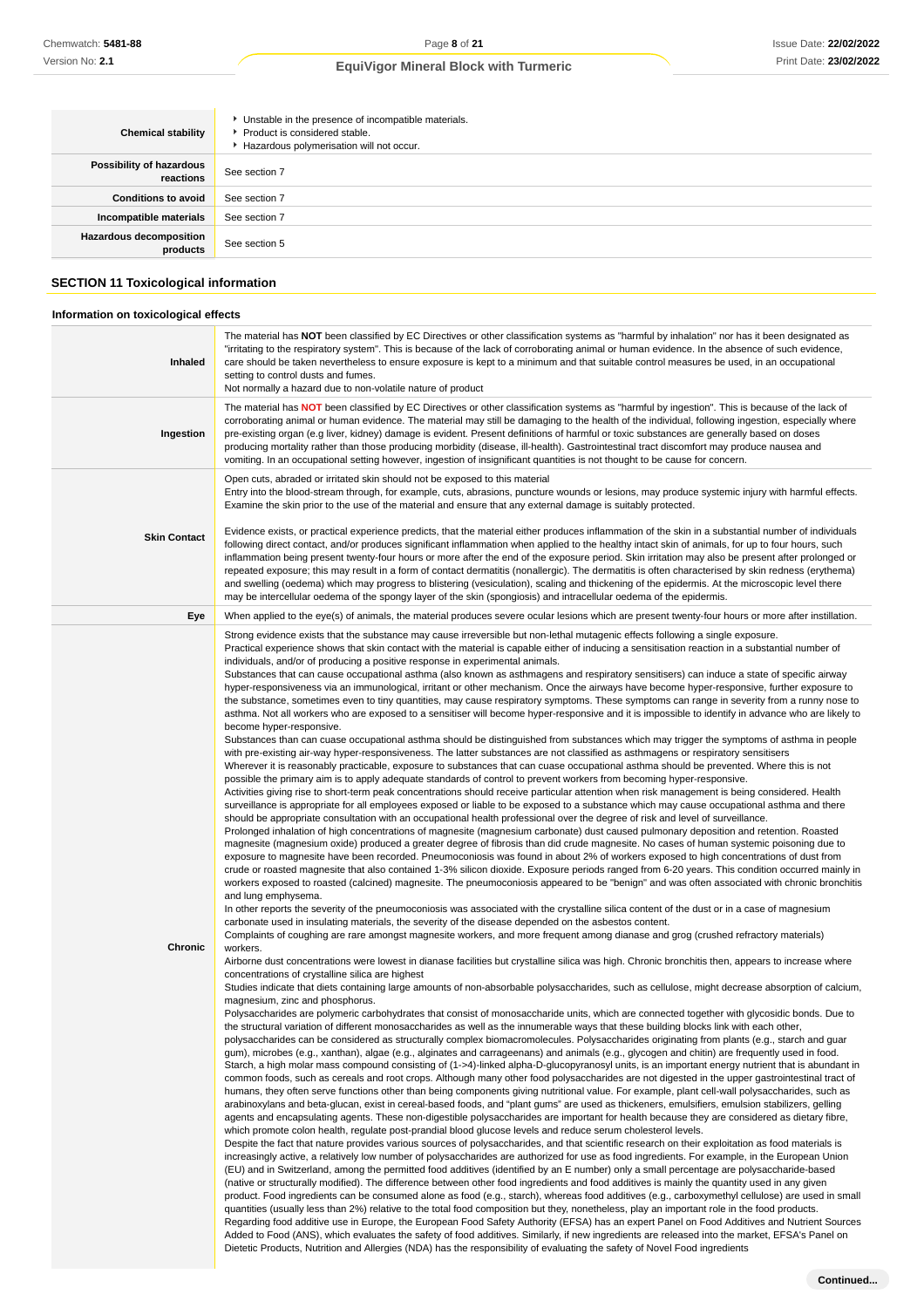**Chronic**

### **EquiVigor Mineral Block with Turmeric**

| <b>Chemical stability</b>                                                           | Unstable in the presence of incompatible materials.<br>Product is considered stable.<br>Hazardous polymerisation will not occur.                                                                                                                                                                                                                                                                                                                                                                                                                    |
|-------------------------------------------------------------------------------------|-----------------------------------------------------------------------------------------------------------------------------------------------------------------------------------------------------------------------------------------------------------------------------------------------------------------------------------------------------------------------------------------------------------------------------------------------------------------------------------------------------------------------------------------------------|
| Possibility of hazardous<br>reactions                                               | See section 7                                                                                                                                                                                                                                                                                                                                                                                                                                                                                                                                       |
| <b>Conditions to avoid</b>                                                          | See section 7                                                                                                                                                                                                                                                                                                                                                                                                                                                                                                                                       |
| Incompatible materials                                                              | See section 7                                                                                                                                                                                                                                                                                                                                                                                                                                                                                                                                       |
| <b>Hazardous decomposition</b><br>products                                          | See section 5                                                                                                                                                                                                                                                                                                                                                                                                                                                                                                                                       |
| <b>SECTION 11 Toxicological information</b><br>Information on toxicological effects |                                                                                                                                                                                                                                                                                                                                                                                                                                                                                                                                                     |
| Inhaled                                                                             | The material has NOT been classified by EC Directives or other classification systems as "harmful by inhalation" nor has it been designated as<br>"irritating to the respiratory system". This is because of the lack of corroborating animal or human evidence. In the absence of such evidence,<br>care should be taken nevertheless to ensure exposure is kept to a minimum and that suitable control measures be used, in an occupational<br>setting to control dusts and fumes.<br>Not normally a hazard due to non-volatile nature of product |

**Ingestion** The material has **NOT** been classified by EC Directives or other classification systems as "harmful by ingestion". This is because of the lack of corroborating animal or human evidence. The material may still be damaging to the health of the individual, following ingestion, especially where pre-existing organ (e.g liver, kidney) damage is evident. Present definitions of harmful or toxic substances are generally based on doses producing mortality rather than those producing morbidity (disease, ill-health). Gastrointestinal tract discomfort may produce nausea and vomiting. In an occupational setting however, ingestion of insignificant quantities is not thought to be cause for concern. Open cuts, abraded or irritated skin should not be exposed to this material Entry into the blood-stream through, for example, cuts, abrasions, puncture wounds or lesions, may produce systemic injury with harmful effects. Examine the skin prior to the use of the material and ensure that any external damage is suitably protected.

#### **Skin Contact** Evidence exists, or practical experience predicts, that the material either produces inflammation of the skin in a substantial number of individuals following direct contact, and/or produces significant inflammation when applied to the healthy intact skin of animals, for up to four hours, such inflammation being present twenty-four hours or more after the end of the exposure period. Skin irritation may also be present after prolonged or repeated exposure; this may result in a form of contact dermatitis (nonallergic). The dermatitis is often characterised by skin redness (erythema) and swelling (oedema) which may progress to blistering (vesiculation), scaling and thickening of the epidermis. At the microscopic level there may be intercellular oedema of the spongy layer of the skin (spongiosis) and intracellular oedema of the epidermis. **Eye** When applied to the eye(s) of animals, the material produces severe ocular lesions which are present twenty-four hours or more after instillation.

Strong evidence exists that the substance may cause irreversible but non-lethal mutagenic effects following a single exposure. Practical experience shows that skin contact with the material is capable either of inducing a sensitisation reaction in a substantial number of

individuals, and/or of producing a positive response in experimental animals. Substances that can cause occupational asthma (also known as asthmagens and respiratory sensitisers) can induce a state of specific airway hyper-responsiveness via an immunological, irritant or other mechanism. Once the airways have become hyper-responsive, further exposure to the substance, sometimes even to tiny quantities, may cause respiratory symptoms. These symptoms can range in severity from a runny nose to asthma. Not all workers who are exposed to a sensitiser will become hyper-responsive and it is impossible to identify in advance who are likely to become hyper-responsive.

Substances than can cuase occupational asthma should be distinguished from substances which may trigger the symptoms of asthma in people with pre-existing air-way hyper-responsiveness. The latter substances are not classified as asthmagens or respiratory sensitisers

Wherever it is reasonably practicable, exposure to substances that can cuase occupational asthma should be prevented. Where this is not possible the primary aim is to apply adequate standards of control to prevent workers from becoming hyper-responsive.

Activities giving rise to short-term peak concentrations should receive particular attention when risk management is being considered. Health surveillance is appropriate for all employees exposed or liable to be exposed to a substance which may cause occupational asthma and there should be appropriate consultation with an occupational health professional over the degree of risk and level of surveillance.

Prolonged inhalation of high concentrations of magnesite (magnesium carbonate) dust caused pulmonary deposition and retention. Roasted magnesite (magnesium oxide) produced a greater degree of fibrosis than did crude magnesite. No cases of human systemic poisoning due to exposure to magnesite have been recorded. Pneumoconiosis was found in about 2% of workers exposed to high concentrations of dust from crude or roasted magnesite that also contained 1-3% silicon dioxide. Exposure periods ranged from 6-20 years. This condition occurred mainly in workers exposed to roasted (calcined) magnesite. The pneumoconiosis appeared to be "benign" and was often associated with chronic bronchitis and lung emphysema.

In other reports the severity of the pneumoconiosis was associated with the crystalline silica content of the dust or in a case of magnesium carbonate used in insulating materials, the severity of the disease depended on the asbestos content.

Complaints of coughing are rare amongst magnesite workers, and more frequent among dianase and grog (crushed refractory materials) workers.

Airborne dust concentrations were lowest in dianase facilities but crystalline silica was high. Chronic bronchitis then, appears to increase where concentrations of crystalline silica are highest

Studies indicate that diets containing large amounts of non-absorbable polysaccharides, such as cellulose, might decrease absorption of calcium, magnesium, zinc and phosphorus.

Polysaccharides are polymeric carbohydrates that consist of monosaccharide units, which are connected together with glycosidic bonds. Due to the structural variation of different monosaccharides as well as the innumerable ways that these building blocks link with each other, polysaccharides can be considered as structurally complex biomacromolecules. Polysaccharides originating from plants (e.g., starch and guar gum), microbes (e.g., xanthan), algae (e.g., alginates and carrageenans) and animals (e.g., glycogen and chitin) are frequently used in food. Starch, a high molar mass compound consisting of (1->4)-linked alpha-D-glucopyranosyl units, is an important energy nutrient that is abundant in

common foods, such as cereals and root crops. Although many other food polysaccharides are not digested in the upper gastrointestinal tract of humans, they often serve functions other than being components giving nutritional value. For example, plant cell-wall polysaccharides, such as arabinoxylans and beta-glucan, exist in cereal-based foods, and "plant gums" are used as thickeners, emulsifiers, emulsion stabilizers, gelling agents and encapsulating agents. These non-digestible polysaccharides are important for health because they are considered as dietary fibre, which promote colon health, regulate post-prandial blood glucose levels and reduce serum cholesterol levels.

Despite the fact that nature provides various sources of polysaccharides, and that scientific research on their exploitation as food materials is increasingly active, a relatively low number of polysaccharides are authorized for use as food ingredients. For example, in the European Union (EU) and in Switzerland, among the permitted food additives (identified by an E number) only a small percentage are polysaccharide-based (native or structurally modified). The difference between other food ingredients and food additives is mainly the quantity used in any given product. Food ingredients can be consumed alone as food (e.g., starch), whereas food additives (e.g., carboxymethyl cellulose) are used in small quantities (usually less than 2%) relative to the total food composition but they, nonetheless, play an important role in the food products. Regarding food additive use in Europe, the European Food Safety Authority (EFSA) has an expert Panel on Food Additives and Nutrient Sources Added to Food (ANS), which evaluates the safety of food additives. Similarly, if new ingredients are released into the market, EFSA's Panel on Dietetic Products, Nutrition and Allergies (NDA) has the responsibility of evaluating the safety of Novel Food ingredients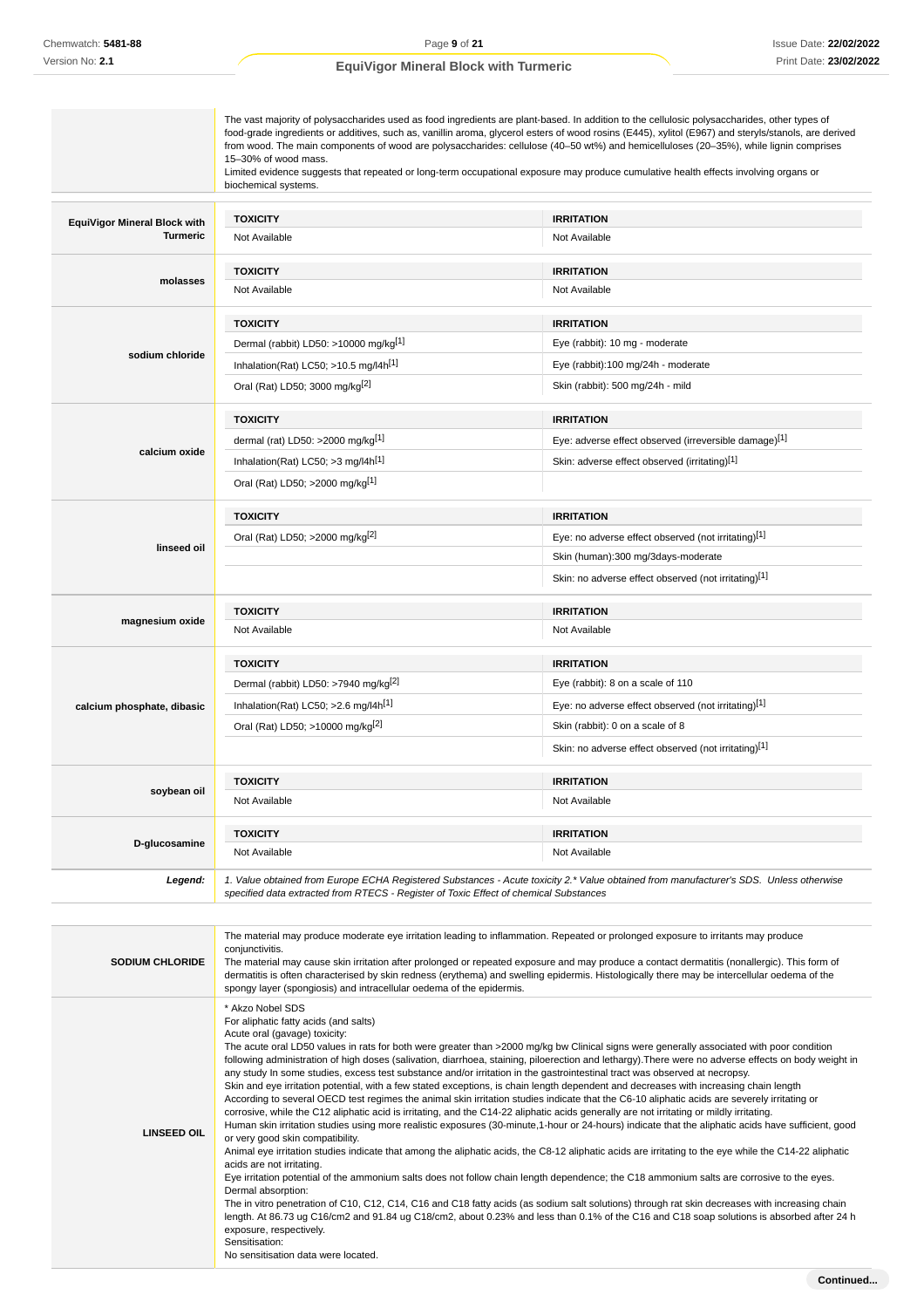|                                     | The vast majority of polysaccharides used as food ingredients are plant-based. In addition to the cellulosic polysaccharides, other types of<br>food-grade ingredients or additives, such as, vanillin aroma, glycerol esters of wood rosins (E445), xylitol (E967) and steryls/stanols, are derived<br>from wood. The main components of wood are polysaccharides: cellulose (40–50 wt%) and hemicelluloses (20–35%), while lignin comprises<br>15-30% of wood mass.<br>Limited evidence suggests that repeated or long-term occupational exposure may produce cumulative health effects involving organs or<br>biochemical systems. |                                                                                                                                                                                                                                                                                                                                                                                                                                   |  |  |
|-------------------------------------|---------------------------------------------------------------------------------------------------------------------------------------------------------------------------------------------------------------------------------------------------------------------------------------------------------------------------------------------------------------------------------------------------------------------------------------------------------------------------------------------------------------------------------------------------------------------------------------------------------------------------------------|-----------------------------------------------------------------------------------------------------------------------------------------------------------------------------------------------------------------------------------------------------------------------------------------------------------------------------------------------------------------------------------------------------------------------------------|--|--|
| <b>EquiVigor Mineral Block with</b> | <b>TOXICITY</b>                                                                                                                                                                                                                                                                                                                                                                                                                                                                                                                                                                                                                       | <b>IRRITATION</b>                                                                                                                                                                                                                                                                                                                                                                                                                 |  |  |
| Turmeric                            | Not Available                                                                                                                                                                                                                                                                                                                                                                                                                                                                                                                                                                                                                         | Not Available                                                                                                                                                                                                                                                                                                                                                                                                                     |  |  |
| molasses                            | <b>TOXICITY</b>                                                                                                                                                                                                                                                                                                                                                                                                                                                                                                                                                                                                                       | <b>IRRITATION</b>                                                                                                                                                                                                                                                                                                                                                                                                                 |  |  |
|                                     | Not Available                                                                                                                                                                                                                                                                                                                                                                                                                                                                                                                                                                                                                         | Not Available                                                                                                                                                                                                                                                                                                                                                                                                                     |  |  |
|                                     | <b>TOXICITY</b>                                                                                                                                                                                                                                                                                                                                                                                                                                                                                                                                                                                                                       | <b>IRRITATION</b>                                                                                                                                                                                                                                                                                                                                                                                                                 |  |  |
|                                     | Dermal (rabbit) LD50: >10000 mg/kg <sup>[1]</sup>                                                                                                                                                                                                                                                                                                                                                                                                                                                                                                                                                                                     | Eye (rabbit): 10 mg - moderate                                                                                                                                                                                                                                                                                                                                                                                                    |  |  |
| sodium chloride                     | Inhalation(Rat) LC50; $>10.5$ mg/l4h <sup>[1]</sup>                                                                                                                                                                                                                                                                                                                                                                                                                                                                                                                                                                                   | Eye (rabbit):100 mg/24h - moderate                                                                                                                                                                                                                                                                                                                                                                                                |  |  |
|                                     | Oral (Rat) LD50; 3000 mg/kg <sup>[2]</sup>                                                                                                                                                                                                                                                                                                                                                                                                                                                                                                                                                                                            | Skin (rabbit): 500 mg/24h - mild                                                                                                                                                                                                                                                                                                                                                                                                  |  |  |
|                                     | <b>TOXICITY</b>                                                                                                                                                                                                                                                                                                                                                                                                                                                                                                                                                                                                                       | <b>IRRITATION</b>                                                                                                                                                                                                                                                                                                                                                                                                                 |  |  |
|                                     | dermal (rat) LD50: >2000 mg/kg <sup>[1]</sup>                                                                                                                                                                                                                                                                                                                                                                                                                                                                                                                                                                                         | Eye: adverse effect observed (irreversible damage)[1]                                                                                                                                                                                                                                                                                                                                                                             |  |  |
| calcium oxide                       | Inhalation(Rat) LC50; $>3$ mg/l4h <sup>[1]</sup>                                                                                                                                                                                                                                                                                                                                                                                                                                                                                                                                                                                      | Skin: adverse effect observed (irritating)[1]                                                                                                                                                                                                                                                                                                                                                                                     |  |  |
|                                     | Oral (Rat) LD50; >2000 mg/kg <sup>[1]</sup>                                                                                                                                                                                                                                                                                                                                                                                                                                                                                                                                                                                           |                                                                                                                                                                                                                                                                                                                                                                                                                                   |  |  |
|                                     | <b>TOXICITY</b>                                                                                                                                                                                                                                                                                                                                                                                                                                                                                                                                                                                                                       | <b>IRRITATION</b>                                                                                                                                                                                                                                                                                                                                                                                                                 |  |  |
|                                     | Oral (Rat) LD50; >2000 mg/kg <sup>[2]</sup>                                                                                                                                                                                                                                                                                                                                                                                                                                                                                                                                                                                           | Eye: no adverse effect observed (not irritating)[1]                                                                                                                                                                                                                                                                                                                                                                               |  |  |
| linseed oil                         |                                                                                                                                                                                                                                                                                                                                                                                                                                                                                                                                                                                                                                       | Skin (human):300 mg/3days-moderate                                                                                                                                                                                                                                                                                                                                                                                                |  |  |
|                                     |                                                                                                                                                                                                                                                                                                                                                                                                                                                                                                                                                                                                                                       | Skin: no adverse effect observed (not irritating)[1]                                                                                                                                                                                                                                                                                                                                                                              |  |  |
| magnesium oxide                     | <b>TOXICITY</b>                                                                                                                                                                                                                                                                                                                                                                                                                                                                                                                                                                                                                       | <b>IRRITATION</b>                                                                                                                                                                                                                                                                                                                                                                                                                 |  |  |
|                                     | Not Available                                                                                                                                                                                                                                                                                                                                                                                                                                                                                                                                                                                                                         | Not Available                                                                                                                                                                                                                                                                                                                                                                                                                     |  |  |
|                                     | <b>TOXICITY</b>                                                                                                                                                                                                                                                                                                                                                                                                                                                                                                                                                                                                                       | <b>IRRITATION</b>                                                                                                                                                                                                                                                                                                                                                                                                                 |  |  |
|                                     | Dermal (rabbit) LD50: >7940 mg/kg <sup>[2]</sup>                                                                                                                                                                                                                                                                                                                                                                                                                                                                                                                                                                                      | Eye (rabbit): 8 on a scale of 110                                                                                                                                                                                                                                                                                                                                                                                                 |  |  |
| calcium phosphate, dibasic          | Inhalation(Rat) LC50; $>2.6$ mg/l4h <sup>[1]</sup>                                                                                                                                                                                                                                                                                                                                                                                                                                                                                                                                                                                    | Eye: no adverse effect observed (not irritating)[1]                                                                                                                                                                                                                                                                                                                                                                               |  |  |
|                                     | Oral (Rat) LD50; >10000 mg/kg <sup>[2]</sup>                                                                                                                                                                                                                                                                                                                                                                                                                                                                                                                                                                                          | Skin (rabbit): 0 on a scale of 8                                                                                                                                                                                                                                                                                                                                                                                                  |  |  |
|                                     |                                                                                                                                                                                                                                                                                                                                                                                                                                                                                                                                                                                                                                       | Skin: no adverse effect observed (not irritating)[1]                                                                                                                                                                                                                                                                                                                                                                              |  |  |
|                                     | <b>TOXICITY</b>                                                                                                                                                                                                                                                                                                                                                                                                                                                                                                                                                                                                                       | <b>IRRITATION</b>                                                                                                                                                                                                                                                                                                                                                                                                                 |  |  |
| soybean oil                         | Not Available                                                                                                                                                                                                                                                                                                                                                                                                                                                                                                                                                                                                                         | Not Available                                                                                                                                                                                                                                                                                                                                                                                                                     |  |  |
|                                     | <b>TOXICITY</b>                                                                                                                                                                                                                                                                                                                                                                                                                                                                                                                                                                                                                       | <b>IRRITATION</b>                                                                                                                                                                                                                                                                                                                                                                                                                 |  |  |
| D-glucosamine                       | Not Available                                                                                                                                                                                                                                                                                                                                                                                                                                                                                                                                                                                                                         | Not Available                                                                                                                                                                                                                                                                                                                                                                                                                     |  |  |
| Legend:                             | 1. Value obtained from Europe ECHA Registered Substances - Acute toxicity 2.* Value obtained from manufacturer's SDS. Unless otherwise<br>specified data extracted from RTECS - Register of Toxic Effect of chemical Substances                                                                                                                                                                                                                                                                                                                                                                                                       |                                                                                                                                                                                                                                                                                                                                                                                                                                   |  |  |
|                                     |                                                                                                                                                                                                                                                                                                                                                                                                                                                                                                                                                                                                                                       |                                                                                                                                                                                                                                                                                                                                                                                                                                   |  |  |
| <b>SODIUM CHLORIDE</b>              | conjunctivitis.<br>spongy layer (spongiosis) and intracellular oedema of the epidermis.                                                                                                                                                                                                                                                                                                                                                                                                                                                                                                                                               | The material may produce moderate eye irritation leading to inflammation. Repeated or prolonged exposure to irritants may produce<br>The material may cause skin irritation after prolonged or repeated exposure and may produce a contact dermatitis (nonallergic). This form of<br>dermatitis is often characterised by skin redness (erythema) and swelling epidermis. Histologically there may be intercellular oedema of the |  |  |

|                    | dermatitis is often characterised by skin redness (erythema) and swelling epidermis. Histologically there may be intercellular oedema of the<br>spongy layer (spongiosis) and intracellular oedema of the epidermis.                                                                                                                                                                                                                                                                                                                                                                                                                                                                                                                                                                                                                                                                                                                                                                                                                                                                                                                                                                                                                                                                                                                                                                                                                                                                                                                                                                                                                                                                                                                                                                                                                                                                                      |
|--------------------|-----------------------------------------------------------------------------------------------------------------------------------------------------------------------------------------------------------------------------------------------------------------------------------------------------------------------------------------------------------------------------------------------------------------------------------------------------------------------------------------------------------------------------------------------------------------------------------------------------------------------------------------------------------------------------------------------------------------------------------------------------------------------------------------------------------------------------------------------------------------------------------------------------------------------------------------------------------------------------------------------------------------------------------------------------------------------------------------------------------------------------------------------------------------------------------------------------------------------------------------------------------------------------------------------------------------------------------------------------------------------------------------------------------------------------------------------------------------------------------------------------------------------------------------------------------------------------------------------------------------------------------------------------------------------------------------------------------------------------------------------------------------------------------------------------------------------------------------------------------------------------------------------------------|
| <b>LINSEED OIL</b> | * Akzo Nobel SDS<br>For aliphatic fatty acids (and salts)<br>Acute oral (gavage) toxicity:<br>The acute oral LD50 values in rats for both were greater than >2000 mg/kg bw Clinical signs were generally associated with poor condition<br>following administration of high doses (salivation, diarrhoea, staining, piloerection and lethargy). There were no adverse effects on body weight in<br>any study In some studies, excess test substance and/or irritation in the gastrointestinal tract was observed at necropsy.<br>Skin and eye irritation potential, with a few stated exceptions, is chain length dependent and decreases with increasing chain length<br>According to several OECD test regimes the animal skin irritation studies indicate that the C6-10 aliphatic acids are severely irritating or<br>corrosive, while the C12 aliphatic acid is irritating, and the C14-22 aliphatic acids generally are not irritating or mildly irritating.<br>Human skin irritation studies using more realistic exposures (30-minute,1-hour or 24-hours) indicate that the aliphatic acids have sufficient, good<br>or very good skin compatibility.<br>Animal eye irritation studies indicate that among the aliphatic acids, the C8-12 aliphatic acids are irritating to the eye while the C14-22 aliphatic<br>acids are not irritating.<br>Eye irritation potential of the ammonium salts does not follow chain length dependence; the C18 ammonium salts are corrosive to the eyes.<br>Dermal absorption:<br>The in vitro penetration of C10, C12, C14, C16 and C18 fatty acids (as sodium salt solutions) through rat skin decreases with increasing chain<br>length. At 86.73 ug C16/cm2 and 91.84 ug C18/cm2, about 0.23% and less than 0.1% of the C16 and C18 soap solutions is absorbed after 24 h<br>exposure, respectively.<br>Sensitisation:<br>No sensitisation data were located. |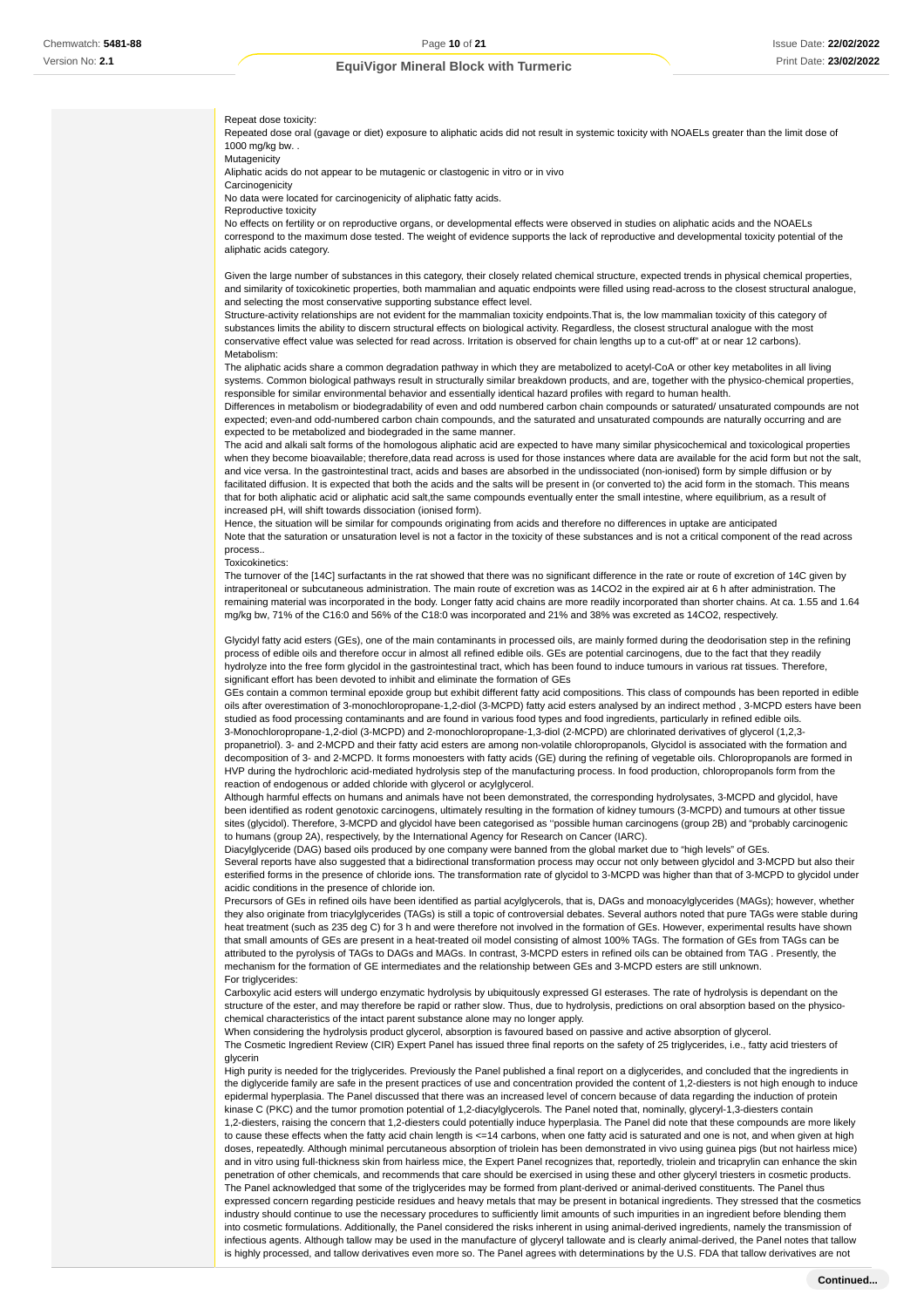Repeat dose toxicity:

Repeated dose oral (gavage or diet) exposure to aliphatic acids did not result in systemic toxicity with NOAELs greater than the limit dose of  $1000$  mg/kg bw.

Mutagenicity

Aliphatic acids do not appear to be mutagenic or clastogenic in vitro or in vivo

**Carcinogenicity** 

No data were located for carcinogenicity of aliphatic fatty acids.

Reproductive toxicity

No effects on fertility or on reproductive organs, or developmental effects were observed in studies on aliphatic acids and the NOAELs correspond to the maximum dose tested. The weight of evidence supports the lack of reproductive and developmental toxicity potential of the aliphatic acids category.

Given the large number of substances in this category, their closely related chemical structure, expected trends in physical chemical properties, and similarity of toxicokinetic properties, both mammalian and aquatic endpoints were filled using read-across to the closest structural analogue, and selecting the most conservative supporting substance effect level.

Structure-activity relationships are not evident for the mammalian toxicity endpoints.That is, the low mammalian toxicity of this category of substances limits the ability to discern structural effects on biological activity. Regardless, the closest structural analogue with the most conservative effect value was selected for read across. Irritation is observed for chain lengths up to a cut-off" at or near 12 carbons). Metabolism:

The aliphatic acids share a common degradation pathway in which they are metabolized to acetyl-CoA or other key metabolites in all living systems. Common biological pathways result in structurally similar breakdown products, and are, together with the physico-chemical properties, responsible for similar environmental behavior and essentially identical hazard profiles with regard to human health.

Differences in metabolism or biodegradability of even and odd numbered carbon chain compounds or saturated/ unsaturated compounds are not expected; even-and odd-numbered carbon chain compounds, and the saturated and unsaturated compounds are naturally occurring and are expected to be metabolized and biodegraded in the same manner.

The acid and alkali salt forms of the homologous aliphatic acid are expected to have many similar physicochemical and toxicological properties when they become bioavailable; therefore,data read across is used for those instances where data are available for the acid form but not the salt, and vice versa. In the gastrointestinal tract, acids and bases are absorbed in the undissociated (non-ionised) form by simple diffusion or by facilitated diffusion. It is expected that both the acids and the salts will be present in (or converted to) the acid form in the stomach. This means that for both aliphatic acid or aliphatic acid salt,the same compounds eventually enter the small intestine, where equilibrium, as a result of increased pH, will shift towards dissociation (ionised form).

Hence, the situation will be similar for compounds originating from acids and therefore no differences in uptake are anticipated Note that the saturation or unsaturation level is not a factor in the toxicity of these substances and is not a critical component of the read across process..

Toxicokinetics:

The turnover of the [14C] surfactants in the rat showed that there was no significant difference in the rate or route of excretion of 14C given by intraperitoneal or subcutaneous administration. The main route of excretion was as 14CO2 in the expired air at 6 h after administration. The remaining material was incorporated in the body. Longer fatty acid chains are more readily incorporated than shorter chains. At ca. 1.55 and 1.64 mg/kg bw, 71% of the C16:0 and 56% of the C18:0 was incorporated and 21% and 38% was excreted as 14CO2, respectively.

Glycidyl fatty acid esters (GEs), one of the main contaminants in processed oils, are mainly formed during the deodorisation step in the refining process of edible oils and therefore occur in almost all refined edible oils. GEs are potential carcinogens, due to the fact that they readily hydrolyze into the free form glycidol in the gastrointestinal tract, which has been found to induce tumours in various rat tissues. Therefore, significant effort has been devoted to inhibit and eliminate the formation of GEs

GEs contain a common terminal epoxide group but exhibit different fatty acid compositions. This class of compounds has been reported in edible oils after overestimation of 3-monochloropropane-1,2-diol (3-MCPD) fatty acid esters analysed by an indirect method , 3-MCPD esters have been studied as food processing contaminants and are found in various food types and food ingredients, particularly in refined edible oils. 3-Monochloropropane-1,2-diol (3-MCPD) and 2-monochloropropane-1,3-diol (2-MCPD) are chlorinated derivatives of glycerol (1,2,3-

propanetriol). 3- and 2-MCPD and their fatty acid esters are among non-volatile chloropropanols, Glycidol is associated with the formation and decomposition of 3- and 2-MCPD. It forms monoesters with fatty acids (GE) during the refining of vegetable oils. Chloropropanols are formed in HVP during the hydrochloric acid-mediated hydrolysis step of the manufacturing process. In food production, chloropropanols form from the reaction of endogenous or added chloride with glycerol or acylglycerol.

Although harmful effects on humans and animals have not been demonstrated, the corresponding hydrolysates, 3-MCPD and glycidol, have been identified as rodent genotoxic carcinogens, ultimately resulting in the formation of kidney tumours (3-MCPD) and tumours at other tissue sites (glycidol). Therefore, 3-MCPD and glycidol have been categorised as ''possible human carcinogens (group 2B) and "probably carcinogenic to humans (group 2A), respectively, by the International Agency for Research on Cancer (IARC).

Diacylglyceride (DAG) based oils produced by one company were banned from the global market due to "high levels" of GEs.

Several reports have also suggested that a bidirectional transformation process may occur not only between glycidol and 3-MCPD but also their esterified forms in the presence of chloride ions. The transformation rate of glycidol to 3-MCPD was higher than that of 3-MCPD to glycidol under acidic conditions in the presence of chloride ion.

Precursors of GEs in refined oils have been identified as partial acylglycerols, that is, DAGs and monoacylglycerides (MAGs); however, whether they also originate from triacylglycerides (TAGs) is still a topic of controversial debates. Several authors noted that pure TAGs were stable during heat treatment (such as 235 deg C) for 3 h and were therefore not involved in the formation of GEs. However, experimental results have shown that small amounts of GEs are present in a heat-treated oil model consisting of almost 100% TAGs. The formation of GEs from TAGs can be attributed to the pyrolysis of TAGs to DAGs and MAGs. In contrast, 3-MCPD esters in refined oils can be obtained from TAG . Presently, the mechanism for the formation of GE intermediates and the relationship between GEs and 3-MCPD esters are still unknown. For triglycerides:

Carboxylic acid esters will undergo enzymatic hydrolysis by ubiquitously expressed GI esterases. The rate of hydrolysis is dependant on the structure of the ester, and may therefore be rapid or rather slow. Thus, due to hydrolysis, predictions on oral absorption based on the physicochemical characteristics of the intact parent substance alone may no longer apply.

When considering the hydrolysis product glycerol, absorption is favoured based on passive and active absorption of glycerol. The Cosmetic Ingredient Review (CIR) Expert Panel has issued three final reports on the safety of 25 triglycerides, i.e., fatty acid triesters of glycerin

High purity is needed for the triglycerides. Previously the Panel published a final report on a diglycerides, and concluded that the ingredients in the diglyceride family are safe in the present practices of use and concentration provided the content of 1,2-diesters is not high enough to induce epidermal hyperplasia. The Panel discussed that there was an increased level of concern because of data regarding the induction of protein kinase C (PKC) and the tumor promotion potential of 1,2-diacylglycerols. The Panel noted that, nominally, glyceryl-1,3-diesters contain 1,2-diesters, raising the concern that 1,2-diesters could potentially induce hyperplasia. The Panel did note that these compounds are more likely to cause these effects when the fatty acid chain length is <=14 carbons, when one fatty acid is saturated and one is not, and when given at high doses, repeatedly. Although minimal percutaneous absorption of triolein has been demonstrated in vivo using guinea pigs (but not hairless mice) and in vitro using full-thickness skin from hairless mice, the Expert Panel recognizes that, reportedly, triolein and tricaprylin can enhance the skin penetration of other chemicals, and recommends that care should be exercised in using these and other glyceryl triesters in cosmetic products. The Panel acknowledged that some of the triglycerides may be formed from plant-derived or animal-derived constituents. The Panel thus expressed concern regarding pesticide residues and heavy metals that may be present in botanical ingredients. They stressed that the cosmetics industry should continue to use the necessary procedures to sufficiently limit amounts of such impurities in an ingredient before blending them into cosmetic formulations. Additionally, the Panel considered the risks inherent in using animal-derived ingredients, namely the transmission of infectious agents. Although tallow may be used in the manufacture of glyceryl tallowate and is clearly animal-derived, the Panel notes that tallow is highly processed, and tallow derivatives even more so. The Panel agrees with determinations by the U.S. FDA that tallow derivatives are not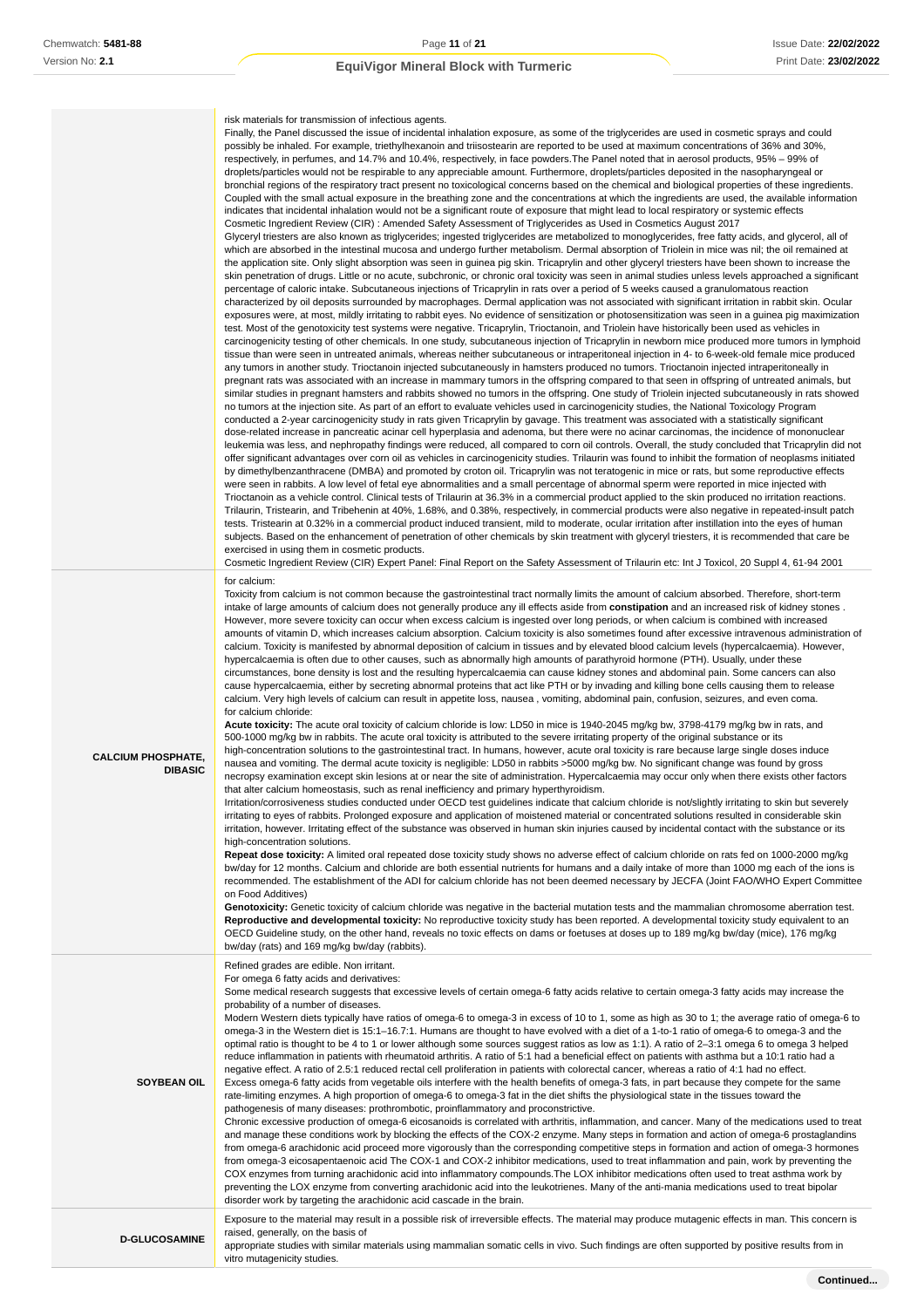|                                             | risk materials for transmission of infectious agents.<br>Finally, the Panel discussed the issue of incidental inhalation exposure, as some of the triglycerides are used in cosmetic sprays and could<br>possibly be inhaled. For example, triethylhexanoin and triisostearin are reported to be used at maximum concentrations of 36% and 30%,<br>respectively, in perfumes, and 14.7% and 10.4%, respectively, in face powders. The Panel noted that in aerosol products, 95% – 99% of<br>droplets/particles would not be respirable to any appreciable amount. Furthermore, droplets/particles deposited in the nasopharyngeal or<br>bronchial regions of the respiratory tract present no toxicological concerns based on the chemical and biological properties of these ingredients.<br>Coupled with the small actual exposure in the breathing zone and the concentrations at which the ingredients are used, the available information<br>indicates that incidental inhalation would not be a significant route of exposure that might lead to local respiratory or systemic effects<br>Cosmetic Ingredient Review (CIR): Amended Safety Assessment of Triglycerides as Used in Cosmetics August 2017<br>Glyceryl triesters are also known as triglycerides; ingested triglycerides are metabolized to monoglycerides, free fatty acids, and glycerol, all of<br>which are absorbed in the intestinal mucosa and undergo further metabolism. Dermal absorption of Triolein in mice was nil; the oil remained at<br>the application site. Only slight absorption was seen in guinea pig skin. Tricaprylin and other glyceryl triesters have been shown to increase the<br>skin penetration of drugs. Little or no acute, subchronic, or chronic oral toxicity was seen in animal studies unless levels approached a significant<br>percentage of caloric intake. Subcutaneous injections of Tricaprylin in rats over a period of 5 weeks caused a granulomatous reaction<br>characterized by oil deposits surrounded by macrophages. Dermal application was not associated with significant irritation in rabbit skin. Ocular<br>exposures were, at most, mildly irritating to rabbit eyes. No evidence of sensitization or photosensitization was seen in a guinea pig maximization<br>test. Most of the genotoxicity test systems were negative. Tricaprylin, Trioctanoin, and Triolein have historically been used as vehicles in<br>carcinogenicity testing of other chemicals. In one study, subcutaneous injection of Tricaprylin in newborn mice produced more tumors in lymphoid<br>tissue than were seen in untreated animals, whereas neither subcutaneous or intraperitoneal injection in 4- to 6-week-old female mice produced<br>any tumors in another study. Trioctanoin injected subcutaneously in hamsters produced no tumors. Trioctanoin injected intraperitoneally in<br>pregnant rats was associated with an increase in mammary tumors in the offspring compared to that seen in offspring of untreated animals, but<br>similar studies in pregnant hamsters and rabbits showed no tumors in the offspring. One study of Triolein injected subcutaneously in rats showed<br>no tumors at the injection site. As part of an effort to evaluate vehicles used in carcinogenicity studies, the National Toxicology Program<br>conducted a 2-year carcinogenicity study in rats given Tricaprylin by gavage. This treatment was associated with a statistically significant<br>dose-related increase in pancreatic acinar cell hyperplasia and adenoma, but there were no acinar carcinomas, the incidence of mononuclear<br>leukemia was less, and nephropathy findings were reduced, all compared to corn oil controls. Overall, the study concluded that Tricaprylin did not<br>offer significant advantages over corn oil as vehicles in carcinogenicity studies. Trilaurin was found to inhibit the formation of neoplasms initiated<br>by dimethylbenzanthracene (DMBA) and promoted by croton oil. Tricaprylin was not teratogenic in mice or rats, but some reproductive effects<br>were seen in rabbits. A low level of fetal eye abnormalities and a small percentage of abnormal sperm were reported in mice injected with<br>Trioctanoin as a vehicle control. Clinical tests of Trilaurin at 36.3% in a commercial product applied to the skin produced no irritation reactions.<br>Trilaurin, Tristearin, and Tribehenin at 40%, 1.68%, and 0.38%, respectively, in commercial products were also negative in repeated-insult patch<br>tests. Tristearin at 0.32% in a commercial product induced transient, mild to moderate, ocular irritation after instillation into the eyes of human<br>subjects. Based on the enhancement of penetration of other chemicals by skin treatment with glyceryl triesters, it is recommended that care be<br>exercised in using them in cosmetic products.<br>Cosmetic Ingredient Review (CIR) Expert Panel: Final Report on the Safety Assessment of Trilaurin etc: Int J Toxicol, 20 Suppl 4, 61-94 2001 |
|---------------------------------------------|-------------------------------------------------------------------------------------------------------------------------------------------------------------------------------------------------------------------------------------------------------------------------------------------------------------------------------------------------------------------------------------------------------------------------------------------------------------------------------------------------------------------------------------------------------------------------------------------------------------------------------------------------------------------------------------------------------------------------------------------------------------------------------------------------------------------------------------------------------------------------------------------------------------------------------------------------------------------------------------------------------------------------------------------------------------------------------------------------------------------------------------------------------------------------------------------------------------------------------------------------------------------------------------------------------------------------------------------------------------------------------------------------------------------------------------------------------------------------------------------------------------------------------------------------------------------------------------------------------------------------------------------------------------------------------------------------------------------------------------------------------------------------------------------------------------------------------------------------------------------------------------------------------------------------------------------------------------------------------------------------------------------------------------------------------------------------------------------------------------------------------------------------------------------------------------------------------------------------------------------------------------------------------------------------------------------------------------------------------------------------------------------------------------------------------------------------------------------------------------------------------------------------------------------------------------------------------------------------------------------------------------------------------------------------------------------------------------------------------------------------------------------------------------------------------------------------------------------------------------------------------------------------------------------------------------------------------------------------------------------------------------------------------------------------------------------------------------------------------------------------------------------------------------------------------------------------------------------------------------------------------------------------------------------------------------------------------------------------------------------------------------------------------------------------------------------------------------------------------------------------------------------------------------------------------------------------------------------------------------------------------------------------------------------------------------------------------------------------------------------------------------------------------------------------------------------------------------------------------------------------------------------------------------------------------------------------------------------------------------------------------------------------------------------------------------------------------------------------------------------------------------------------------------------------------------------------------------------------------------------------------------------------------------------------------------------------------------------------------------------------------------------------------------------------------------------------------------------------------------------------------------------------------------------------------------------------------------------------------------------------------------------------------------------------------------------------------------------------------------------------------------------------------------------------------------------------------------------------------------------------------------------------------------------------------------------------------------------------------------------------------------------------------------------------------------------------------------|
| <b>CALCIUM PHOSPHATE,</b><br><b>DIBASIC</b> | for calcium:<br>Toxicity from calcium is not common because the gastrointestinal tract normally limits the amount of calcium absorbed. Therefore, short-term<br>intake of large amounts of calcium does not generally produce any ill effects aside from constipation and an increased risk of kidney stones.<br>However, more severe toxicity can occur when excess calcium is ingested over long periods, or when calcium is combined with increased<br>amounts of vitamin D, which increases calcium absorption. Calcium toxicity is also sometimes found after excessive intravenous administration of<br>calcium. Toxicity is manifested by abnormal deposition of calcium in tissues and by elevated blood calcium levels (hypercalcaemia). However,<br>hypercalcaemia is often due to other causes, such as abnormally high amounts of parathyroid hormone (PTH). Usually, under these<br>circumstances, bone density is lost and the resulting hypercalcaemia can cause kidney stones and abdominal pain. Some cancers can also<br>cause hypercalcaemia, either by secreting abnormal proteins that act like PTH or by invading and killing bone cells causing them to release<br>calcium. Very high levels of calcium can result in appetite loss, nausea, vomiting, abdominal pain, confusion, seizures, and even coma.<br>for calcium chloride:<br>Acute toxicity: The acute oral toxicity of calcium chloride is low: LD50 in mice is 1940-2045 mg/kg bw, 3798-4179 mg/kg bw in rats, and<br>500-1000 mg/kg bw in rabbits. The acute oral toxicity is attributed to the severe irritating property of the original substance or its<br>high-concentration solutions to the gastrointestinal tract. In humans, however, acute oral toxicity is rare because large single doses induce<br>nausea and vomiting. The dermal acute toxicity is negligible: LD50 in rabbits >5000 mg/kg bw. No significant change was found by gross<br>necropsy examination except skin lesions at or near the site of administration. Hypercalcaemia may occur only when there exists other factors<br>that alter calcium homeostasis, such as renal inefficiency and primary hyperthyroidism.<br>Irritation/corrosiveness studies conducted under OECD test guidelines indicate that calcium chloride is not/slightly irritating to skin but severely<br>irritating to eyes of rabbits. Prolonged exposure and application of moistened material or concentrated solutions resulted in considerable skin<br>irritation, however. Irritating effect of the substance was observed in human skin injuries caused by incidental contact with the substance or its<br>high-concentration solutions.<br>Repeat dose toxicity: A limited oral repeated dose toxicity study shows no adverse effect of calcium chloride on rats fed on 1000-2000 mg/kg<br>bw/day for 12 months. Calcium and chloride are both essential nutrients for humans and a daily intake of more than 1000 mg each of the ions is<br>recommended. The establishment of the ADI for calcium chloride has not been deemed necessary by JECFA (Joint FAO/WHO Expert Committee<br>on Food Additives)<br>Genotoxicity: Genetic toxicity of calcium chloride was negative in the bacterial mutation tests and the mammalian chromosome aberration test.<br>Reproductive and developmental toxicity: No reproductive toxicity study has been reported. A developmental toxicity study equivalent to an<br>OECD Guideline study, on the other hand, reveals no toxic effects on dams or foetuses at doses up to 189 mg/kg bw/day (mice), 176 mg/kg<br>bw/day (rats) and 169 mg/kg bw/day (rabbits).                                                                                                                                                                                                                                                                                                                                                                                                                                                                                                                                                                                                                                                                                                                                                                                                                                                                                                                                                                                                                                                                                                                                                                                                                                                                                                                                                                                                                                |
| <b>SOYBEAN OIL</b>                          | Refined grades are edible. Non irritant.<br>For omega 6 fatty acids and derivatives:<br>Some medical research suggests that excessive levels of certain omega-6 fatty acids relative to certain omega-3 fatty acids may increase the<br>probability of a number of diseases.<br>Modern Western diets typically have ratios of omega-6 to omega-3 in excess of 10 to 1, some as high as 30 to 1; the average ratio of omega-6 to<br>omega-3 in the Western diet is 15:1–16.7:1. Humans are thought to have evolved with a diet of a 1-to-1 ratio of omega-6 to omega-3 and the<br>optimal ratio is thought to be 4 to 1 or lower although some sources suggest ratios as low as 1:1). A ratio of 2-3:1 omega 6 to omega 3 helped<br>reduce inflammation in patients with rheumatoid arthritis. A ratio of 5:1 had a beneficial effect on patients with asthma but a 10:1 ratio had a<br>negative effect. A ratio of 2.5:1 reduced rectal cell proliferation in patients with colorectal cancer, whereas a ratio of 4:1 had no effect.<br>Excess omega-6 fatty acids from vegetable oils interfere with the health benefits of omega-3 fats, in part because they compete for the same<br>rate-limiting enzymes. A high proportion of omega-6 to omega-3 fat in the diet shifts the physiological state in the tissues toward the<br>pathogenesis of many diseases: prothrombotic, proinflammatory and proconstrictive.<br>Chronic excessive production of omega-6 eicosanoids is correlated with arthritis, inflammation, and cancer. Many of the medications used to treat<br>and manage these conditions work by blocking the effects of the COX-2 enzyme. Many steps in formation and action of omega-6 prostaglandins<br>from omega-6 arachidonic acid proceed more vigorously than the corresponding competitive steps in formation and action of omega-3 hormones<br>from omega-3 eicosapentaenoic acid The COX-1 and COX-2 inhibitor medications, used to treat inflammation and pain, work by preventing the<br>COX enzymes from turning arachidonic acid into inflammatory compounds. The LOX inhibitor medications often used to treat asthma work by<br>preventing the LOX enzyme from converting arachidonic acid into the leukotrienes. Many of the anti-mania medications used to treat bipolar<br>disorder work by targeting the arachidonic acid cascade in the brain.                                                                                                                                                                                                                                                                                                                                                                                                                                                                                                                                                                                                                                                                                                                                                                                                                                                                                                                                                                                                                                                                                                                                                                                                                                                                                                                                                                                                                                                                                                                                                                                                                                                                                                                                                                                                                                                                                                                                                                                                                                                                                                                                                                                                                                                                                                                                                                                                                                                                                                                                                                                                                                                                                               |
| <b>D-GLUCOSAMINE</b>                        | Exposure to the material may result in a possible risk of irreversible effects. The material may produce mutagenic effects in man. This concern is<br>raised, generally, on the basis of<br>appropriate studies with similar materials using mammalian somatic cells in vivo. Such findings are often supported by positive results from in<br>vitro mutagenicity studies.                                                                                                                                                                                                                                                                                                                                                                                                                                                                                                                                                                                                                                                                                                                                                                                                                                                                                                                                                                                                                                                                                                                                                                                                                                                                                                                                                                                                                                                                                                                                                                                                                                                                                                                                                                                                                                                                                                                                                                                                                                                                                                                                                                                                                                                                                                                                                                                                                                                                                                                                                                                                                                                                                                                                                                                                                                                                                                                                                                                                                                                                                                                                                                                                                                                                                                                                                                                                                                                                                                                                                                                                                                                                                                                                                                                                                                                                                                                                                                                                                                                                                                                                                                                                                                                                                                                                                                                                                                                                                                                                                                                                                                                                                                          |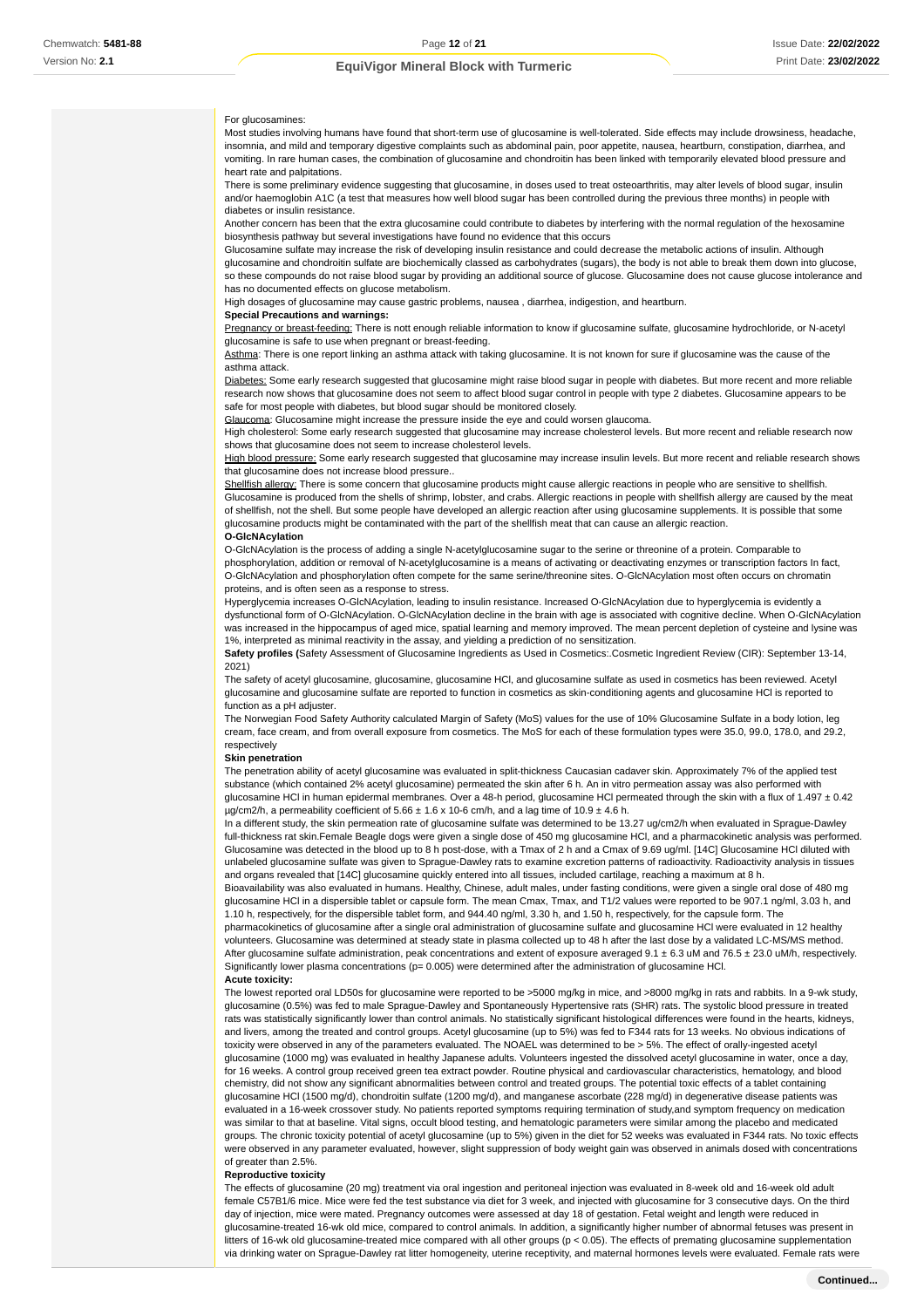#### For glucosamines:

Most studies involving humans have found that short-term use of glucosamine is well-tolerated. Side effects may include drowsiness, headache, insomnia, and mild and temporary digestive complaints such as abdominal pain, poor appetite, nausea, heartburn, constipation, diarrhea, and vomiting. In rare human cases, the combination of glucosamine and chondroitin has been linked with temporarily elevated blood pressure and heart rate and palpitations.

There is some preliminary evidence suggesting that glucosamine, in doses used to treat osteoarthritis, may alter levels of blood sugar, insulin and/or haemoglobin A1C (a test that measures how well blood sugar has been controlled during the previous three months) in people with diabetes or insulin resistance.

Another concern has been that the extra glucosamine could contribute to diabetes by interfering with the normal regulation of the hexosamine biosynthesis pathway but several investigations have found no evidence that this occurs

Glucosamine sulfate may increase the risk of developing insulin resistance and could decrease the metabolic actions of insulin. Although glucosamine and chondroitin sulfate are biochemically classed as carbohydrates (sugars), the body is not able to break them down into glucose, so these compounds do not raise blood sugar by providing an additional source of glucose. Glucosamine does not cause glucose intolerance and has no documented effects on glucose metabolism.

High dosages of glucosamine may cause gastric problems, nausea , diarrhea, indigestion, and heartburn.

#### **Special Precautions and warnings:**

Pregnancy or breast-feeding: There is nott enough reliable information to know if glucosamine sulfate, glucosamine hydrochloride, or N-acetyl glucosamine is safe to use when pregnant or breast-feeding.

Asthma: There is one report linking an asthma attack with taking glucosamine. It is not known for sure if glucosamine was the cause of the asthma attack.

Diabetes: Some early research suggested that glucosamine might raise blood sugar in people with diabetes. But more recent and more reliable research now shows that glucosamine does not seem to affect blood sugar control in people with type 2 diabetes. Glucosamine appears to be safe for most people with diabetes, but blood sugar should be monitored closely.

Glaucoma: Glucosamine might increase the pressure inside the eye and could worsen glaucoma.

High cholesterol: Some early research suggested that glucosamine may increase cholesterol levels. But more recent and reliable research now shows that glucosamine does not seem to increase cholesterol levels.

High blood pressure: Some early research suggested that glucosamine may increase insulin levels. But more recent and reliable research shows that glucosamine does not increase blood pressure..

Shellfish allergy: There is some concern that glucosamine products might cause allergic reactions in people who are sensitive to shellfish. Glucosamine is produced from the shells of shrimp, lobster, and crabs. Allergic reactions in people with shellfish allergy are caused by the meat of shellfish, not the shell. But some people have developed an allergic reaction after using glucosamine supplements. It is possible that some glucosamine products might be contaminated with the part of the shellfish meat that can cause an allergic reaction.

#### **O-GlcNAcylation**

O-GlcNAcylation is the process of adding a single N-acetylglucosamine sugar to the serine or threonine of a protein. Comparable to phosphorylation, addition or removal of N-acetylglucosamine is a means of activating or deactivating enzymes or transcription factors In fact, O-GlcNAcylation and phosphorylation often compete for the same serine/threonine sites. O-GlcNAcylation most often occurs on chromatin proteins, and is often seen as a response to stress.

Hyperglycemia increases O-GlcNAcylation, leading to insulin resistance. Increased O-GlcNAcylation due to hyperglycemia is evidently a dysfunctional form of O-GlcNAcylation. O-GlcNAcylation decline in the brain with age is associated with cognitive decline. When O-GlcNAcylation was increased in the hippocampus of aged mice, spatial learning and memory improved. The mean percent depletion of cysteine and lysine was 1%, interpreted as minimal reactivity in the assay, and yielding a prediction of no sensitization.

**Safety profiles (**Safety Assessment of Glucosamine Ingredients as Used in Cosmetics:.Cosmetic Ingredient Review (CIR): September 13-14, 2021)

The safety of acetyl glucosamine, glucosamine, glucosamine HCl, and glucosamine sulfate as used in cosmetics has been reviewed. Acetyl glucosamine and glucosamine sulfate are reported to function in cosmetics as skin-conditioning agents and glucosamine HCl is reported to function as a pH adjuster

The Norwegian Food Safety Authority calculated Margin of Safety (MoS) values for the use of 10% Glucosamine Sulfate in a body lotion, leg cream, face cream, and from overall exposure from cosmetics. The MoS for each of these formulation types were 35.0, 99.0, 178.0, and 29.2, respectively

#### **Skin penetration**

The penetration ability of acetyl glucosamine was evaluated in split-thickness Caucasian cadaver skin. Approximately 7% of the applied test substance (which contained 2% acetyl glucosamine) permeated the skin after 6 h. An in vitro permeation assay was also performed with glucosamine HCl in human epidermal membranes. Over a 48-h period, glucosamine HCl permeated through the skin with a flux of 1.497 ± 0.42  $\mu$ g/cm2/h, a permeability coefficient of 5.66 ± 1.6 x 10-6 cm/h, and a lag time of 10.9 ± 4.6 h.

In a different study, the skin permeation rate of glucosamine sulfate was determined to be 13.27 ug/cm2/h when evaluated in Sprague-Dawley full-thickness rat skin.Female Beagle dogs were given a single dose of 450 mg glucosamine HCl, and a pharmacokinetic analysis was performed. Glucosamine was detected in the blood up to 8 h post-dose, with a Tmax of 2 h and a Cmax of 9.69 ug/ml. [14C] Glucosamine HCl diluted with unlabeled glucosamine sulfate was given to Sprague-Dawley rats to examine excretion patterns of radioactivity. Radioactivity analysis in tissues and organs revealed that [14C] glucosamine quickly entered into all tissues, included cartilage, reaching a maximum at 8 h.

Bioavailability was also evaluated in humans. Healthy, Chinese, adult males, under fasting conditions, were given a single oral dose of 480 mg glucosamine HCl in a dispersible tablet or capsule form. The mean Cmax, Tmax, and T1/2 values were reported to be 907.1 ng/ml, 3.03 h, and 1.10 h, respectively, for the dispersible tablet form, and 944.40 ng/ml, 3.30 h, and 1.50 h, respectively, for the capsule form. The pharmacokinetics of glucosamine after a single oral administration of glucosamine sulfate and glucosamine HCl were evaluated in 12 healthy

volunteers. Glucosamine was determined at steady state in plasma collected up to 48 h after the last dose by a validated LC-MS/MS method. After glucosamine sulfate administration, peak concentrations and extent of exposure averaged 9.1 ± 6.3 uM and 76.5 ± 23.0 uM/h, respectively. Significantly lower plasma concentrations ( $p= 0.005$ ) were determined after the administration of glucosamine HCl. **Acute toxicity:**

The lowest reported oral LD50s for glucosamine were reported to be >5000 mg/kg in mice, and >8000 mg/kg in rats and rabbits. In a 9-wk study, glucosamine (0.5%) was fed to male Sprague-Dawley and Spontaneously Hypertensive rats (SHR) rats. The systolic blood pressure in treated rats was statistically significantly lower than control animals. No statistically significant histological differences were found in the hearts, kidneys, and livers, among the treated and control groups. Acetyl glucosamine (up to 5%) was fed to F344 rats for 13 weeks. No obvious indications of toxicity were observed in any of the parameters evaluated. The NOAEL was determined to be > 5%. The effect of orally-ingested acetyl glucosamine (1000 mg) was evaluated in healthy Japanese adults. Volunteers ingested the dissolved acetyl glucosamine in water, once a day, for 16 weeks. A control group received green tea extract powder. Routine physical and cardiovascular characteristics, hematology, and blood chemistry, did not show any significant abnormalities between control and treated groups. The potential toxic effects of a tablet containing glucosamine HCl (1500 mg/d), chondroitin sulfate (1200 mg/d), and manganese ascorbate (228 mg/d) in degenerative disease patients was evaluated in a 16-week crossover study. No patients reported symptoms requiring termination of study,and symptom frequency on medication was similar to that at baseline. Vital signs, occult blood testing, and hematologic parameters were similar among the placebo and medicated groups. The chronic toxicity potential of acetyl glucosamine (up to 5%) given in the diet for 52 weeks was evaluated in F344 rats. No toxic effects were observed in any parameter evaluated, however, slight suppression of body weight gain was observed in animals dosed with concentrations of greater than 2.5%.

#### **Reproductive toxicity**

The effects of glucosamine (20 mg) treatment via oral ingestion and peritoneal injection was evaluated in 8-week old and 16-week old adult female C57B1/6 mice. Mice were fed the test substance via diet for 3 week, and injected with glucosamine for 3 consecutive days. On the third day of injection, mice were mated. Pregnancy outcomes were assessed at day 18 of gestation. Fetal weight and length were reduced in glucosamine-treated 16-wk old mice, compared to control animals. In addition, a significantly higher number of abnormal fetuses was present in litters of 16-wk old glucosamine-treated mice compared with all other groups (p < 0.05). The effects of premating glucosamine supplementation via drinking water on Sprague-Dawley rat litter homogeneity, uterine receptivity, and maternal hormones levels were evaluated. Female rats were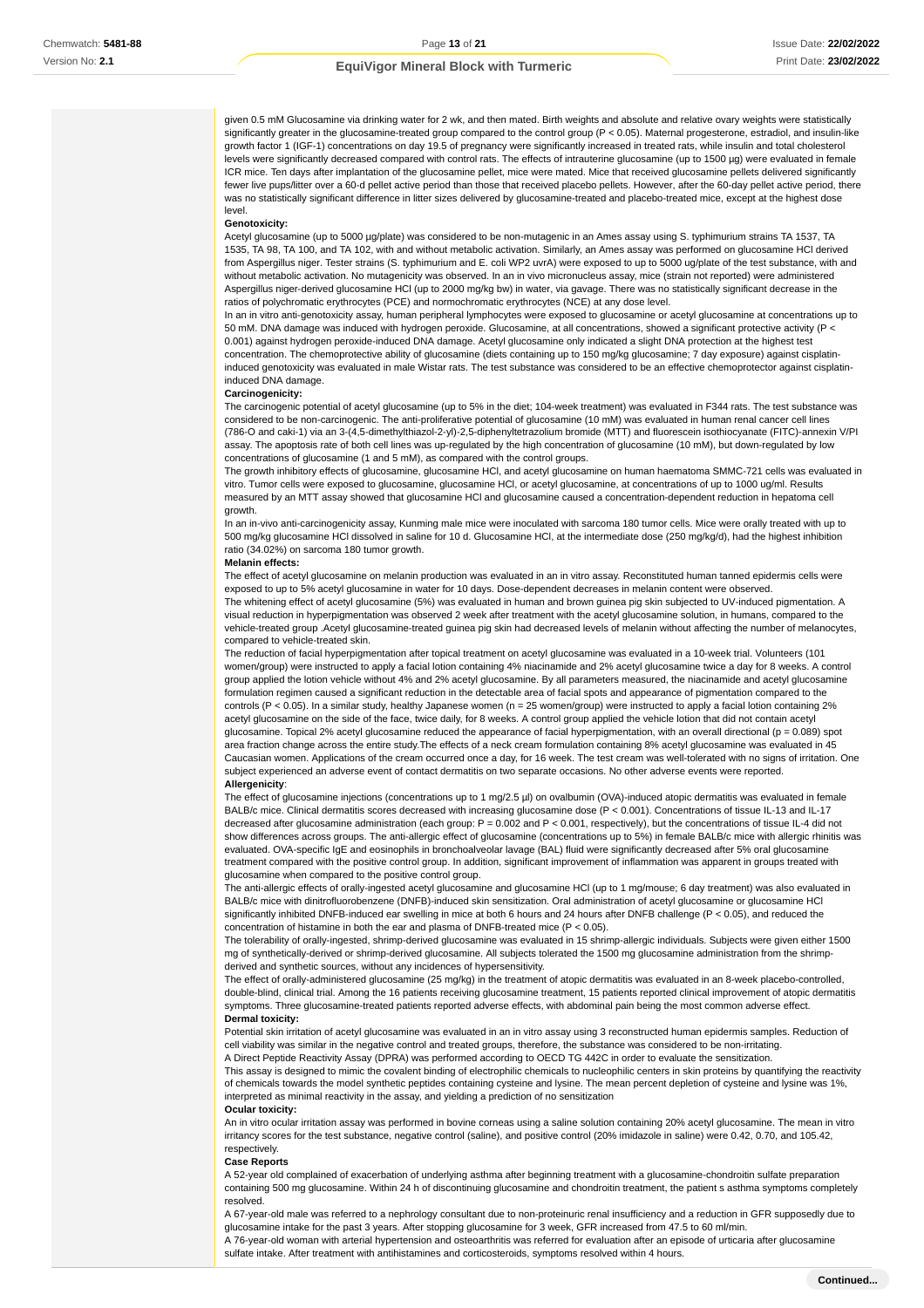given 0.5 mM Glucosamine via drinking water for 2 wk, and then mated. Birth weights and absolute and relative ovary weights were statistically significantly greater in the glucosamine-treated group compared to the control group (P < 0.05). Maternal progesterone, estradiol, and insulin-like growth factor 1 (IGF-1) concentrations on day 19.5 of pregnancy were significantly increased in treated rats, while insulin and total cholesterol levels were significantly decreased compared with control rats. The effects of intrauterine glucosamine (up to 1500 µg) were evaluated in female ICR mice. Ten days after implantation of the glucosamine pellet, mice were mated. Mice that received glucosamine pellets delivered significantly fewer live pups/litter over a 60-d pellet active period than those that received placebo pellets. However, after the 60-day pellet active period, there was no statistically significant difference in litter sizes delivered by glucosamine-treated and placebo-treated mice, except at the highest dose level.

#### **Genotoxicity:**

Acetyl glucosamine (up to 5000 µg/plate) was considered to be non-mutagenic in an Ames assay using S. typhimurium strains TA 1537, TA 1535, TA 98, TA 100, and TA 102, with and without metabolic activation. Similarly, an Ames assay was performed on glucosamine HCl derived from Aspergillus niger. Tester strains (S. typhimurium and E. coli WP2 uvrA) were exposed to up to 5000 ug/plate of the test substance, with and without metabolic activation. No mutagenicity was observed. In an in vivo micronucleus assay, mice (strain not reported) were administered Aspergillus niger-derived glucosamine HCl (up to 2000 mg/kg bw) in water, via gavage. There was no statistically significant decrease in the ratios of polychromatic erythrocytes (PCE) and normochromatic erythrocytes (NCE) at any dose level.

In an in vitro anti-genotoxicity assay, human peripheral lymphocytes were exposed to glucosamine or acetyl glucosamine at concentrations up to 50 mM. DNA damage was induced with hydrogen peroxide. Glucosamine, at all concentrations, showed a significant protective activity (P < 0.001) against hydrogen peroxide-induced DNA damage. Acetyl glucosamine only indicated a slight DNA protection at the highest test concentration. The chemoprotective ability of glucosamine (diets containing up to 150 mg/kg glucosamine; 7 day exposure) against cisplatininduced genotoxicity was evaluated in male Wistar rats. The test substance was considered to be an effective chemoprotector against cisplatininduced DNA damage.

#### **Carcinogenicity:**

The carcinogenic potential of acetyl glucosamine (up to 5% in the diet; 104-week treatment) was evaluated in F344 rats. The test substance was considered to be non-carcinogenic. The anti-proliferative potential of glucosamine (10 mM) was evaluated in human renal cancer cell lines (786-O and caki-1) via an 3-(4,5-dimethylthiazol-2-yl)-2,5-diphenyltetrazolium bromide (MTT) and fluorescein isothiocyanate (FITC)-annexin V/PI assay. The apoptosis rate of both cell lines was up-regulated by the high concentration of glucosamine (10 mM), but down-regulated by low concentrations of glucosamine (1 and 5 mM), as compared with the control groups.

The growth inhibitory effects of glucosamine, glucosamine HCl, and acetyl glucosamine on human haematoma SMMC-721 cells was evaluated in vitro. Tumor cells were exposed to glucosamine, glucosamine HCl, or acetyl glucosamine, at concentrations of up to 1000 ug/ml. Results measured by an MTT assay showed that glucosamine HCl and glucosamine caused a concentration-dependent reduction in hepatoma cell growth.

In an in-vivo anti-carcinogenicity assay, Kunming male mice were inoculated with sarcoma 180 tumor cells. Mice were orally treated with up to 500 mg/kg glucosamine HCl dissolved in saline for 10 d. Glucosamine HCl, at the intermediate dose (250 mg/kg/d), had the highest inhibition ratio (34.02%) on sarcoma 180 tumor growth.

#### **Melanin effects:**

The effect of acetyl glucosamine on melanin production was evaluated in an in vitro assay. Reconstituted human tanned epidermis cells were exposed to up to 5% acetyl glucosamine in water for 10 days. Dose-dependent decreases in melanin content were observed. The whitening effect of acetyl glucosamine (5%) was evaluated in human and brown guinea pig skin subjected to UV-induced pigmentation. A visual reduction in hyperpigmentation was observed 2 week after treatment with the acetyl glucosamine solution, in humans, compared to the

vehicle-treated group .Acetyl glucosamine-treated guinea pig skin had decreased levels of melanin without affecting the number of melanocytes, compared to vehicle-treated skin. The reduction of facial hyperpigmentation after topical treatment on acetyl glucosamine was evaluated in a 10-week trial. Volunteers (101

women/group) were instructed to apply a facial lotion containing 4% niacinamide and 2% acetyl glucosamine twice a day for 8 weeks. A control group applied the lotion vehicle without 4% and 2% acetyl glucosamine. By all parameters measured, the niacinamide and acetyl glucosam formulation regimen caused a significant reduction in the detectable area of facial spots and appearance of pigmentation compared to the controls (P < 0.05). In a similar study, healthy Japanese women (n = 25 women/group) were instructed to apply a facial lotion containing 2% acetyl glucosamine on the side of the face, twice daily, for 8 weeks. A control group applied the vehicle lotion that did not contain acetyl glucosamine. Topical 2% acetyl glucosamine reduced the appearance of facial hyperpigmentation, with an overall directional (p = 0.089) spot area fraction change across the entire study.The effects of a neck cream formulation containing 8% acetyl glucosamine was evaluated in 45 Caucasian women. Applications of the cream occurred once a day, for 16 week. The test cream was well-tolerated with no signs of irritation. One subject experienced an adverse event of contact dermatitis on two separate occasions. No other adverse events were reported. **Allergenicity**:

The effect of glucosamine injections (concentrations up to 1 mg/2.5 µl) on ovalbumin (OVA)-induced atopic dermatitis was evaluated in female BALB/c mice. Clinical dermatitis scores decreased with increasing glucosamine dose (P < 0.001). Concentrations of tissue IL-13 and IL-17 decreased after glucosamine administration (each group: P = 0.002 and P < 0.001, respectively), but the concentrations of tissue IL-4 did not show differences across groups. The anti-allergic effect of glucosamine (concentrations up to 5%) in female BALB/c mice with allergic rhinitis was evaluated. OVA-specific IgE and eosinophils in bronchoalveolar lavage (BAL) fluid were significantly decreased after 5% oral glucosamine treatment compared with the positive control group. In addition, significant improvement of inflammation was apparent in groups treated with glucosamine when compared to the positive control group.

The anti-allergic effects of orally-ingested acetyl glucosamine and glucosamine HCl (up to 1 mg/mouse; 6 day treatment) was also evaluated in BALB/c mice with dinitrofluorobenzene (DNFB)-induced skin sensitization. Oral administration of acetyl glucosamine or glucosamine HCl significantly inhibited DNFB-induced ear swelling in mice at both 6 hours and 24 hours after DNFB challenge (P < 0.05), and reduced the concentration of histamine in both the ear and plasma of DNFB-treated mice (P < 0.05).

The tolerability of orally-ingested, shrimp-derived glucosamine was evaluated in 15 shrimp-allergic individuals. Subjects were given either 1500 mg of synthetically-derived or shrimp-derived glucosamine. All subjects tolerated the 1500 mg glucosamine administration from the shrimpderived and synthetic sources, without any incidences of hypersensitivity.

The effect of orally-administered glucosamine (25 mg/kg) in the treatment of atopic dermatitis was evaluated in an 8-week placebo-controlled, double-blind, clinical trial. Among the 16 patients receiving glucosamine treatment, 15 patients reported clinical improvement of atopic dermatitis symptoms. Three glucosamine-treated patients reported adverse effects, with abdominal pain being the most common adverse effect. **Dermal toxicity:**

Potential skin irritation of acetyl glucosamine was evaluated in an in vitro assay using 3 reconstructed human epidermis samples. Reduction of cell viability was similar in the negative control and treated groups, therefore, the substance was considered to be non-irritating. A Direct Peptide Reactivity Assay (DPRA) was performed according to OECD TG 442C in order to evaluate the sensitization.

This assay is designed to mimic the covalent binding of electrophilic chemicals to nucleophilic centers in skin proteins by quantifying the reactivity of chemicals towards the model synthetic peptides containing cysteine and lysine. The mean percent depletion of cysteine and lysine was 1%, interpreted as minimal reactivity in the assay, and yielding a prediction of no sensitization

#### **Ocular toxicity:**

An in vitro ocular irritation assay was performed in bovine corneas using a saline solution containing 20% acetyl glucosamine. The mean in vitro irritancy scores for the test substance, negative control (saline), and positive control (20% imidazole in saline) were 0.42, 0.70, and 105.42, respectively.

#### **Case Reports**

A 52-year old complained of exacerbation of underlying asthma after beginning treatment with a glucosamine-chondroitin sulfate preparation containing 500 mg glucosamine. Within 24 h of discontinuing glucosamine and chondroitin treatment, the patient s asthma symptoms completely resolved.

A 67-year-old male was referred to a nephrology consultant due to non-proteinuric renal insufficiency and a reduction in GFR supposedly due to glucosamine intake for the past 3 years. After stopping glucosamine for 3 week, GFR increased from 47.5 to 60 ml/min. A 76-year-old woman with arterial hypertension and osteoarthritis was referred for evaluation after an episode of urticaria after glucosamine

sulfate intake. After treatment with antihistamines and corticosteroids, symptoms resolved within 4 hours.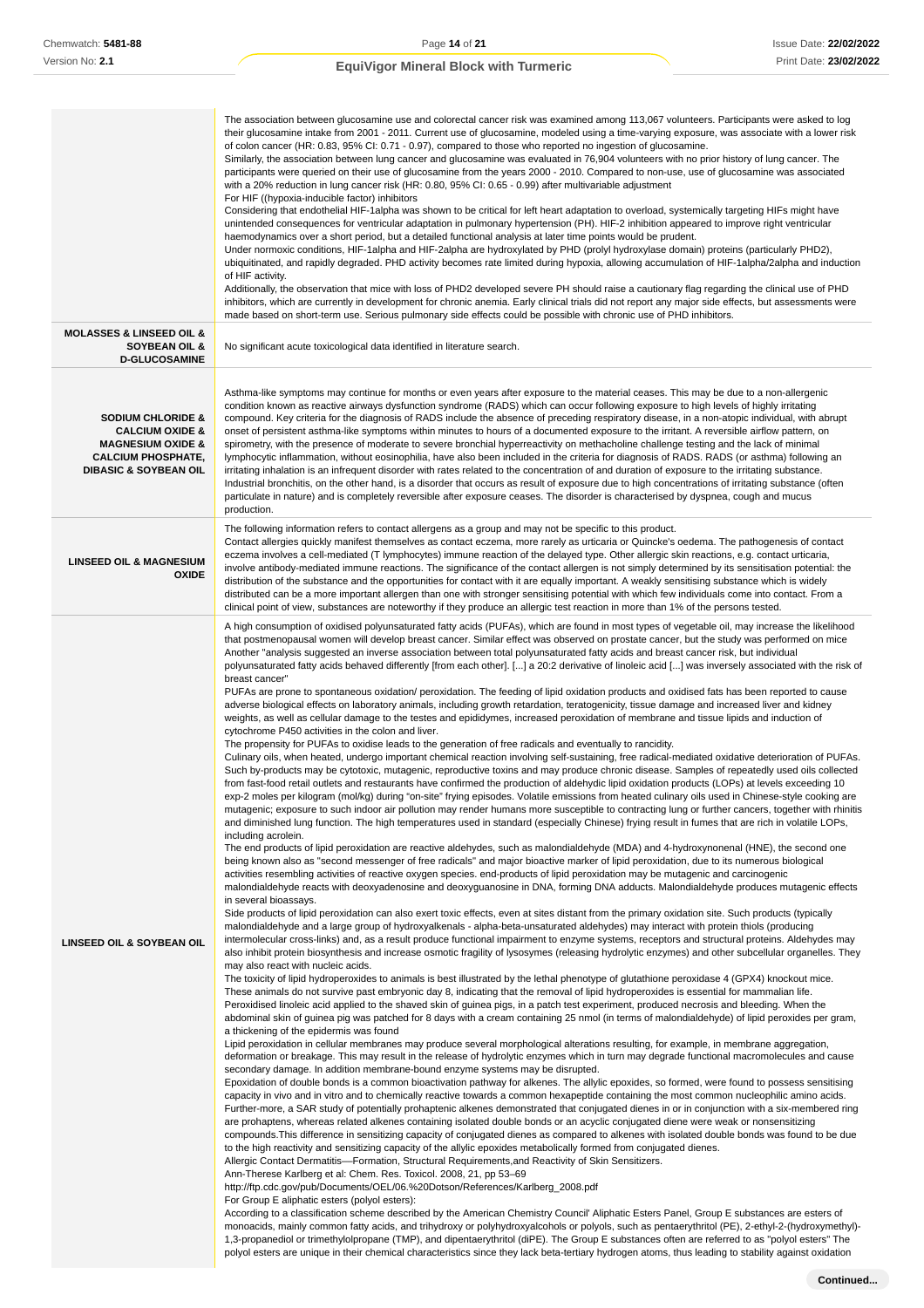|                                                                                                                                                             | The association between glucosamine use and colorectal cancer risk was examined among 113,067 volunteers. Participants were asked to log<br>their glucosamine intake from 2001 - 2011. Current use of glucosamine, modeled using a time-varying exposure, was associate with a lower risk<br>of colon cancer (HR: 0.83, 95% CI: 0.71 - 0.97), compared to those who reported no ingestion of glucosamine.<br>Similarly, the association between lung cancer and glucosamine was evaluated in 76,904 volunteers with no prior history of lung cancer. The<br>participants were queried on their use of glucosamine from the years 2000 - 2010. Compared to non-use, use of glucosamine was associated<br>with a 20% reduction in lung cancer risk (HR: 0.80, 95% CI: 0.65 - 0.99) after multivariable adjustment<br>For HIF ((hypoxia-inducible factor) inhibitors<br>Considering that endothelial HIF-1alpha was shown to be critical for left heart adaptation to overload, systemically targeting HIFs might have<br>unintended consequences for ventricular adaptation in pulmonary hypertension (PH). HIF-2 inhibition appeared to improve right ventricular<br>haemodynamics over a short period, but a detailed functional analysis at later time points would be prudent.<br>Under normoxic conditions, HIF-1alpha and HIF-2alpha are hydroxylated by PHD (prolyl hydroxylase domain) proteins (particularly PHD2),<br>ubiquitinated, and rapidly degraded. PHD activity becomes rate limited during hypoxia, allowing accumulation of HIF-1alpha/2alpha and induction<br>of HIF activity.<br>Additionally, the observation that mice with loss of PHD2 developed severe PH should raise a cautionary flag regarding the clinical use of PHD<br>inhibitors, which are currently in development for chronic anemia. Early clinical trials did not report any major side effects, but assessments were<br>made based on short-term use. Serious pulmonary side effects could be possible with chronic use of PHD inhibitors.                                                                                                                                                                                                                                                                                                                                                                                                                                                                                                                                                                                                                                                                                                                                                                                                                                                                                                                                                                                                                                                                                                                                                                                                                                                                                                                                                                                                                                                                                                                                                                                                                                                                                                                                                                                                                                                                                                                                                                                                                                                                                                                                                                                                                                                                                                                                                                                                                                                                                                                                                                                                                                                                                                                                                                                                                                                                                                                                                                                                                                                                                                                                                                                                                                                                                                                                                                                                                                                                                                                                                                                                                                                                                                                                                                                                                                                                                                                                                                                                                                                                                                                                                                                                     |
|-------------------------------------------------------------------------------------------------------------------------------------------------------------|---------------------------------------------------------------------------------------------------------------------------------------------------------------------------------------------------------------------------------------------------------------------------------------------------------------------------------------------------------------------------------------------------------------------------------------------------------------------------------------------------------------------------------------------------------------------------------------------------------------------------------------------------------------------------------------------------------------------------------------------------------------------------------------------------------------------------------------------------------------------------------------------------------------------------------------------------------------------------------------------------------------------------------------------------------------------------------------------------------------------------------------------------------------------------------------------------------------------------------------------------------------------------------------------------------------------------------------------------------------------------------------------------------------------------------------------------------------------------------------------------------------------------------------------------------------------------------------------------------------------------------------------------------------------------------------------------------------------------------------------------------------------------------------------------------------------------------------------------------------------------------------------------------------------------------------------------------------------------------------------------------------------------------------------------------------------------------------------------------------------------------------------------------------------------------------------------------------------------------------------------------------------------------------------------------------------------------------------------------------------------------------------------------------------------------------------------------------------------------------------------------------------------------------------------------------------------------------------------------------------------------------------------------------------------------------------------------------------------------------------------------------------------------------------------------------------------------------------------------------------------------------------------------------------------------------------------------------------------------------------------------------------------------------------------------------------------------------------------------------------------------------------------------------------------------------------------------------------------------------------------------------------------------------------------------------------------------------------------------------------------------------------------------------------------------------------------------------------------------------------------------------------------------------------------------------------------------------------------------------------------------------------------------------------------------------------------------------------------------------------------------------------------------------------------------------------------------------------------------------------------------------------------------------------------------------------------------------------------------------------------------------------------------------------------------------------------------------------------------------------------------------------------------------------------------------------------------------------------------------------------------------------------------------------------------------------------------------------------------------------------------------------------------------------------------------------------------------------------------------------------------------------------------------------------------------------------------------------------------------------------------------------------------------------------------------------------------------------------------------------------------------------------------------------------------------------------------------------------------------------------------------------------------------------------------------------------------------------------------------------------------------------------------------------------------------------------------------------------------------------------------------------------------------------------------------------------------------------------------------------------------------------------------------------------------------------------------------------------------------------------------------------------------------------------------------------------------------------------------------------------------------------------------------------------------------------------------------------------------------------------------------------------------------------------------------------------------------------------------------------------------------------------------------------------------------------------------------------------------------------------------------------------------------------------------------------------------------------------------------------------------------------------------------------------------------------------------------------------------------------------------------------------------------------------------------------------------------------------------------|
| <b>MOLASSES &amp; LINSEED OIL &amp;</b><br><b>SOYBEAN OIL &amp;</b><br><b>D-GLUCOSAMINE</b>                                                                 | No significant acute toxicological data identified in literature search.                                                                                                                                                                                                                                                                                                                                                                                                                                                                                                                                                                                                                                                                                                                                                                                                                                                                                                                                                                                                                                                                                                                                                                                                                                                                                                                                                                                                                                                                                                                                                                                                                                                                                                                                                                                                                                                                                                                                                                                                                                                                                                                                                                                                                                                                                                                                                                                                                                                                                                                                                                                                                                                                                                                                                                                                                                                                                                                                                                                                                                                                                                                                                                                                                                                                                                                                                                                                                                                                                                                                                                                                                                                                                                                                                                                                                                                                                                                                                                                                                                                                                                                                                                                                                                                                                                                                                                                                                                                                                                                                                                                                                                                                                                                                                                                                                                                                                                                                                                                                                                                                                                                                                                                                                                                                                                                                                                                                                                                                                                                                                                                                                                                                                                                                                                                                                                                                                                                                                                                                                                                                                                                                                              |
| <b>SODIUM CHLORIDE &amp;</b><br><b>CALCIUM OXIDE &amp;</b><br><b>MAGNESIUM OXIDE &amp;</b><br><b>CALCIUM PHOSPHATE,</b><br><b>DIBASIC &amp; SOYBEAN OIL</b> | Asthma-like symptoms may continue for months or even years after exposure to the material ceases. This may be due to a non-allergenic<br>condition known as reactive airways dysfunction syndrome (RADS) which can occur following exposure to high levels of highly irritating<br>compound. Key criteria for the diagnosis of RADS include the absence of preceding respiratory disease, in a non-atopic individual, with abrupt<br>onset of persistent asthma-like symptoms within minutes to hours of a documented exposure to the irritant. A reversible airflow pattern, on<br>spirometry, with the presence of moderate to severe bronchial hyperreactivity on methacholine challenge testing and the lack of minimal<br>lymphocytic inflammation, without eosinophilia, have also been included in the criteria for diagnosis of RADS. RADS (or asthma) following an<br>irritating inhalation is an infrequent disorder with rates related to the concentration of and duration of exposure to the irritating substance.<br>Industrial bronchitis, on the other hand, is a disorder that occurs as result of exposure due to high concentrations of irritating substance (often<br>particulate in nature) and is completely reversible after exposure ceases. The disorder is characterised by dyspnea, cough and mucus<br>production.                                                                                                                                                                                                                                                                                                                                                                                                                                                                                                                                                                                                                                                                                                                                                                                                                                                                                                                                                                                                                                                                                                                                                                                                                                                                                                                                                                                                                                                                                                                                                                                                                                                                                                                                                                                                                                                                                                                                                                                                                                                                                                                                                                                                                                                                                                                                                                                                                                                                                                                                                                                                                                                                                                                                                                                                                                                                                                                                                                                                                                                                                                                                                                                                                                                                                                                                                                                                                                                                                                                                                                                                                                                                                                                                                                                                                                                                                                                                                                                                                                                                                                                                                                                                                                                                                                                                                                                                                                                                                                                                                                                                                                                                                                                                                                                                                                                                                         |
| <b>LINSEED OIL &amp; MAGNESIUM</b><br><b>OXIDE</b>                                                                                                          | The following information refers to contact allergens as a group and may not be specific to this product.<br>Contact allergies quickly manifest themselves as contact eczema, more rarely as urticaria or Quincke's oedema. The pathogenesis of contact<br>eczema involves a cell-mediated (T lymphocytes) immune reaction of the delayed type. Other allergic skin reactions, e.g. contact urticaria,<br>involve antibody-mediated immune reactions. The significance of the contact allergen is not simply determined by its sensitisation potential: the<br>distribution of the substance and the opportunities for contact with it are equally important. A weakly sensitising substance which is widely<br>distributed can be a more important allergen than one with stronger sensitising potential with which few individuals come into contact. From a<br>clinical point of view, substances are noteworthy if they produce an allergic test reaction in more than 1% of the persons tested.                                                                                                                                                                                                                                                                                                                                                                                                                                                                                                                                                                                                                                                                                                                                                                                                                                                                                                                                                                                                                                                                                                                                                                                                                                                                                                                                                                                                                                                                                                                                                                                                                                                                                                                                                                                                                                                                                                                                                                                                                                                                                                                                                                                                                                                                                                                                                                                                                                                                                                                                                                                                                                                                                                                                                                                                                                                                                                                                                                                                                                                                                                                                                                                                                                                                                                                                                                                                                                                                                                                                                                                                                                                                                                                                                                                                                                                                                                                                                                                                                                                                                                                                                                                                                                                                                                                                                                                                                                                                                                                                                                                                                                                                                                                                                                                                                                                                                                                                                                                                                                                                                                                                                                                                                                  |
| LINSEED OIL & SOYBEAN OIL                                                                                                                                   | A high consumption of oxidised polyunsaturated fatty acids (PUFAs), which are found in most types of vegetable oil, may increase the likelihood<br>that postmenopausal women will develop breast cancer. Similar effect was observed on prostate cancer, but the study was performed on mice<br>Another "analysis suggested an inverse association between total polyunsaturated fatty acids and breast cancer risk, but individual<br>polyunsaturated fatty acids behaved differently [from each other]. [] a 20:2 derivative of linoleic acid [] was inversely associated with the risk of<br>breast cancer"<br>PUFAs are prone to spontaneous oxidation/ peroxidation. The feeding of lipid oxidation products and oxidised fats has been reported to cause<br>adverse biological effects on laboratory animals, including growth retardation, teratogenicity, tissue damage and increased liver and kidney<br>weights, as well as cellular damage to the testes and epididymes, increased peroxidation of membrane and tissue lipids and induction of<br>cytochrome P450 activities in the colon and liver.<br>The propensity for PUFAs to oxidise leads to the generation of free radicals and eventually to rancidity.<br>Culinary oils, when heated, undergo important chemical reaction involving self-sustaining, free radical-mediated oxidative deterioration of PUFAs.<br>Such by-products may be cytotoxic, mutagenic, reproductive toxins and may produce chronic disease. Samples of repeatedly used oils collected<br>from fast-food retail outlets and restaurants have confirmed the production of aldehydic lipid oxidation products (LOPs) at levels exceeding 10<br>exp-2 moles per kilogram (mol/kg) during "on-site" frying episodes. Volatile emissions from heated culinary oils used in Chinese-style cooking are<br>mutagenic; exposure to such indoor air pollution may render humans more susceptible to contracting lung or further cancers, together with rhinitis<br>and diminished lung function. The high temperatures used in standard (especially Chinese) frying result in fumes that are rich in volatile LOPs,<br>including acrolein.<br>The end products of lipid peroxidation are reactive aldehydes, such as malondialdehyde (MDA) and 4-hydroxynonenal (HNE), the second one<br>being known also as "second messenger of free radicals" and major bioactive marker of lipid peroxidation, due to its numerous biological<br>activities resembling activities of reactive oxygen species, end-products of lipid peroxidation may be mutagenic and carcinogenic<br>malondialdehyde reacts with deoxyadenosine and deoxyguanosine in DNA, forming DNA adducts. Malondialdehyde produces mutagenic effects<br>in several bioassays.<br>Side products of lipid peroxidation can also exert toxic effects, even at sites distant from the primary oxidation site. Such products (typically<br>malondialdehyde and a large group of hydroxyalkenals - alpha-beta-unsaturated aldehydes) may interact with protein thiols (producing<br>intermolecular cross-links) and, as a result produce functional impairment to enzyme systems, receptors and structural proteins. Aldehydes may<br>also inhibit protein biosynthesis and increase osmotic fragility of lysosymes (releasing hydrolytic enzymes) and other subcellular organelles. They<br>may also react with nucleic acids.<br>The toxicity of lipid hydroperoxides to animals is best illustrated by the lethal phenotype of glutathione peroxidase 4 (GPX4) knockout mice.<br>These animals do not survive past embryonic day 8, indicating that the removal of lipid hydroperoxides is essential for mammalian life.<br>Peroxidised linoleic acid applied to the shaved skin of guinea pigs, in a patch test experiment, produced necrosis and bleeding. When the<br>abdominal skin of guinea pig was patched for 8 days with a cream containing 25 nmol (in terms of malondialdehyde) of lipid peroxides per gram,<br>a thickening of the epidermis was found<br>Lipid peroxidation in cellular membranes may produce several morphological alterations resulting, for example, in membrane aggregation,<br>deformation or breakage. This may result in the release of hydrolytic enzymes which in turn may degrade functional macromolecules and cause<br>secondary damage. In addition membrane-bound enzyme systems may be disrupted.<br>Epoxidation of double bonds is a common bioactivation pathway for alkenes. The allylic epoxides, so formed, were found to possess sensitising<br>capacity in vivo and in vitro and to chemically reactive towards a common hexapeptide containing the most common nucleophilic amino acids.<br>Further-more, a SAR study of potentially prohaptenic alkenes demonstrated that conjugated dienes in or in conjunction with a six-membered ring<br>are prohaptens, whereas related alkenes containing isolated double bonds or an acyclic conjugated diene were weak or nonsensitizing<br>compounds. This difference in sensitizing capacity of conjugated dienes as compared to alkenes with isolated double bonds was found to be due<br>to the high reactivity and sensitizing capacity of the allylic epoxides metabolically formed from conjugated dienes.<br>Allergic Contact Dermatitis--Formation, Structural Requirements, and Reactivity of Skin Sensitizers.<br>Ann-Therese Karlberg et al: Chem. Res. Toxicol. 2008, 21, pp 53-69<br>http://ftp.cdc.gov/pub/Documents/OEL/06.%20Dotson/References/Karlberg_2008.pdf<br>For Group E aliphatic esters (polyol esters):<br>According to a classification scheme described by the American Chemistry Council' Aliphatic Esters Panel, Group E substances are esters of<br>monoacids, mainly common fatty acids, and trihydroxy or polyhydroxyalcohols or polyols, such as pentaerythritol (PE), 2-ethyl-2-(hydroxymethyl)-<br>1,3-propanediol or trimethylolpropane (TMP), and dipentaerythritol (diPE). The Group E substances often are referred to as "polyol esters" The<br>polyol esters are unique in their chemical characteristics since they lack beta-tertiary hydrogen atoms, thus leading to stability against oxidation |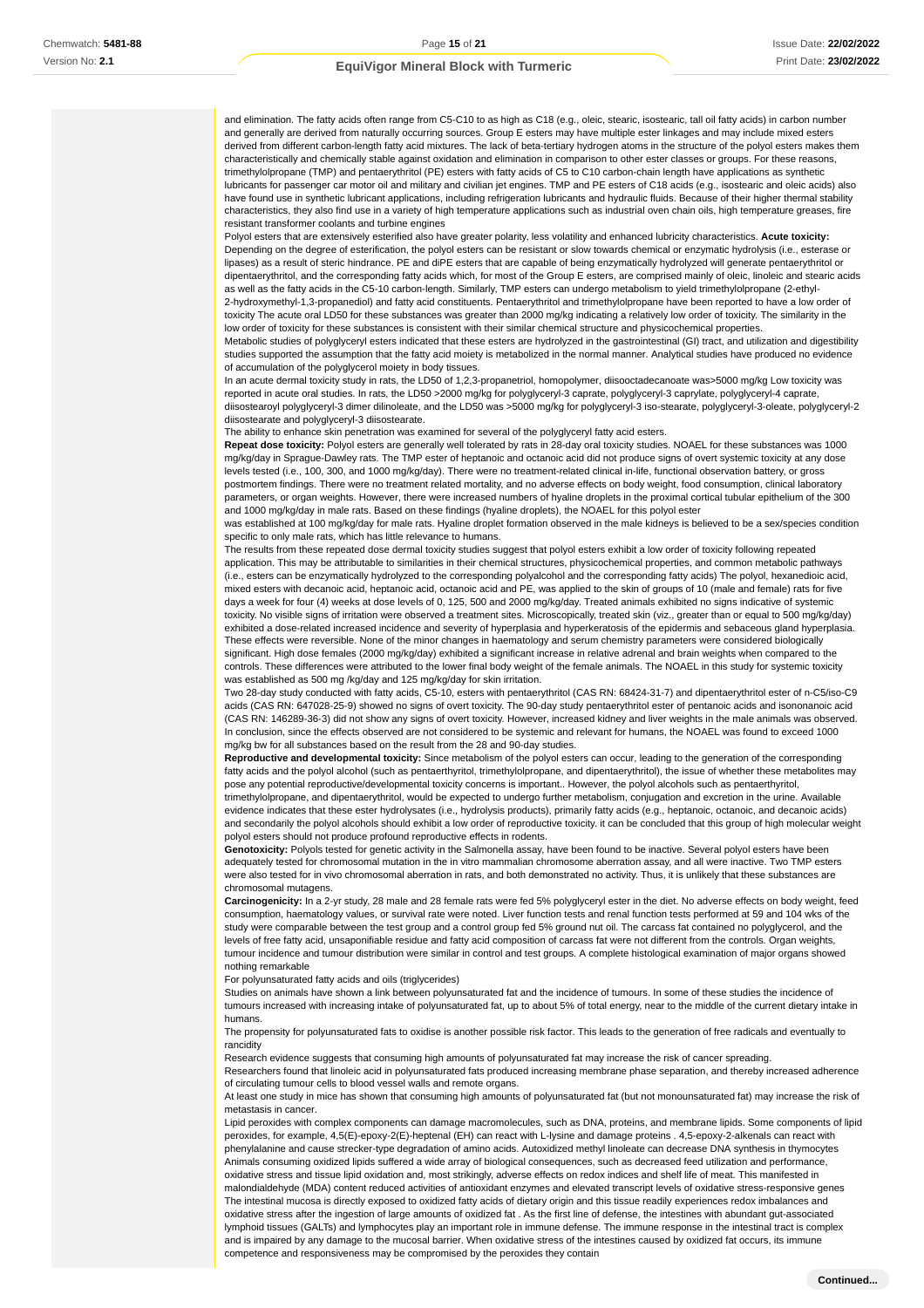and elimination. The fatty acids often range from C5-C10 to as high as C18 (e.g., oleic, stearic, isostearic, tall oil fatty acids) in carbon number and generally are derived from naturally occurring sources. Group E esters may have multiple ester linkages and may include mixed esters derived from different carbon-length fatty acid mixtures. The lack of beta-tertiary hydrogen atoms in the structure of the polyol esters makes them characteristically and chemically stable against oxidation and elimination in comparison to other ester classes or groups. For these reasons, trimethylolpropane (TMP) and pentaerythritol (PE) esters with fatty acids of C5 to C10 carbon-chain length have applications as synthetic lubricants for passenger car motor oil and military and civilian jet engines. TMP and PE esters of C18 acids (e.g., isostearic and oleic acids) also have found use in synthetic lubricant applications, including refrigeration lubricants and hydraulic fluids. Because of their higher thermal stability characteristics, they also find use in a variety of high temperature applications such as industrial oven chain oils, high temperature greases, fire resistant transformer coolants and turbine engines

Polyol esters that are extensively esterified also have greater polarity, less volatility and enhanced lubricity characteristics. **Acute toxicity:** Depending on the degree of esterification, the polyol esters can be resistant or slow towards chemical or enzymatic hydrolysis (i.e., esterase or lipases) as a result of steric hindrance. PE and diPE esters that are capable of being enzymatically hydrolyzed will generate pentaerythritol or dipentaerythritol, and the corresponding fatty acids which, for most of the Group E esters, are comprised mainly of oleic, linoleic and stearic acids as well as the fatty acids in the C5-10 carbon-length. Similarly, TMP esters can undergo metabolism to yield trimethylolpropane (2-ethyl-2-hydroxymethyl-1,3-propanediol) and fatty acid constituents. Pentaerythritol and trimethylolpropane have been reported to have a low order of

toxicity The acute oral LD50 for these substances was greater than 2000 mg/kg indicating a relatively low order of toxicity. The similarity in the low order of toxicity for these substances is consistent with their similar chemical structure and physicochemical properties.

Metabolic studies of polyglyceryl esters indicated that these esters are hydrolyzed in the gastrointestinal (GI) tract, and utilization and digestibility studies supported the assumption that the fatty acid moiety is metabolized in the normal manner. Analytical studies have produced no evidence of accumulation of the polyglycerol moiety in body tissues.

In an acute dermal toxicity study in rats, the LD50 of 1,2,3-propanetriol, homopolymer, diisooctadecanoate was>5000 mg/kg Low toxicity was reported in acute oral studies. In rats, the LD50 >2000 mg/kg for polyglyceryl-3 caprate, polyglyceryl-3 caprylate, polyglyceryl-4 caprate, diisostearoyl polyglyceryl-3 dimer dilinoleate, and the LD50 was >5000 mg/kg for polyglyceryl-3 iso-stearate, polyglyceryl-3-oleate, polyglyceryl-2 diisostearate and polyglyceryl-3 diisostearate.

The ability to enhance skin penetration was examined for several of the polyglyceryl fatty acid esters.

**Repeat dose toxicity:** Polyol esters are generally well tolerated by rats in 28-day oral toxicity studies. NOAEL for these substances was 1000 mg/kg/day in Sprague-Dawley rats. The TMP ester of heptanoic and octanoic acid did not produce signs of overt systemic toxicity at any dose levels tested (i.e., 100, 300, and 1000 mg/kg/day). There were no treatment-related clinical in-life, functional observation battery, or gross postmortem findings. There were no treatment related mortality, and no adverse effects on body weight, food consumption, clinical laboratory parameters, or organ weights. However, there were increased numbers of hyaline droplets in the proximal cortical tubular epithelium of the 300 and 1000 mg/kg/day in male rats. Based on these findings (hyaline droplets), the NOAEL for this polyol ester

was established at 100 mg/kg/day for male rats. Hyaline droplet formation observed in the male kidneys is believed to be a sex/species condition specific to only male rats, which has little relevance to humans.

The results from these repeated dose dermal toxicity studies suggest that polyol esters exhibit a low order of toxicity following repeated application. This may be attributable to similarities in their chemical structures, physicochemical properties, and common metabolic pathways (i.e., esters can be enzymatically hydrolyzed to the corresponding polyalcohol and the corresponding fatty acids) The polyol, hexanedioic acid, mixed esters with decanoic acid, heptanoic acid, octanoic acid and PE, was applied to the skin of groups of 10 (male and female) rats for five days a week for four (4) weeks at dose levels of 0, 125, 500 and 2000 mg/kg/day. Treated animals exhibited no signs indicative of systemic toxicity. No visible signs of irritation were observed a treatment sites. Microscopically, treated skin (viz., greater than or equal to 500 mg/kg/day) exhibited a dose-related increased incidence and severity of hyperplasia and hyperkeratosis of the epidermis and sebaceous gland hyperplasia. These effects were reversible. None of the minor changes in haematology and serum chemistry parameters were considered biologically significant. High dose females (2000 mg/kg/day) exhibited a significant increase in relative adrenal and brain weights when compared to the controls. These differences were attributed to the lower final body weight of the female animals. The NOAEL in this study for systemic toxicity was established as 500 mg /kg/day and 125 mg/kg/day for skin irritation.

Two 28-day study conducted with fatty acids, C5-10, esters with pentaerythritol (CAS RN: 68424-31-7) and dipentaerythritol ester of n-C5/iso-C9 acids (CAS RN: 647028-25-9) showed no signs of overt toxicity. The 90-day study pentaerythritol ester of pentanoic acids and isononanoic acid (CAS RN: 146289-36-3) did not show any signs of overt toxicity. However, increased kidney and liver weights in the male animals was observed. In conclusion, since the effects observed are not considered to be systemic and relevant for humans, the NOAEL was found to exceed 1000 mg/kg bw for all substances based on the result from the 28 and 90-day studies.

**Reproductive and developmental toxicity:** Since metabolism of the polyol esters can occur, leading to the generation of the corresponding fatty acids and the polyol alcohol (such as pentaerthyritol, trimethylolpropane, and dipentaerythritol), the issue of whether these metabolites may pose any potential reproductive/developmental toxicity concerns is important.. However, the polyol alcohols such as pentaerthyritol, trimethylolpropane, and dipentaerythritol, would be expected to undergo further metabolism, conjugation and excretion in the urine. Available evidence indicates that these ester hydrolysates (i.e., hydrolysis products), primarily fatty acids (e.g., heptanoic, octanoic, and decanoic acids) and secondarily the polyol alcohols should exhibit a low order of reproductive toxicity. it can be concluded that this group of high molecular weight polyol esters should not produce profound reproductive effects in rodents.

**Genotoxicity:** Polyols tested for genetic activity in the Salmonella assay, have been found to be inactive. Several polyol esters have been adequately tested for chromosomal mutation in the in vitro mammalian chromosome aberration assay, and all were inactive. Two TMP esters were also tested for in vivo chromosomal aberration in rats, and both demonstrated no activity. Thus, it is unlikely that these substances are chromosomal mutagens.

**Carcinogenicity:** In a 2-yr study, 28 male and 28 female rats were fed 5% polyglyceryl ester in the diet. No adverse effects on body weight, feed consumption, haematology values, or survival rate were noted. Liver function tests and renal function tests performed at 59 and 104 wks of the study were comparable between the test group and a control group fed 5% ground nut oil. The carcass fat contained no polyglycerol, and the levels of free fatty acid, unsaponifiable residue and fatty acid composition of carcass fat were not different from the controls. Organ weights, tumour incidence and tumour distribution were similar in control and test groups. A complete histological examination of major organs showed nothing remarkable

For polyunsaturated fatty acids and oils (triglycerides)

Studies on animals have shown a link between polyunsaturated fat and the incidence of tumours. In some of these studies the incidence of tumours increased with increasing intake of polyunsaturated fat, up to about 5% of total energy, near to the middle of the current dietary intake in humans.

The propensity for polyunsaturated fats to oxidise is another possible risk factor. This leads to the generation of free radicals and eventually to rancidity

Research evidence suggests that consuming high amounts of polyunsaturated fat may increase the risk of cancer spreading.

Researchers found that linoleic acid in polyunsaturated fats produced increasing membrane phase separation, and thereby increased adherence of circulating tumour cells to blood vessel walls and remote organs.

At least one study in mice has shown that consuming high amounts of polyunsaturated fat (but not monounsaturated fat) may increase the risk of metastasis in cancer.

Lipid peroxides with complex components can damage macromolecules, such as DNA, proteins, and membrane lipids. Some components of lipid peroxides, for example, 4,5(E)-epoxy-2(E)-heptenal (EH) can react with L-lysine and damage proteins . 4,5-epoxy-2-alkenals can react with phenylalanine and cause strecker-type degradation of amino acids. Autoxidized methyl linoleate can decrease DNA synthesis in thymocytes Animals consuming oxidized lipids suffered a wide array of biological consequences, such as decreased feed utilization and performance, oxidative stress and tissue lipid oxidation and, most strikingly, adverse effects on redox indices and shelf life of meat. This manifested in malondialdehyde (MDA) content reduced activities of antioxidant enzymes and elevated transcript levels of oxidative stress-responsive genes The intestinal mucosa is directly exposed to oxidized fatty acids of dietary origin and this tissue readily experiences redox imbalances and oxidative stress after the ingestion of large amounts of oxidized fat . As the first line of defense, the intestines with abundant gut-associated lymphoid tissues (GALTs) and lymphocytes play an important role in immune defense. The immune response in the intestinal tract is complex and is impaired by any damage to the mucosal barrier. When oxidative stress of the intestines caused by oxidized fat occurs, its immune competence and responsiveness may be compromised by the peroxides they contain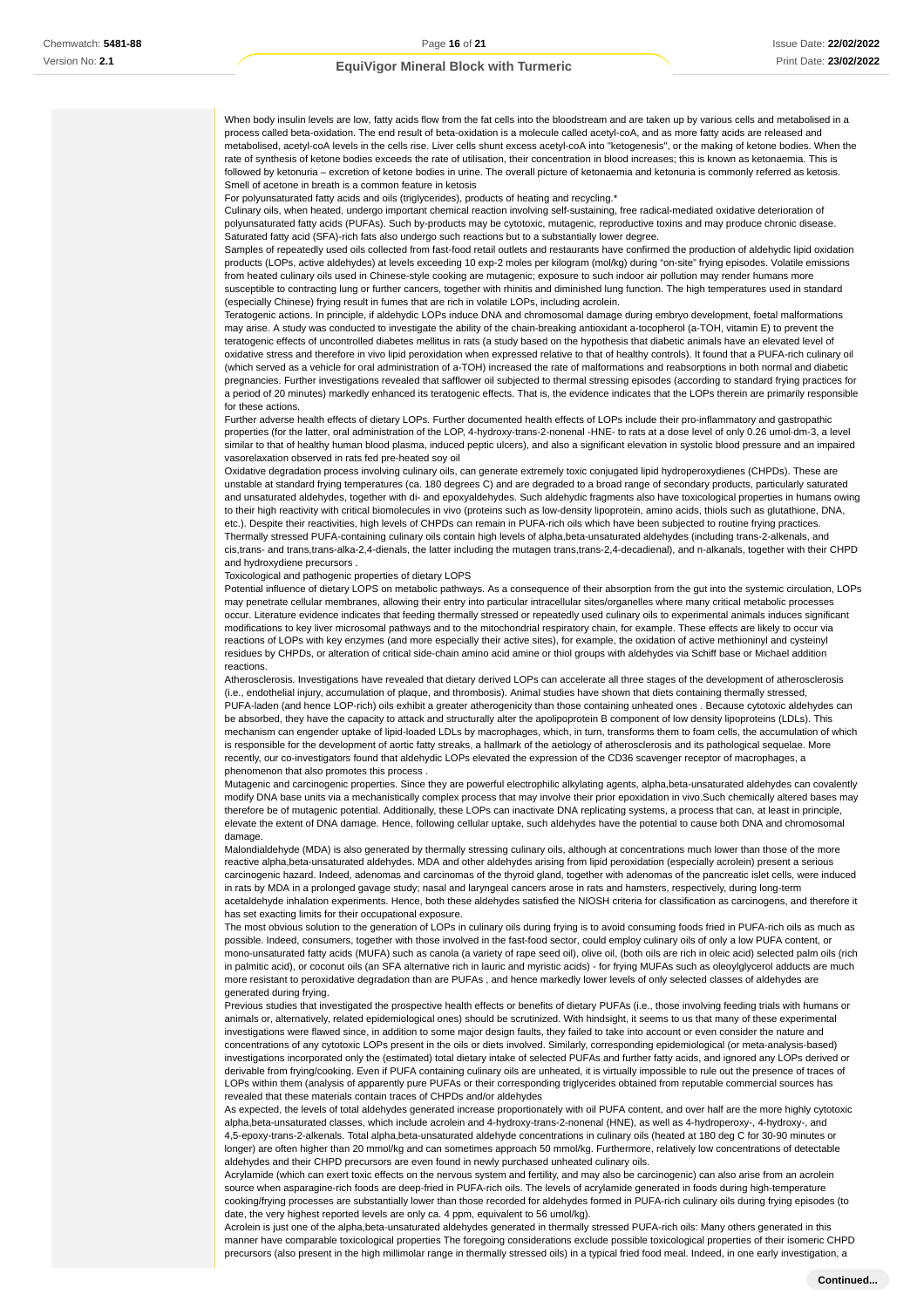When body insulin levels are low, fatty acids flow from the fat cells into the bloodstream and are taken up by various cells and metabolised in a process called beta-oxidation. The end result of beta-oxidation is a molecule called acetyl-coA, and as more fatty acids are released and metabolised, acetyl-coA levels in the cells rise. Liver cells shunt excess acetyl-coA into "ketogenesis", or the making of ketone bodies. When the rate of synthesis of ketone bodies exceeds the rate of utilisation, their concentration in blood increases; this is known as ketonaemia. This is followed by ketonuria – excretion of ketone bodies in urine. The overall picture of ketonaemia and ketonuria is commonly referred as ketosis. Smell of acetone in breath is a common feature in ketosis

For polyunsaturated fatty acids and oils (triglycerides), products of heating and recycling.\*

Culinary oils, when heated, undergo important chemical reaction involving self-sustaining, free radical-mediated oxidative deterioration of polyunsaturated fatty acids (PUFAs). Such by-products may be cytotoxic, mutagenic, reproductive toxins and may produce chronic disease. Saturated fatty acid (SFA)-rich fats also undergo such reactions but to a substantially lower degree.

Samples of repeatedly used oils collected from fast-food retail outlets and restaurants have confirmed the production of aldehydic lipid oxidation products (LOPs, active aldehydes) at levels exceeding 10 exp-2 moles per kilogram (mol/kg) during "on-site" frying episodes. Volatile emissions from heated culinary oils used in Chinese-style cooking are mutagenic; exposure to such indoor air pollution may render humans more susceptible to contracting lung or further cancers, together with rhinitis and diminished lung function. The high temperatures used in standard (especially Chinese) frying result in fumes that are rich in volatile LOPs, including acrolein.

Teratogenic actions. In principle, if aldehydic LOPs induce DNA and chromosomal damage during embryo development, foetal malformations may arise. A study was conducted to investigate the ability of the chain-breaking antioxidant a-tocopherol (a-TOH, vitamin E) to prevent the teratogenic effects of uncontrolled diabetes mellitus in rats (a study based on the hypothesis that diabetic animals have an elevated level of oxidative stress and therefore in vivo lipid peroxidation when expressed relative to that of healthy controls). It found that a PUFA-rich culinary oil (which served as a vehicle for oral administration of a-TOH) increased the rate of malformations and reabsorptions in both normal and diabetic pregnancies. Further investigations revealed that safflower oil subjected to thermal stressing episodes (according to standard frying practices for a period of 20 minutes) markedly enhanced its teratogenic effects. That is, the evidence indicates that the LOPs therein are primarily responsible for these actions.

Further adverse health effects of dietary LOPs. Further documented health effects of LOPs include their pro-inflammatory and gastropathic properties (for the latter, oral administration of the LOP, 4-hydroxy-trans-2-nonenal -HNE- to rats at a dose level of only 0.26 umol·dm-3, a level similar to that of healthy human blood plasma, induced peptic ulcers), and also a significant elevation in systolic blood pressure and an impaired vasorelaxation observed in rats fed pre-heated soy oil

Oxidative degradation process involving culinary oils, can generate extremely toxic conjugated lipid hydroperoxydienes (CHPDs). These are unstable at standard frying temperatures (ca. 180 degrees C) and are degraded to a broad range of secondary products, particularly saturated and unsaturated aldehydes, together with di- and epoxyaldehydes. Such aldehydic fragments also have toxicological properties in humans owing to their high reactivity with critical biomolecules in vivo (proteins such as low-density lipoprotein, amino acids, thiols such as glutathione, DNA, etc.). Despite their reactivities, high levels of CHPDs can remain in PUFA-rich oils which have been subjected to routine frying practices. Thermally stressed PUFA-containing culinary oils contain high levels of alpha,beta-unsaturated aldehydes (including trans-2-alkenals, and cis,trans- and trans,trans-alka-2,4-dienals, the latter including the mutagen trans,trans-2,4-decadienal), and n-alkanals, together with their CHPD and hydroxydiene precursors .

Toxicological and pathogenic properties of dietary LOPS

Potential influence of dietary LOPS on metabolic pathways. As a consequence of their absorption from the gut into the systemic circulation, LOPs may penetrate cellular membranes, allowing their entry into particular intracellular sites/organelles where many critical metabolic processes occur. Literature evidence indicates that feeding thermally stressed or repeatedly used culinary oils to experimental animals induces significant modifications to key liver microsomal pathways and to the mitochondrial respiratory chain, for example. These effects are likely to occur via reactions of LOPs with key enzymes (and more especially their active sites), for example, the oxidation of active methioninyl and cysteinyl residues by CHPDs, or alteration of critical side-chain amino acid amine or thiol groups with aldehydes via Schiff base or Michael addition reactions.

Atherosclerosis. Investigations have revealed that dietary derived LOPs can accelerate all three stages of the development of atherosclerosis (i.e., endothelial injury, accumulation of plaque, and thrombosis). Animal studies have shown that diets containing thermally stressed, PUFA-laden (and hence LOP-rich) oils exhibit a greater atherogenicity than those containing unheated ones . Because cytotoxic aldehydes can be absorbed, they have the capacity to attack and structurally alter the apolipoprotein B component of low density lipoproteins (LDLs). This mechanism can engender uptake of lipid-loaded LDLs by macrophages, which, in turn, transforms them to foam cells, the accumulation of which is responsible for the development of aortic fatty streaks, a hallmark of the aetiology of atherosclerosis and its pathological sequelae. More recently, our co-investigators found that aldehydic LOPs elevated the expression of the CD36 scavenger receptor of macrophages, a phenomenon that also promotes this process .

Mutagenic and carcinogenic properties. Since they are powerful electrophilic alkylating agents, alpha,beta-unsaturated aldehydes can covalently modify DNA base units via a mechanistically complex process that may involve their prior epoxidation in vivo.Such chemically altered bases may therefore be of mutagenic potential. Additionally, these LOPs can inactivate DNA replicating systems, a process that can, at least in principle, elevate the extent of DNA damage. Hence, following cellular uptake, such aldehydes have the potential to cause both DNA and chromosomal damage.

Malondialdehyde (MDA) is also generated by thermally stressing culinary oils, although at concentrations much lower than those of the more reactive alpha,beta-unsaturated aldehydes. MDA and other aldehydes arising from lipid peroxidation (especially acrolein) present a serious carcinogenic hazard. Indeed, adenomas and carcinomas of the thyroid gland, together with adenomas of the pancreatic islet cells, were induced in rats by MDA in a prolonged gavage study; nasal and laryngeal cancers arose in rats and hamsters, respectively, during long-term acetaldehyde inhalation experiments. Hence, both these aldehydes satisfied the NIOSH criteria for classification as carcinogens, and therefore it has set exacting limits for their occupational exposure.

The most obvious solution to the generation of LOPs in culinary oils during frying is to avoid consuming foods fried in PUFA-rich oils as much as possible. Indeed, consumers, together with those involved in the fast-food sector, could employ culinary oils of only a low PUFA content, or mono-unsaturated fatty acids (MUFA) such as canola (a variety of rape seed oil), olive oil, (both oils are rich in oleic acid) selected palm oils (rich in palmitic acid), or coconut oils (an SFA alternative rich in lauric and myristic acids) - for frying MUFAs such as oleoylglycerol adducts are much more resistant to peroxidative degradation than are PUFAs , and hence markedly lower levels of only selected classes of aldehydes are generated during frying.

Previous studies that investigated the prospective health effects or benefits of dietary PUFAs (i.e., those involving feeding trials with humans or animals or, alternatively, related epidemiological ones) should be scrutinized. With hindsight, it seems to us that many of these experimental investigations were flawed since, in addition to some major design faults, they failed to take into account or even consider the nature and concentrations of any cytotoxic LOPs present in the oils or diets involved. Similarly, corresponding epidemiological (or meta-analysis-based) investigations incorporated only the (estimated) total dietary intake of selected PUFAs and further fatty acids, and ignored any LOPs derived or derivable from frying/cooking. Even if PUFA containing culinary oils are unheated, it is virtually impossible to rule out the presence of traces of LOPs within them (analysis of apparently pure PUFAs or their corresponding triglycerides obtained from reputable commercial sources has revealed that these materials contain traces of CHPDs and/or aldehydes

As expected, the levels of total aldehydes generated increase proportionately with oil PUFA content, and over half are the more highly cytotoxic alpha,beta-unsaturated classes, which include acrolein and 4-hydroxy-trans-2-nonenal (HNE), as well as 4-hydroperoxy-, 4-hydroxy-, and 4,5-epoxy-trans-2-alkenals. Total alpha,beta-unsaturated aldehyde concentrations in culinary oils (heated at 180 deg C for 30-90 minutes or longer) are often higher than 20 mmol/kg and can sometimes approach 50 mmol/kg. Furthermore, relatively low concentrations of detectable aldehydes and their CHPD precursors are even found in newly purchased unheated culinary oils.

Acrylamide (which can exert toxic effects on the nervous system and fertility, and may also be carcinogenic) can also arise from an acrolein source when asparagine-rich foods are deep-fried in PUFA-rich oils. The levels of acrylamide generated in foods during high-temperature cooking/frying processes are substantially lower than those recorded for aldehydes formed in PUFA-rich culinary oils during frying episodes (to date, the very highest reported levels are only ca. 4 ppm, equivalent to 56 umol/kg).

Acrolein is just one of the alpha,beta-unsaturated aldehydes generated in thermally stressed PUFA-rich oils: Many others generated in this manner have comparable toxicological properties The foregoing considerations exclude possible toxicological properties of their isomeric CHPD precursors (also present in the high millimolar range in thermally stressed oils) in a typical fried food meal. Indeed, in one early investigation, a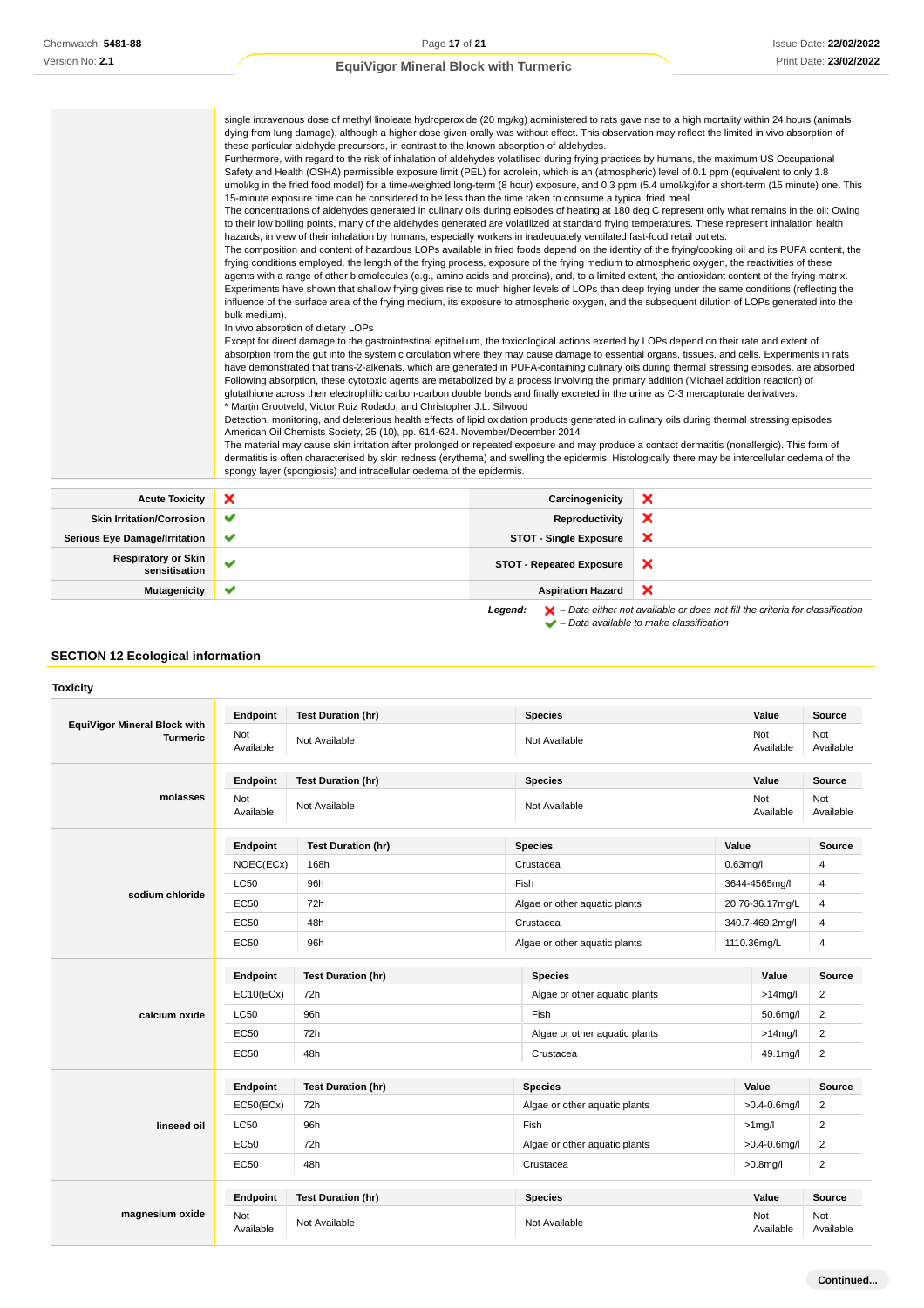|                                             | single intravenous dose of methyl linoleate hydroperoxide (20 mg/kg) administered to rats gave rise to a high mortality within 24 hours (animals<br>dying from lung damage), although a higher dose given orally was without effect. This observation may reflect the limited in vivo absorption of<br>these particular aldehyde precursors, in contrast to the known absorption of aldehydes.<br>Furthermore, with regard to the risk of inhalation of aldehydes volatilised during frying practices by humans, the maximum US Occupational<br>Safety and Health (OSHA) permissible exposure limit (PEL) for acrolein, which is an (atmospheric) level of 0.1 ppm (equivalent to only 1.8<br>umol/kg in the fried food model) for a time-weighted long-term (8 hour) exposure, and 0.3 ppm (5.4 umol/kg) for a short-term (15 minute) one. This<br>15-minute exposure time can be considered to be less than the time taken to consume a typical fried meal<br>The concentrations of aldehydes generated in culinary oils during episodes of heating at 180 deg C represent only what remains in the oil: Owing<br>to their low boiling points, many of the aldehydes generated are volatilized at standard frying temperatures. These represent inhalation health<br>hazards, in view of their inhalation by humans, especially workers in inadequately ventilated fast-food retail outlets.<br>The composition and content of hazardous LOPs available in fried foods depend on the identity of the frying/cooking oil and its PUFA content, the<br>frying conditions employed, the length of the frying process, exposure of the frying medium to atmospheric oxygen, the reactivities of these<br>agents with a range of other biomolecules (e.g., amino acids and proteins), and, to a limited extent, the antioxidant content of the frying matrix.<br>Experiments have shown that shallow frying gives rise to much higher levels of LOPs than deep frying under the same conditions (reflecting the<br>influence of the surface area of the frying medium, its exposure to atmospheric oxygen, and the subsequent dilution of LOPs generated into the<br>bulk medium).<br>In vivo absorption of dietary LOPs<br>Except for direct damage to the gastrointestinal epithelium, the toxicological actions exerted by LOPs depend on their rate and extent of<br>absorption from the gut into the systemic circulation where they may cause damage to essential organs, tissues, and cells. Experiments in rats<br>have demonstrated that trans-2-alkenals, which are generated in PUFA-containing culinary oils during thermal stressing episodes, are absorbed.<br>Following absorption, these cytotoxic agents are metabolized by a process involving the primary addition (Michael addition reaction) of<br>glutathione across their electrophilic carbon-carbon double bonds and finally excreted in the urine as C-3 mercapturate derivatives.<br>* Martin Grootveld, Victor Ruiz Rodado, and Christopher J.L. Silwood<br>Detection, monitoring, and deleterious health effects of lipid oxidation products generated in culinary oils during thermal stressing episodes<br>American Oil Chemists Society, 25 (10), pp. 614-624. November/December 2014<br>The material may cause skin irritation after prolonged or repeated exposure and may produce a contact dermatitis (nonallergic). This form of<br>dermatitis is often characterised by skin redness (erythema) and swelling the epidermis. Histologically there may be intercellular oedema of the<br>spongy layer (spongiosis) and intracellular oedema of the epidermis. |                                 |   |
|---------------------------------------------|------------------------------------------------------------------------------------------------------------------------------------------------------------------------------------------------------------------------------------------------------------------------------------------------------------------------------------------------------------------------------------------------------------------------------------------------------------------------------------------------------------------------------------------------------------------------------------------------------------------------------------------------------------------------------------------------------------------------------------------------------------------------------------------------------------------------------------------------------------------------------------------------------------------------------------------------------------------------------------------------------------------------------------------------------------------------------------------------------------------------------------------------------------------------------------------------------------------------------------------------------------------------------------------------------------------------------------------------------------------------------------------------------------------------------------------------------------------------------------------------------------------------------------------------------------------------------------------------------------------------------------------------------------------------------------------------------------------------------------------------------------------------------------------------------------------------------------------------------------------------------------------------------------------------------------------------------------------------------------------------------------------------------------------------------------------------------------------------------------------------------------------------------------------------------------------------------------------------------------------------------------------------------------------------------------------------------------------------------------------------------------------------------------------------------------------------------------------------------------------------------------------------------------------------------------------------------------------------------------------------------------------------------------------------------------------------------------------------------------------------------------------------------------------------------------------------------------------------------------------------------------------------------------------------------------------------------------------------------------------------------------------------------------------------------------------------------------------------------------------------------------------------------------------------------------------------------------------------------------------------------------------------------------------------------------------------------------------------------------------------------------------------------------------------------------------------------------------------------------------------------------------------------------------------------------------------------------------------------------------------------------------------|---------------------------------|---|
| <b>Acute Toxicity</b>                       | ×                                                                                                                                                                                                                                                                                                                                                                                                                                                                                                                                                                                                                                                                                                                                                                                                                                                                                                                                                                                                                                                                                                                                                                                                                                                                                                                                                                                                                                                                                                                                                                                                                                                                                                                                                                                                                                                                                                                                                                                                                                                                                                                                                                                                                                                                                                                                                                                                                                                                                                                                                                                                                                                                                                                                                                                                                                                                                                                                                                                                                                                                                                                                                                                                                                                                                                                                                                                                                                                                                                                                                                                                                                              | Carcinogenicity                 | × |
| <b>Skin Irritation/Corrosion</b>            | ✔                                                                                                                                                                                                                                                                                                                                                                                                                                                                                                                                                                                                                                                                                                                                                                                                                                                                                                                                                                                                                                                                                                                                                                                                                                                                                                                                                                                                                                                                                                                                                                                                                                                                                                                                                                                                                                                                                                                                                                                                                                                                                                                                                                                                                                                                                                                                                                                                                                                                                                                                                                                                                                                                                                                                                                                                                                                                                                                                                                                                                                                                                                                                                                                                                                                                                                                                                                                                                                                                                                                                                                                                                                              |                                 | × |
|                                             |                                                                                                                                                                                                                                                                                                                                                                                                                                                                                                                                                                                                                                                                                                                                                                                                                                                                                                                                                                                                                                                                                                                                                                                                                                                                                                                                                                                                                                                                                                                                                                                                                                                                                                                                                                                                                                                                                                                                                                                                                                                                                                                                                                                                                                                                                                                                                                                                                                                                                                                                                                                                                                                                                                                                                                                                                                                                                                                                                                                                                                                                                                                                                                                                                                                                                                                                                                                                                                                                                                                                                                                                                                                | Reproductivity                  |   |
| <b>Serious Eye Damage/Irritation</b>        | ✔                                                                                                                                                                                                                                                                                                                                                                                                                                                                                                                                                                                                                                                                                                                                                                                                                                                                                                                                                                                                                                                                                                                                                                                                                                                                                                                                                                                                                                                                                                                                                                                                                                                                                                                                                                                                                                                                                                                                                                                                                                                                                                                                                                                                                                                                                                                                                                                                                                                                                                                                                                                                                                                                                                                                                                                                                                                                                                                                                                                                                                                                                                                                                                                                                                                                                                                                                                                                                                                                                                                                                                                                                                              | <b>STOT - Single Exposure</b>   | × |
| <b>Respiratory or Skin</b><br>sensitisation | $\checkmark$                                                                                                                                                                                                                                                                                                                                                                                                                                                                                                                                                                                                                                                                                                                                                                                                                                                                                                                                                                                                                                                                                                                                                                                                                                                                                                                                                                                                                                                                                                                                                                                                                                                                                                                                                                                                                                                                                                                                                                                                                                                                                                                                                                                                                                                                                                                                                                                                                                                                                                                                                                                                                                                                                                                                                                                                                                                                                                                                                                                                                                                                                                                                                                                                                                                                                                                                                                                                                                                                                                                                                                                                                                   | <b>STOT - Repeated Exposure</b> | × |

**Mutagenicity Aspiration Hazard**

**Legend:**  $\mathbf{X}$  – Data either not available or does not fill the criteria for classification – Data available to make classification

 $\overline{\mathbf{x}}$ 

## **SECTION 12 Ecological information**

## **Toxicity**

|                                                 | Endpoint                                            | <b>Test Duration (hr)</b> | <b>Species</b>                              | Value             | <b>Source</b>    |
|-------------------------------------------------|-----------------------------------------------------|---------------------------|---------------------------------------------|-------------------|------------------|
| EquiVigor Mineral Block with<br><b>Turmeric</b> | Not<br>Available                                    | Not Available             | Not Available                               | Not<br>Available  | Not<br>Available |
|                                                 | Endpoint                                            | <b>Test Duration (hr)</b> | Value<br><b>Species</b>                     |                   | Source           |
| molasses                                        | <b>Not</b><br>Available                             | Not Available             | Not Available                               | Not<br>Available  | Not<br>Available |
|                                                 | Endpoint                                            | <b>Test Duration (hr)</b> | <b>Species</b>                              | Value             | Source           |
|                                                 | NOEC(ECx)                                           | 168h                      | Crustacea                                   | $0.63$ mg/l       | 4                |
|                                                 | <b>LC50</b>                                         | 96h                       | Fish                                        | 3644-4565mg/l     | 4                |
| sodium chloride                                 | EC50                                                | 72h                       | Algae or other aquatic plants               | 20.76-36.17mg/L   | 4                |
|                                                 | <b>EC50</b>                                         | 48h                       | Crustacea                                   | 340.7-469.2mg/l   | 4                |
|                                                 | <b>EC50</b><br>96h<br>Algae or other aquatic plants |                           | 1110.36mg/L                                 | $\overline{4}$    |                  |
|                                                 | Endpoint                                            | <b>Test Duration (hr)</b> | <b>Species</b>                              | Value             | Source           |
|                                                 | EC10(ECx)                                           | 72h                       | Algae or other aquatic plants               | $>14$ mg/l        | $\overline{c}$   |
| calcium oxide                                   | <b>LC50</b>                                         | 96h                       | Fish<br>50.6mg/l                            |                   | 2                |
|                                                 | <b>EC50</b>                                         | 72h                       | Algae or other aquatic plants<br>$>14$ mg/l |                   | $\overline{2}$   |
|                                                 | <b>EC50</b>                                         | 48h                       | Crustacea                                   | 49.1mg/l          | $\overline{2}$   |
|                                                 | Endpoint                                            | <b>Test Duration (hr)</b> | <b>Species</b>                              | Value             | Source           |
|                                                 | EC50(ECx)                                           | 72h                       | Algae or other aquatic plants               | $>0.4 - 0.6$ mg/l | $\overline{2}$   |
| linseed oil                                     | <b>LC50</b>                                         | 96h                       | Fish<br>$>1$ mg/l                           |                   | $\overline{2}$   |
|                                                 | <b>EC50</b>                                         | 72h                       | Algae or other aquatic plants               | $>0.4 - 0.6$ mg/l | 2                |
|                                                 | EC50                                                | 48h                       | Crustacea                                   | $>0.8$ mg/l       | $\overline{c}$   |
|                                                 | Endpoint                                            | <b>Test Duration (hr)</b> | <b>Species</b>                              | Value             | Source           |
| magnesium oxide                                 | Not<br>Available                                    | Not Available             | Not Available                               | Not<br>Available  | Not<br>Available |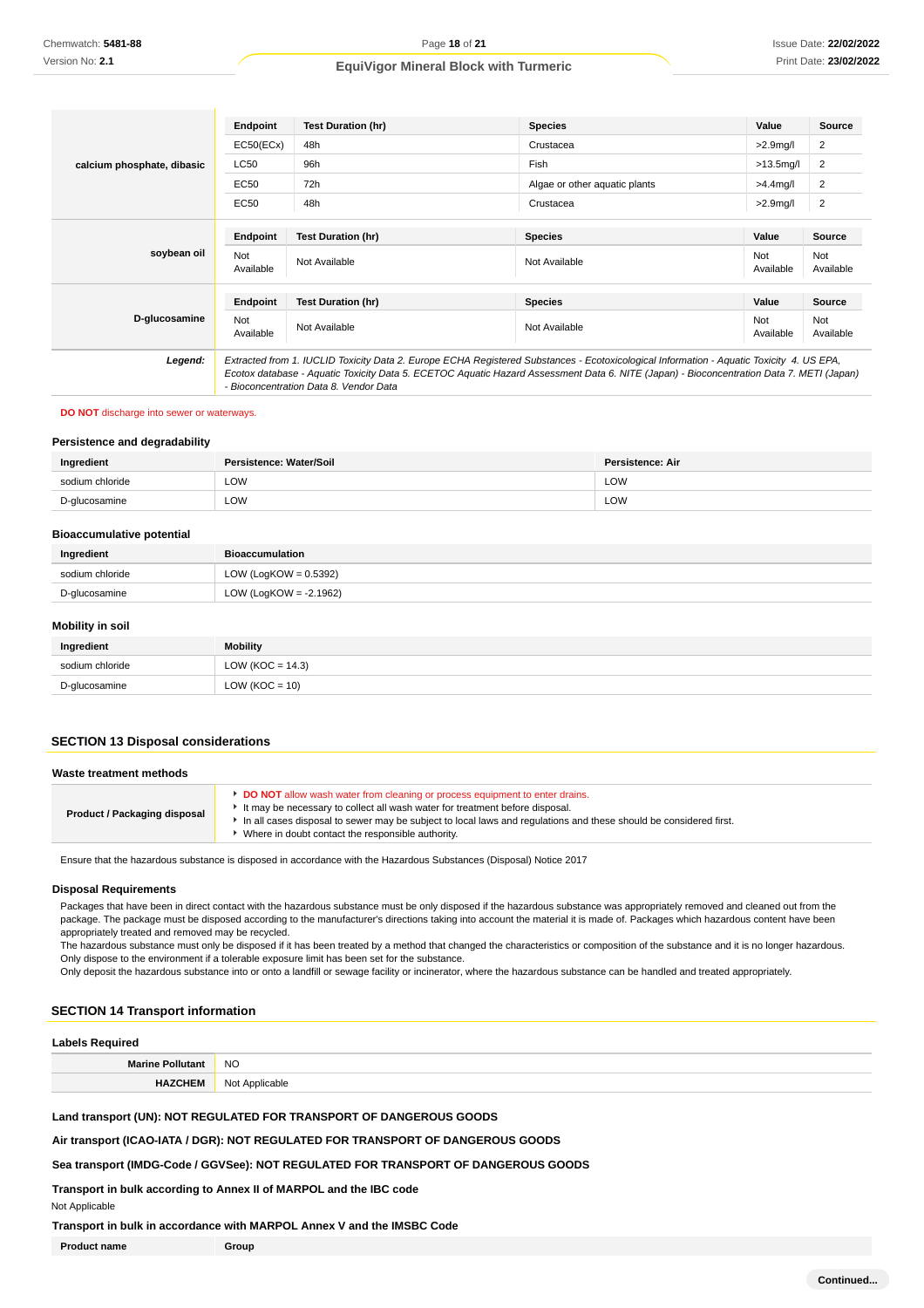|                            | Endpoint         | <b>Test Duration (hr)</b>                                                                                                                                                                                                                                                                                                      | <b>Species</b>                | Value            | <b>Source</b>    |
|----------------------------|------------------|--------------------------------------------------------------------------------------------------------------------------------------------------------------------------------------------------------------------------------------------------------------------------------------------------------------------------------|-------------------------------|------------------|------------------|
|                            | EC50(ECx)        | 48h                                                                                                                                                                                                                                                                                                                            | Crustacea                     | $>2.9$ mg/l      | 2                |
| calcium phosphate, dibasic | <b>LC50</b>      | 96h                                                                                                                                                                                                                                                                                                                            | Fish                          | $>13.5$ mg/l     | 2                |
|                            | EC50             | 72h                                                                                                                                                                                                                                                                                                                            | Algae or other aquatic plants | $>4.4$ mg/l      | 2                |
|                            | <b>EC50</b>      | 48h                                                                                                                                                                                                                                                                                                                            | Crustacea                     | $>2.9$ mg/l      | $\overline{2}$   |
|                            | Endpoint         | <b>Test Duration (hr)</b>                                                                                                                                                                                                                                                                                                      | <b>Species</b>                | Value            | Source           |
| soybean oil                | Not<br>Available | Not Available                                                                                                                                                                                                                                                                                                                  | Not Available                 | Not<br>Available | Not<br>Available |
|                            | Endpoint         | <b>Test Duration (hr)</b>                                                                                                                                                                                                                                                                                                      | <b>Species</b>                | Value            | Source           |
| D-glucosamine              | Not<br>Available | Not Available                                                                                                                                                                                                                                                                                                                  | Not Available                 | Not<br>Available | Not<br>Available |
| Legend:                    |                  | Extracted from 1. IUCLID Toxicity Data 2. Europe ECHA Registered Substances - Ecotoxicological Information - Aquatic Toxicity 4. US EPA,<br>Ecotox database - Aquatic Toxicity Data 5. ECETOC Aquatic Hazard Assessment Data 6. NITE (Japan) - Bioconcentration Data 7. METI (Japan)<br>- Bioconcentration Data 8. Vendor Data |                               |                  |                  |

#### **DO NOT** discharge into sewer or waterways.

#### **Persistence and degradability**

| Ingredient                              | Persistence: Water/Soil | <b>Persistence: Air</b> |
|-----------------------------------------|-------------------------|-------------------------|
| sodium chloride<br>$\sim$ $\sim$ $\sim$ | LOW<br>____             | LOW                     |
| D-glucosamine                           | LOW<br>____             | LOW                     |

#### **Bioaccumulative potential**

| Ingredient      | <b>Bioaccumulation</b>   |  |
|-----------------|--------------------------|--|
| sodium chloride | LOW (LogKOW = $0.5392$ ) |  |
| D-glucosamine   | LOW (LogKOW = -2.1962)   |  |

#### **Mobility in soil**

| Ingredient      | Mobility             |
|-----------------|----------------------|
| sodium chloride | LOW ( $KOC = 14.3$ ) |
| D-glucosamine   | $LOW (KOC = 10)$     |

#### **SECTION 13 Disposal considerations**

| Waste treatment methods      |                                                                                                                                                                                                                                                                                                                                              |  |
|------------------------------|----------------------------------------------------------------------------------------------------------------------------------------------------------------------------------------------------------------------------------------------------------------------------------------------------------------------------------------------|--|
| Product / Packaging disposal | <b>DO NOT</b> allow wash water from cleaning or process equipment to enter drains.<br>It may be necessary to collect all wash water for treatment before disposal.<br>In all cases disposal to sewer may be subject to local laws and regulations and these should be considered first.<br>Where in doubt contact the responsible authority. |  |

Ensure that the hazardous substance is disposed in accordance with the Hazardous Substances (Disposal) Notice 2017

#### **Disposal Requirements**

Packages that have been in direct contact with the hazardous substance must be only disposed if the hazardous substance was appropriately removed and cleaned out from the package. The package must be disposed according to the manufacturer's directions taking into account the material it is made of. Packages which hazardous content have been appropriately treated and removed may be recycled.

The hazardous substance must only be disposed if it has been treated by a method that changed the characteristics or composition of the substance and it is no longer hazardous. Only dispose to the environment if a tolerable exposure limit has been set for the substance.

Only deposit the hazardous substance into or onto a landfill or sewage facility or incinerator, where the hazardous substance can be handled and treated appropriately.

#### **SECTION 14 Transport information**

## **Labels Required Marine Pollutant** NO **HAZCHEM** Not Applicable

**Land transport (UN): NOT REGULATED FOR TRANSPORT OF DANGEROUS GOODS**

**Air transport (ICAO-IATA / DGR): NOT REGULATED FOR TRANSPORT OF DANGEROUS GOODS**

**Sea transport (IMDG-Code / GGVSee): NOT REGULATED FOR TRANSPORT OF DANGEROUS GOODS**

**Transport in bulk according to Annex II of MARPOL and the IBC code**

Not Applicable

**Transport in bulk in accordance with MARPOL Annex V and the IMSBC Code**

**Product name Group**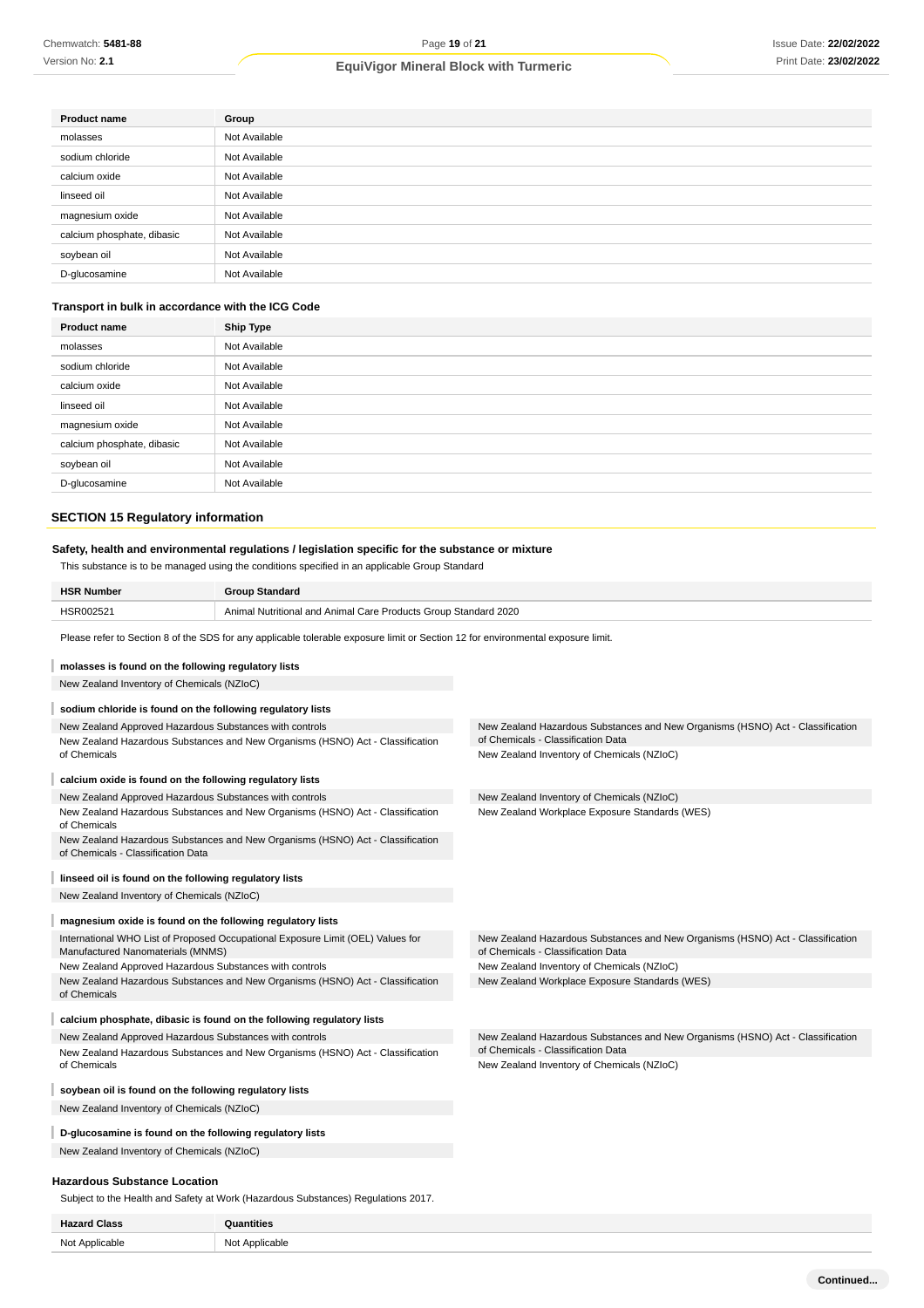| <b>Product name</b>        | Group         |
|----------------------------|---------------|
| molasses                   | Not Available |
| sodium chloride            | Not Available |
| calcium oxide              | Not Available |
| linseed oil                | Not Available |
| magnesium oxide            | Not Available |
| calcium phosphate, dibasic | Not Available |
| soybean oil                | Not Available |
| D-glucosamine              | Not Available |

## **Transport in bulk in accordance with the ICG Code**

| <b>Product name</b>        | <b>Ship Type</b> |
|----------------------------|------------------|
| molasses                   | Not Available    |
| sodium chloride            | Not Available    |
| calcium oxide              | Not Available    |
| linseed oil                | Not Available    |
| magnesium oxide            | Not Available    |
| calcium phosphate, dibasic | Not Available    |
| soybean oil                | Not Available    |
| D-glucosamine              | Not Available    |

#### **SECTION 15 Regulatory information**

| SECTION 15 Regulatory information                                                                                                                                                                  |                                                                                |                                                                                                                      |  |  |
|----------------------------------------------------------------------------------------------------------------------------------------------------------------------------------------------------|--------------------------------------------------------------------------------|----------------------------------------------------------------------------------------------------------------------|--|--|
| Safety, health and environmental regulations / legislation specific for the substance or mixture<br>This substance is to be managed using the conditions specified in an applicable Group Standard |                                                                                |                                                                                                                      |  |  |
| <b>HSR Number</b>                                                                                                                                                                                  | <b>Group Standard</b>                                                          |                                                                                                                      |  |  |
| HSR002521                                                                                                                                                                                          | Animal Nutritional and Animal Care Products Group Standard 2020                |                                                                                                                      |  |  |
| Please refer to Section 8 of the SDS for any applicable tolerable exposure limit or Section 12 for environmental exposure limit.                                                                   |                                                                                |                                                                                                                      |  |  |
| molasses is found on the following regulatory lists                                                                                                                                                |                                                                                |                                                                                                                      |  |  |
| New Zealand Inventory of Chemicals (NZIoC)                                                                                                                                                         |                                                                                |                                                                                                                      |  |  |
| sodium chloride is found on the following regulatory lists                                                                                                                                         |                                                                                |                                                                                                                      |  |  |
| New Zealand Approved Hazardous Substances with controls                                                                                                                                            | New Zealand Hazardous Substances and New Organisms (HSNO) Act - Classification | New Zealand Hazardous Substances and New Organisms (HSNO) Act - Classification<br>of Chemicals - Classification Data |  |  |
| of Chemicals                                                                                                                                                                                       |                                                                                | New Zealand Inventory of Chemicals (NZIoC)                                                                           |  |  |
| calcium oxide is found on the following regulatory lists                                                                                                                                           |                                                                                |                                                                                                                      |  |  |
| New Zealand Approved Hazardous Substances with controls                                                                                                                                            |                                                                                | New Zealand Inventory of Chemicals (NZIoC)                                                                           |  |  |
| New Zealand Hazardous Substances and New Organisms (HSNO) Act - Classification<br>of Chemicals                                                                                                     |                                                                                | New Zealand Workplace Exposure Standards (WES)                                                                       |  |  |
| New Zealand Hazardous Substances and New Organisms (HSNO) Act - Classification<br>of Chemicals - Classification Data                                                                               |                                                                                |                                                                                                                      |  |  |
| linseed oil is found on the following regulatory lists                                                                                                                                             |                                                                                |                                                                                                                      |  |  |
| New Zealand Inventory of Chemicals (NZIoC)                                                                                                                                                         |                                                                                |                                                                                                                      |  |  |
| magnesium oxide is found on the following regulatory lists                                                                                                                                         |                                                                                |                                                                                                                      |  |  |
| International WHO List of Proposed Occupational Exposure Limit (OEL) Values for<br>Manufactured Nanomaterials (MNMS)                                                                               |                                                                                | New Zealand Hazardous Substances and New Organisms (HSNO) Act - Classification<br>of Chemicals - Classification Data |  |  |
| New Zealand Approved Hazardous Substances with controls                                                                                                                                            |                                                                                | New Zealand Inventory of Chemicals (NZIoC)                                                                           |  |  |
| of Chemicals                                                                                                                                                                                       | New Zealand Hazardous Substances and New Organisms (HSNO) Act - Classification | New Zealand Workplace Exposure Standards (WES)                                                                       |  |  |
|                                                                                                                                                                                                    | calcium phosphate, dibasic is found on the following regulatory lists          |                                                                                                                      |  |  |
| New Zealand Approved Hazardous Substances with controls                                                                                                                                            |                                                                                | New Zealand Hazardous Substances and New Organisms (HSNO) Act - Classification                                       |  |  |
|                                                                                                                                                                                                    | New Zealand Hazardous Substances and New Organisms (HSNO) Act - Classification | of Chemicals - Classification Data                                                                                   |  |  |
| of Chemicals                                                                                                                                                                                       |                                                                                | New Zealand Inventory of Chemicals (NZIoC)                                                                           |  |  |
| soybean oil is found on the following regulatory lists                                                                                                                                             |                                                                                |                                                                                                                      |  |  |
| New Zealand Inventory of Chemicals (NZIoC)                                                                                                                                                         |                                                                                |                                                                                                                      |  |  |
|                                                                                                                                                                                                    |                                                                                |                                                                                                                      |  |  |

**D-glucosamine is found on the following regulatory lists**

New Zealand Inventory of Chemicals (NZIoC)

## **Hazardous Substance Location**

Subject to the Health and Safety at Work (Hazardous Substances) Regulations 2017.

| $\cdot$ .<br>ы. .<br>_____ | .                                |
|----------------------------|----------------------------------|
| Not Applicable             | : Applicable<br>$1^+$<br>יש<br>. |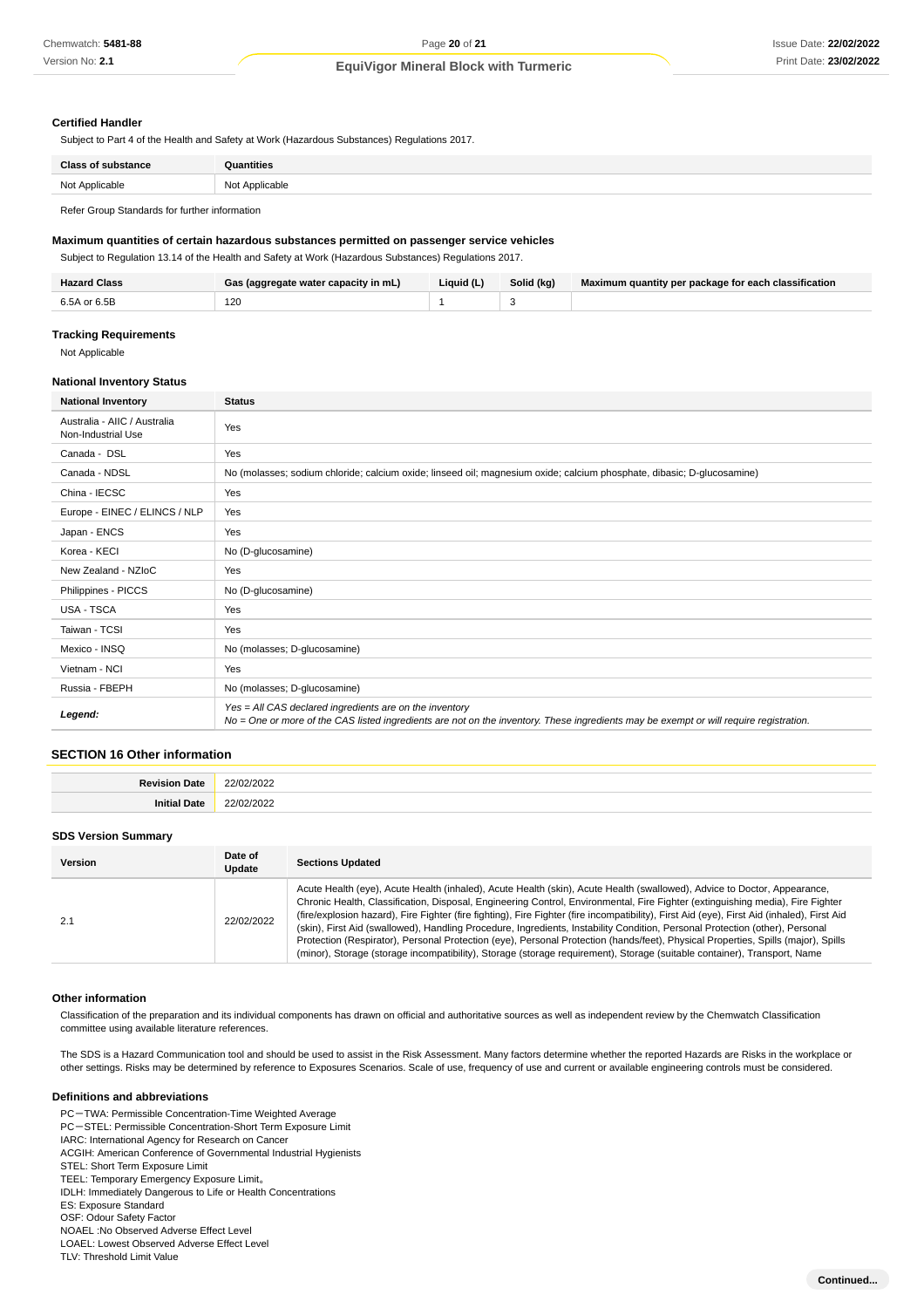#### **Certified Handler**

Subject to Part 4 of the Health and Safety at Work (Hazardous Substances) Regulations 2017.

| Class of suber<br>:tance | ıntities       |
|--------------------------|----------------|
| Not Applicable           | Not Applicable |
|                          |                |

Refer Group Standards for further information

#### **Maximum quantities of certain hazardous substances permitted on passenger service vehicles**

Subject to Regulation 13.14 of the Health and Safety at Work (Hazardous Substances) Regulations 2017.

| <b>Hazard Class</b> | Gas (aggregate water capacity in mL) | Liauid (L) | Solid (kg) | Maximum quantity per package for each classification |
|---------------------|--------------------------------------|------------|------------|------------------------------------------------------|
| 6.5A or 6.5B        | 120<br>$\sim$                        |            |            |                                                      |

#### **Tracking Requirements**

Not Applicable

#### **National Inventory Status**

| <b>National Inventory</b>                          | <b>Status</b>                                                                                                                                                                                     |  |  |
|----------------------------------------------------|---------------------------------------------------------------------------------------------------------------------------------------------------------------------------------------------------|--|--|
| Australia - AIIC / Australia<br>Non-Industrial Use | Yes                                                                                                                                                                                               |  |  |
| Canada - DSL                                       | Yes                                                                                                                                                                                               |  |  |
| Canada - NDSL                                      | No (molasses; sodium chloride; calcium oxide; linseed oil; magnesium oxide; calcium phosphate, dibasic; D-glucosamine)                                                                            |  |  |
| China - IECSC                                      | Yes                                                                                                                                                                                               |  |  |
| Europe - EINEC / ELINCS / NLP                      | Yes                                                                                                                                                                                               |  |  |
| Japan - ENCS                                       | Yes                                                                                                                                                                                               |  |  |
| Korea - KECI                                       | No (D-glucosamine)                                                                                                                                                                                |  |  |
| New Zealand - NZIoC                                | Yes                                                                                                                                                                                               |  |  |
| Philippines - PICCS                                | No (D-glucosamine)                                                                                                                                                                                |  |  |
| USA - TSCA                                         | Yes                                                                                                                                                                                               |  |  |
| Taiwan - TCSI                                      | Yes                                                                                                                                                                                               |  |  |
| Mexico - INSQ                                      | No (molasses; D-glucosamine)                                                                                                                                                                      |  |  |
| Vietnam - NCI                                      | Yes                                                                                                                                                                                               |  |  |
| Russia - FBEPH                                     | No (molasses; D-glucosamine)                                                                                                                                                                      |  |  |
| Legend:                                            | Yes = All CAS declared ingredients are on the inventory<br>No = One or more of the CAS listed ingredients are not on the inventory. These ingredients may be exempt or will require registration. |  |  |

### **SECTION 16 Other information**

| ∍~   |                 |
|------|-----------------|
| )ate | 22/02/2022      |
|      | .               |
|      | 22/02/2022<br>. |

#### **SDS Version Summary**

| <b>Version</b> | Date of<br>Update | <b>Sections Updated</b>                                                                                                                                                                                                                                                                                                                                                                                                                                                                                                                                                                                                                                                                                                                                                                                    |
|----------------|-------------------|------------------------------------------------------------------------------------------------------------------------------------------------------------------------------------------------------------------------------------------------------------------------------------------------------------------------------------------------------------------------------------------------------------------------------------------------------------------------------------------------------------------------------------------------------------------------------------------------------------------------------------------------------------------------------------------------------------------------------------------------------------------------------------------------------------|
|                | 22/02/2022        | Acute Health (eye), Acute Health (inhaled), Acute Health (skin), Acute Health (swallowed), Advice to Doctor, Appearance,<br>Chronic Health, Classification, Disposal, Engineering Control, Environmental, Fire Fighter (extinguishing media), Fire Fighter<br>(fire/explosion hazard), Fire Fighter (fire fighting), Fire Fighter (fire incompatibility), First Aid (eye), First Aid (inhaled), First Aid<br>(skin), First Aid (swallowed), Handling Procedure, Ingredients, Instability Condition, Personal Protection (other), Personal<br>Protection (Respirator), Personal Protection (eye), Personal Protection (hands/feet), Physical Properties, Spills (major), Spills<br>(minor), Storage (storage incompatibility), Storage (storage requirement), Storage (suitable container), Transport, Name |

#### **Other information**

Classification of the preparation and its individual components has drawn on official and authoritative sources as well as independent review by the Chemwatch Classification committee using available literature references.

The SDS is a Hazard Communication tool and should be used to assist in the Risk Assessment. Many factors determine whether the reported Hazards are Risks in the workplace or other settings. Risks may be determined by reference to Exposures Scenarios. Scale of use, frequency of use and current or available engineering controls must be considered.

#### **Definitions and abbreviations**

PC-TWA: Permissible Concentration-Time Weighted Average PC-STEL: Permissible Concentration-Short Term Exposure Limit

- IARC: International Agency for Research on Cancer
- ACGIH: American Conference of Governmental Industrial Hygienists
- STEL: Short Term Exposure Limit

TEEL: Temporary Emergency Exposure Limit。

IDLH: Immediately Dangerous to Life or Health Concentrations

ES: Exposure Standard

OSF: Odour Safety Factor

NOAEL :No Observed Adverse Effect Level

LOAEL: Lowest Observed Adverse Effect Level

TLV: Threshold Limit Value